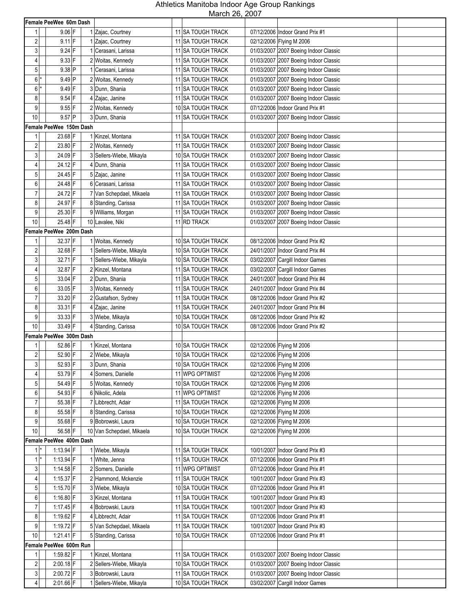|                         |                         |                                    | March 26, 2007                       |            |                                       |
|-------------------------|-------------------------|------------------------------------|--------------------------------------|------------|---------------------------------------|
|                         | Female PeeWee 60m Dash  |                                    |                                      |            |                                       |
| 1                       | $9.06$ F                | 1 Zajac, Courtney                  | 11 SA TOUGH TRACK                    |            | 07/12/2006 Indoor Grand Prix #1       |
| 2                       | $9.11$ F                | 1 Zajac, Courtney                  | 11 SA TOUGH TRACK                    |            | 02/12/2006 Flying M 2006              |
| 3                       | $9.24$ F                | 1 Cerasani, Larissa                | 11 SA TOUGH TRACK                    |            | 01/03/2007 2007 Boeing Indoor Classic |
| 4                       | $9.33$ F                | 2 Woitas, Kennedy                  | 11 SA TOUGH TRACK                    |            | 01/03/2007 2007 Boeing Indoor Classic |
| $5\phantom{.0}$         | $9.38$ P                | 1 Cerasani, Larissa                | 11 SA TOUGH TRACK                    |            | 01/03/2007 2007 Boeing Indoor Classic |
| $6$ <sup>*</sup>        | $9.49$ P                | 2 Woitas, Kennedy                  | 11 SA TOUGH TRACK                    |            | 01/03/2007 2007 Boeing Indoor Classic |
| $6$ <sup>*</sup>        | $9.49$ F                | 3 Dunn, Shania                     | <b>11 ISA TOUGH TRACK</b>            |            | 01/03/2007 2007 Boeing Indoor Classic |
| 8                       | $9.54$ F                | 4 Zajac, Janine                    | <b>11 SA TOUGH TRACK</b>             |            | 01/03/2007 2007 Boeing Indoor Classic |
| 9                       | $9.55$ F                | 2 Woitas, Kennedy                  | 10 SA TOUGH TRACK                    |            | 07/12/2006 Indoor Grand Prix #1       |
| 10                      | $9.57$ P                | 3 Dunn, Shania                     | <b>11 ISA TOUGH TRACK</b>            |            | 01/03/2007 2007 Boeing Indoor Classic |
|                         | Female PeeWee 150m Dash |                                    |                                      |            |                                       |
| 1                       | 23.68 F                 | 1 Kinzel, Montana                  | 11 SA TOUGH TRACK                    |            | 01/03/2007 2007 Boeing Indoor Classic |
| $\mathbf{2}$            | 23.80 F                 | 2 Woitas, Kennedy                  | 11 SA TOUGH TRACK                    |            | 01/03/2007 2007 Boeing Indoor Classic |
| 3                       | 24.09 F                 | 3 Sellers-Wiebe, Mikayla           | 10 SA TOUGH TRACK                    |            | 01/03/2007 2007 Boeing Indoor Classic |
| 4                       | 24.12 F                 | 4 Dunn. Shania                     | 11 SA TOUGH TRACK                    |            | 01/03/2007 2007 Boeing Indoor Classic |
| 5                       | 24.45 F                 | 5 Zajac, Janine                    | 11 SA TOUGH TRACK                    |            | 01/03/2007 2007 Boeing Indoor Classic |
| 6                       | 24.48 F                 | 6 Cerasani, Larissa                | <b>11 SA TOUGH TRACK</b>             |            | 01/03/2007 2007 Boeing Indoor Classic |
| $\overline{7}$          | 24.72 F                 | 7 Van Schepdael, Mikaela           | 11 SA TOUGH TRACK                    |            | 01/03/2007 2007 Boeing Indoor Classic |
| 8                       | 24.97 F                 | 8 Standing, Carissa                | 11 SA TOUGH TRACK                    |            | 01/03/2007 2007 Boeing Indoor Classic |
| 9                       | 25.30 F                 | 9 Williams, Morgan                 | 11 SA TOUGH TRACK                    |            | 01/03/2007 2007 Boeing Indoor Classic |
| 10                      | 25.48 F                 | 10 Lavalee, Niki                   | 11 RD TRACK                          |            | 01/03/2007 2007 Boeing Indoor Classic |
|                         | Female PeeWee 200m Dash |                                    |                                      |            |                                       |
| 1                       | 32.37 F                 | 1 Woitas, Kennedy                  | 10 SA TOUGH TRACK                    |            | 08/12/2006 Indoor Grand Prix #2       |
| 2                       | 32.68 F                 | 1 Sellers-Wiebe, Mikayla           | 10 SA TOUGH TRACK                    |            | 24/01/2007 Indoor Grand Prix #4       |
| 3                       | 32.71 F                 | 1 Sellers-Wiebe, Mikayla           | 10 SA TOUGH TRACK                    |            | 03/02/2007 Cargill Indoor Games       |
| 4                       | 32.87 F                 | 2 Kinzel, Montana                  | 11 SA TOUGH TRACK                    |            | 03/02/2007 Cargill Indoor Games       |
| 5                       | 33.04 F                 | 2 Dunn, Shania                     | 11 SA TOUGH TRACK                    |            | 24/01/2007 Indoor Grand Prix #4       |
| 6                       | 33.05 F                 | 3 Woitas, Kennedy                  | 11 SA TOUGH TRACK                    | 24/01/2007 | Indoor Grand Prix #4                  |
| $\overline{7}$          | 33.20 F                 | 2 Gustafson, Sydney                | 11 SA TOUGH TRACK                    |            | 08/12/2006 Indoor Grand Prix #2       |
| 8                       | 33.31 F                 | 4 Zajac, Janine                    | 11 SA TOUGH TRACK                    |            | 24/01/2007 Indoor Grand Prix #4       |
| 9                       | 33.33 F                 | 3 Wiebe, Mikayla                   | 10 SA TOUGH TRACK                    |            | 08/12/2006 Indoor Grand Prix #2       |
| 10                      | 33.49 F                 | 4 Standing, Carissa                | 10 SA TOUGH TRACK                    |            | 08/12/2006 Indoor Grand Prix #2       |
|                         | Female PeeWee 300m Dash |                                    |                                      |            |                                       |
| 1                       | 52.86 F                 | 1 Kinzel, Montana                  | 10 SA TOUGH TRACK                    |            | 02/12/2006 Flying M 2006              |
| $\overline{\mathbf{c}}$ | 52.90 F                 |                                    | 10 SA TOUGH TRACK                    |            | 02/12/2006 Flying M 2006              |
| $\mathbf{3}$            | 52.93 F                 | 2 Wiebe, Mikayla<br>3 Dunn, Shania | 10 SA TOUGH TRACK                    |            |                                       |
|                         | 53.79 F                 |                                    |                                      |            | 02/12/2006 Flying M 2006              |
| 4                       |                         | 4 Somers, Danielle                 | 11 WPG OPTIMIST                      |            | 02/12/2006 Flying M 2006              |
| 5                       | 54.49 F                 | 5 Woitas, Kennedy                  | 10 SA TOUGH TRACK<br>11 WPG OPTIMIST |            | 02/12/2006 Flying M 2006              |
| 6                       | 54.93 F                 | 6 Nikolic, Adela                   |                                      |            | 02/12/2006 Flying M 2006              |
| $\overline{7}$          | 55.38 F                 | 7 Libbrecht, Adair                 | 11 SA TOUGH TRACK                    |            | 02/12/2006 Flying M 2006              |
| 8                       | 55.58 F                 | 8 Standing, Carissa                | 10 SA TOUGH TRACK                    |            | 02/12/2006 Flying M 2006              |
| 9                       | 55.68 F                 | 9 Bobrowski, Laura                 | 10 SA TOUGH TRACK                    |            | 02/12/2006 Flying M 2006              |
| 10                      | 56.58 F                 | 10 Van Schepdael, Mikaela          | 10 SA TOUGH TRACK                    |            | 02/12/2006 Flying M 2006              |
|                         | Female PeeWee 400m Dash |                                    |                                      |            |                                       |
| $1$ <sup>*</sup>        | 1:13.94 $F$             | 1 Wiebe, Mikayla                   | 11 SA TOUGH TRACK                    |            | 10/01/2007 Indoor Grand Prix #3       |
| $1$ <sup>*</sup>        | 1:13.94 $F$             | 1 White, Jenna                     | 11 SA TOUGH TRACK                    |            | 07/12/2006 Indoor Grand Prix #1       |
| 3                       | 1:14.58 F               | 2 Somers, Danielle                 | 11 WPG OPTIMIST                      |            | 07/12/2006 Indoor Grand Prix #1       |
| $\vert 4 \vert$         | $1:15.37$ F             | 2 Hammond, Mckenzie                | 11 SA TOUGH TRACK                    |            | 10/01/2007 Indoor Grand Prix #3       |
| 5 <sup>1</sup>          | $1:15.70$ F             | 3 Wiebe, Mikayla                   | 10 SA TOUGH TRACK                    |            | 07/12/2006 Indoor Grand Prix #1       |
| $6 \mid$                | 1:16.80 F               | 3 Kinzel, Montana                  | 11 SA TOUGH TRACK                    |            | 10/01/2007 Indoor Grand Prix #3       |
| $\overline{7}$          | $1:17.45$ F             | 4 Bobrowski, Laura                 | 11 SA TOUGH TRACK                    |            | 10/01/2007 Indoor Grand Prix #3       |
| 8 <sup>1</sup>          | 1:19.62 F               | 4 Libbrecht, Adair                 | 11 SA TOUGH TRACK                    |            | 07/12/2006 Indoor Grand Prix #1       |
| 9                       | 1:19.72 $F$             | 5 Van Schepdael, Mikaela           | 11 SA TOUGH TRACK                    |            | 10/01/2007   Indoor Grand Prix #3     |
| 10                      | $1:21.41$ F             | 5 Standing, Carissa                | 10 SA TOUGH TRACK                    |            | 07/12/2006 Indoor Grand Prix #1       |
|                         | Female PeeWee 600m Run  |                                    |                                      |            |                                       |
| 11                      | 1:59.82 F               | 1 Kinzel, Montana                  | 11 SA TOUGH TRACK                    |            | 01/03/2007 2007 Boeing Indoor Classic |
| $\overline{2}$          | $2:00.18$ F             | 2 Sellers-Wiebe, Mikayla           | 10 SA TOUGH TRACK                    |            | 01/03/2007 2007 Boeing Indoor Classic |
| 3 <sup>1</sup>          | $2:00.72$ F             | 3 Bobrowski, Laura                 | 11 SA TOUGH TRACK                    |            | 01/03/2007 2007 Boeing Indoor Classic |
| $\overline{4}$          | 2:01.66 F               | 1 Sellers-Wiebe, Mikayla           | 10 SA TOUGH TRACK                    |            | 03/02/2007 Cargill Indoor Games       |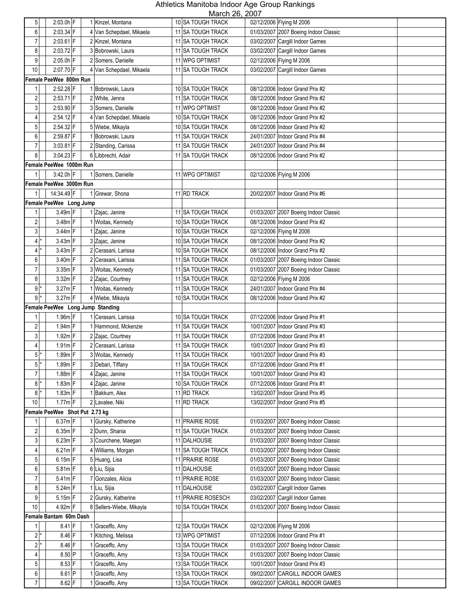| 5 <sup>1</sup>          | $2:03.0h$ <sup>F</sup>           | 1 Kinzel, Montana                   | NUUUUI ZU, ZUUI<br>10 SA TOUGH TRACK | 02/12/2006 Flying M 2006                                           |
|-------------------------|----------------------------------|-------------------------------------|--------------------------------------|--------------------------------------------------------------------|
| 6                       | $2:03.34$ F                      | 4 Van Schepdael, Mikaela            | 11 SA TOUGH TRACK                    | 01/03/2007 2007 Boeing Indoor Classic                              |
| $\overline{7}$          | $2:03.61$ F                      | 2 Kinzel, Montana                   | 11 SA TOUGH TRACK                    | 03/02/2007 Cargill Indoor Games                                    |
| 8                       | 2:03.72 F                        | 3 Bobrowski, Laura                  | 11 SA TOUGH TRACK                    | 03/02/2007 Cargill Indoor Games                                    |
| 9                       | $2:05.0h$ F                      | 2 Somers, Danielle                  | 11 WPG OPTIMIST                      | 02/12/2006 Flying M 2006                                           |
| 10                      | 2:07.70 F                        | 4 Van Schepdael, Mikaela            | 11 SA TOUGH TRACK                    | 03/02/2007 Cargill Indoor Games                                    |
|                         | Female PeeWee 800m Run           |                                     |                                      |                                                                    |
| 1                       | 2:52.28 F                        | 1 Bobrowski, Laura                  | 10 SA TOUGH TRACK                    | 08/12/2006 Indoor Grand Prix #2                                    |
| 2                       | $2:53.71$ F                      | 2 White, Jenna                      | 11 SA TOUGH TRACK                    | 08/12/2006 Indoor Grand Prix #2                                    |
| $\mathbf{3}$            | 2:53.90 F                        | 3 Somers, Danielle                  | 11 WPG OPTIMIST                      | 08/12/2006 Indoor Grand Prix #2                                    |
| 4                       | $2:54.12$ F                      | 4 Van Schepdael, Mikaela            | 10 SA TOUGH TRACK                    | 08/12/2006 Indoor Grand Prix #2                                    |
| 5 <sup>1</sup>          | 2:54.32 F                        | 5 Wiebe, Mikayla                    | 10 SA TOUGH TRACK                    | 08/12/2006 Indoor Grand Prix #2                                    |
| 6                       | 2:59.87 F                        | 1 Bobrowski, Laura                  | 11 SA TOUGH TRACK                    | 24/01/2007   Indoor Grand Prix #4                                  |
| $\overline{7}$          | $3:03.81$ F                      | 2 Standing, Carissa                 | 11 SA TOUGH TRACK                    | 24/01/2007 Indoor Grand Prix #4                                    |
| 8 <sup>1</sup>          | 3:04.23 F                        | 6 Libbrecht, Adair                  | 11 SA TOUGH TRACK                    | 08/12/2006 Indoor Grand Prix #2                                    |
|                         | Female PeeWee 1000m Run          |                                     |                                      |                                                                    |
| 1                       | 3:42.0h F                        | 1 Somers, Danielle                  | 11 WPG OPTIMIST                      | 02/12/2006 Flying M 2006                                           |
|                         | Female PeeWee 3000m Run          |                                     |                                      |                                                                    |
| 11                      | 14:34.49 F                       | 1 Grewar, Shona                     | 11 RD TRACK                          | 20/02/2007 Indoor Grand Prix #6                                    |
|                         | Female PeeWee Long Jump          |                                     |                                      |                                                                    |
| 1                       | $3.49m$ F                        | 1 Zajac, Janine                     | 11 SA TOUGH TRACK                    | 01/03/2007 2007 Boeing Indoor Classic                              |
| $\overline{\mathbf{c}}$ | 3.48m F                          | 1 Woitas, Kennedy                   | 10 SA TOUGH TRACK                    | 08/12/2006 Indoor Grand Prix #2                                    |
| 3 <sup>1</sup>          | $3.44m$ F                        | 1 Zajac, Janine                     | 10 SA TOUGH TRACK                    | 02/12/2006 Flying M 2006                                           |
| 4 *                     | $3.43m$ F                        | 3 Zajac, Janine                     | 10 SA TOUGH TRACK                    | 08/12/2006 Indoor Grand Prix #2                                    |
| $4*$                    | 3.43m F                          | 2 Cerasani, Larissa                 | 10 SA TOUGH TRACK                    | 08/12/2006 Indoor Grand Prix #2                                    |
| 6                       | 3.40m F                          | 2 Cerasani, Larissa                 | 11 SA TOUGH TRACK                    | 01/03/2007 2007 Boeing Indoor Classic                              |
| $\overline{7}$          | 3.35m F                          | 3 Woitas, Kennedy                   | 11 SA TOUGH TRACK                    | 01/03/2007 2007 Boeing Indoor Classic                              |
| 8                       | $3.32m$ F                        | 2 Zajac, Courtney                   | 11 SA TOUGH TRACK                    | 02/12/2006 Flying M 2006                                           |
| $9$  *                  | $3.27m$ F                        | 1 Woitas, Kennedy                   | 11 SA TOUGH TRACK                    | 24/01/2007 Indoor Grand Prix #4                                    |
| $9*$                    | $3.27m$ F                        | 4 Wiebe, Mikayla                    | 10 SA TOUGH TRACK                    | 08/12/2006 Indoor Grand Prix #2                                    |
|                         | Female PeeWee Long Jump Standing |                                     |                                      |                                                                    |
| 11                      | $1.96m$ F                        | 1 Cerasani, Larissa                 | 10 SA TOUGH TRACK                    | 07/12/2006 Indoor Grand Prix #1                                    |
| $\overline{c}$          | $1.94m$ F                        | 1 Hammond, Mckenzie                 | 11 SA TOUGH TRACK                    | 10/01/2007 Indoor Grand Prix #3                                    |
| 3                       | 1.92m F                          | 2 Zajac, Courtney                   | 11 SA TOUGH TRACK                    | 07/12/2006 Indoor Grand Prix #1                                    |
| $\overline{4}$          | $1.91m$ F                        | 2 Cerasani, Larissa                 | 11 SA TOUGH TRACK                    | 10/01/2007 Indoor Grand Prix #3                                    |
| $5*$                    | $1.89m$ F                        | 3 Woitas, Kennedy                   | 11 SA TOUGH TRACK                    | 10/01/2007   Indoor Grand Prix #3                                  |
| $5*$                    | $1.89m$ F                        | 3 Debari, Tiffany                   | 11 SA TOUGH TRACK                    | 07/12/2006 Indoor Grand Prix #1                                    |
| $\overline{7}$          | $1.88m$ F                        | 4 Zajac, Janine                     | 11 SA TOUGH TRACK                    | 10/01/2007 Indoor Grand Prix #3                                    |
| $8*$                    | $1.83m$ F                        | 4 Zajac, Janine                     | 10 SA TOUGH TRACK                    | 07/12/2006 Indoor Grand Prix #1                                    |
| $8*$                    | $1.83m$ F                        | 1 Bakkum, Alex                      | 11 RD TRACK                          | 13/02/2007 Indoor Grand Prix #5                                    |
| 10                      | $1.77m$ F                        | 2 Lavalee, Niki                     | 11 RD TRACK                          | 13/02/2007 Indoor Grand Prix #5                                    |
|                         | Female PeeWee Shot Put 2.73 kg   |                                     |                                      |                                                                    |
| 1                       | $6.37m$ F                        | 1 Gursky, Katherine                 | 11 PRAIRIE ROSE                      | 01/03/2007 2007 Boeing Indoor Classic                              |
| $\overline{c}$          | $6.35m$ F                        | 2 Dunn, Shania                      | 11 SA TOUGH TRACK                    | 01/03/2007 2007 Boeing Indoor Classic                              |
| $\mathbf{3}$            | $6.23m$ F                        | 3 Courchene, Maegan                 | 11 DALHOUSIE                         | 01/03/2007 2007 Boeing Indoor Classic                              |
| $\overline{4}$          | $6.21m$ F                        | 4 Williams, Morgan                  | 11 SA TOUGH TRACK                    | 01/03/2007 2007 Boeing Indoor Classic                              |
| $\sqrt{5}$              | $6.15m$ F                        | 5 Huang, Lisa                       | 11 PRAIRIE ROSE                      | 01/03/2007 2007 Boeing Indoor Classic                              |
| $\boldsymbol{6}$        | $5.81m$ F                        | 6 Liu, Sijia                        | 11 DALHOUSIE                         | 01/03/2007 2007 Boeing Indoor Classic                              |
| $\overline{7}$          | $5.41m$ F                        | 7 Gonzales, Alicia                  | 11 PRAIRIE ROSE                      | 01/03/2007 2007 Boeing Indoor Classic                              |
| 8<br>9                  | $5.24m$ F<br>$5.15m$ F           | 1 Liu, Sijia<br>2 Gursky, Katherine | 11 DALHOUSIE<br>11 PRAIRIE ROSESCH   | 03/02/2007 Cargill Indoor Games<br>03/02/2007 Cargill Indoor Games |
| 10                      | $4.92m$ F                        | 8 Sellers-Wiebe, Mikayla            | 10 SA TOUGH TRACK                    | 01/03/2007 2007 Boeing Indoor Classic                              |
|                         | Female Bantam 60m Dash           |                                     |                                      |                                                                    |
| 1 <sup>1</sup>          | $8.41$ F                         | 1 Graceffo, Amy                     | 12 SA TOUGH TRACK                    | 02/12/2006 Flying M 2006                                           |
| $2^*$                   | $8.46$ F                         | 1 Kitching, Melissa                 | 13 WPG OPTIMIST                      | 07/12/2006 Indoor Grand Prix #1                                    |
| $2^*$                   | $8.46$ F                         | 1 Graceffo, Amy                     | 13 SA TOUGH TRACK                    | 01/03/2007 2007 Boeing Indoor Classic                              |
| $\vert 4 \vert$         | $8.50$ P                         | 1 Graceffo, Amy                     | 13 SA TOUGH TRACK                    | 01/03/2007 2007 Boeing Indoor Classic                              |
| 5 <sup>1</sup>          | $8.53$ F                         | 1 Graceffo, Amy                     | 13 SA TOUGH TRACK                    | 10/01/2007 Indoor Grand Prix #3                                    |
| $\boldsymbol{6}$        | $8.61$ P                         | 1 Graceffo, Amy                     | 13 SA TOUGH TRACK                    | 09/02/2007 CARGILL INDOOR GAMES                                    |
| $\overline{7}$          | $8.62$ F                         | 1 Graceffo, Amy                     | 13 SA TOUGH TRACK                    | 09/02/2007 CARGILL INDOOR GAMES                                    |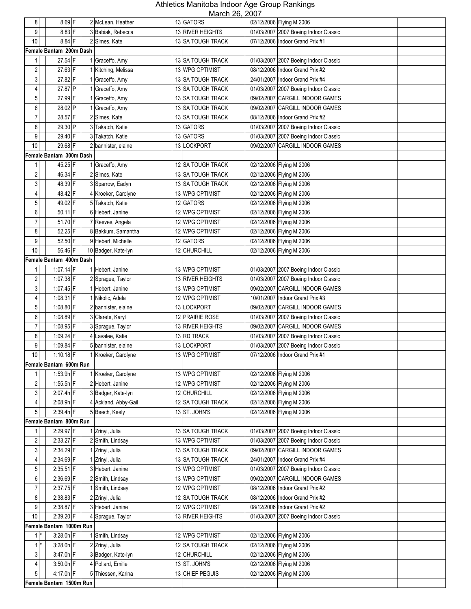| 8                                | 8.69 F                   | 2 McLean, Heather                       | 11101011 20, 2001<br>13 GATORS | 02/12/2006 Flying M 2006                             |  |
|----------------------------------|--------------------------|-----------------------------------------|--------------------------------|------------------------------------------------------|--|
| 9                                | $8.83$ F                 | 3 Babiak, Rebecca                       | 13 RIVER HEIGHTS               | 01/03/2007 2007 Boeing Indoor Classic                |  |
| 10                               | $8.84$ F                 | 2 Simes, Kate                           | 13 SA TOUGH TRACK              | 07/12/2006 Indoor Grand Prix #1                      |  |
|                                  | Female Bantam 200m Dash  |                                         |                                |                                                      |  |
| 1                                | 27.54 F                  | 1 Graceffo, Amy                         | 13 SA TOUGH TRACK              | 01/03/2007 2007 Boeing Indoor Classic                |  |
| $\overline{\mathbf{c}}$          | 27.63 F                  | 1 Kitching, Melissa                     | 13 WPG OPTIMIST                | 08/12/2006 Indoor Grand Prix #2                      |  |
| $\mathbf{3}$                     | 27.82 F                  | 1 Graceffo, Amy                         | 13 SA TOUGH TRACK              | 24/01/2007 Indoor Grand Prix #4                      |  |
| $\overline{4}$                   | 27.87 P                  | 1 Graceffo, Amy                         | 13 SA TOUGH TRACK              | 01/03/2007 2007 Boeing Indoor Classic                |  |
| 5                                | 27.99 F                  | 1 Graceffo, Amy                         | 13 SA TOUGH TRACK              | 09/02/2007 CARGILL INDOOR GAMES                      |  |
| 6                                | 28.02 P                  | 1 Graceffo, Amy                         | 13 SA TOUGH TRACK              | 09/02/2007 CARGILL INDOOR GAMES                      |  |
| $\overline{7}$                   | 28.57 F                  | 2 Simes, Kate                           | 13 SA TOUGH TRACK              | 08/12/2006 Indoor Grand Prix #2                      |  |
| 8                                | 29.30 P                  | 3 Takatch, Katie                        | 13 GATORS                      | 01/03/2007 2007 Boeing Indoor Classic                |  |
| 9                                | 29.40 F                  | Takatch, Katie<br>3                     | 13 GATORS                      | 01/03/2007 2007 Boeing Indoor Classic                |  |
| $10$                             | 29.68 F                  | bannister, elaine                       | 13 LOCKPORT                    | 09/02/2007<br><b>CARGILL INDOOR GAMES</b>            |  |
|                                  | Female Bantam 300m Dash  |                                         |                                |                                                      |  |
| 1                                | 45.25 F                  | 1 Graceffo, Amy                         | 12 SA TOUGH TRACK              | 02/12/2006 Flying M 2006                             |  |
| $\overline{\mathbf{c}}$          | 46.34 F                  | 2 Simes, Kate                           | 13 SA TOUGH TRACK              | 02/12/2006 Flying M 2006                             |  |
| $\mathbf{3}$                     | 48.39 F                  | 3 Sparrow, Eadyn                        | 13 SA TOUGH TRACK              | 02/12/2006 Flying M 2006                             |  |
| 4                                | 48.42 F                  | 4 Kroeker, Carolyne                     | 13 WPG OPTIMIST                | 02/12/2006 Flying M 2006                             |  |
| 5                                | 49.02 F                  | 5 Takatch, Katie                        | 12 GATORS                      | 02/12/2006 Flying M 2006                             |  |
| 6                                | $50.11$ F                | 6 Hebert, Janine                        | 12 WPG OPTIMIST                | 02/12/2006 Flying M 2006                             |  |
| $\overline{7}$                   | 51.70 F                  | 7 Reeves, Angela                        | 12 WPG OPTIMIST                | 02/12/2006 Flying M 2006                             |  |
| 8                                | 52.25 F                  | 8 Bakkum, Samantha                      | 12 WPG OPTIMIST                | 02/12/2006 Flying M 2006                             |  |
| 9                                | 52.50 F                  | 9 Hebert, Michelle                      | 12 GATORS                      | 02/12/2006 Flying M 2006                             |  |
| 10                               | 56.46 F                  | 10 Badger, Kate-lyn                     | 12 CHURCHILL                   | 02/12/2006 Flying M 2006                             |  |
|                                  | Female Bantam 400m Dash  |                                         |                                |                                                      |  |
| $\mathbf{1}$                     | $1:07.14$ F              | 1 Hebert, Janine                        | 13 WPG OPTIMIST                | 01/03/2007 2007 Boeing Indoor Classic                |  |
| 2                                | $1:07.38$ F              | 2 Sprague, Taylor                       | 13 RIVER HEIGHTS               | 01/03/2007 2007 Boeing Indoor Classic                |  |
| 3                                | $1:07.45$ F              | 1 Hebert, Janine                        | 13 WPG OPTIMIST                | <b>CARGILL INDOOR GAMES</b><br>09/02/2007            |  |
| 4                                | $1:08.31$ F              | 1 Nikolic, Adela                        | 12 WPG OPTIMIST                | 10/01/2007 Indoor Grand Prix #3                      |  |
| 5                                | 1:08.80 F                | 2 bannister, elaine                     | 13 LOCKPORT                    | 09/02/2007 CARGILL INDOOR GAMES                      |  |
| 6                                | 1:08.89 F                | 3 Clarete, Karyl                        | 12 PRAIRIE ROSE                | 01/03/2007 2007 Boeing Indoor Classic                |  |
| $\overline{7}$                   | $1:08.95$ F              | 3 Sprague, Taylor                       | 13 RIVER HEIGHTS               | 09/02/2007 CARGILL INDOOR GAMES                      |  |
| 8                                | 1:09.24 F                | 4 Lavalee, Katie                        | 13 RD TRACK                    | 01/03/2007 2007 Boeing Indoor Classic                |  |
| 9                                | 1:09.84 F                | 5 bannister, elaine                     | 13 LOCKPORT                    | 01/03/2007 2007 Boeing Indoor Classic                |  |
| $10$                             | $1:10.18$ F              | 1 Kroeker, Carolyne                     | 13 WPG OPTIMIST                | 07/12/2006 Indoor Grand Prix #1                      |  |
|                                  | Female Bantam 600m Run   |                                         |                                |                                                      |  |
| $\mathbf{1}$                     | 1:53.9h F                | 1 Kroeker, Carolyne                     | 13 WPG OPTIMIST                | 02/12/2006 Flying M 2006                             |  |
| $\overline{c}$                   | 1:55.5h $F$              | 2 Hebert, Janine                        | 12 WPG OPTIMIST                | 02/12/2006 Flying M 2006                             |  |
| 3 <sup>1</sup>                   | $2:07.4h$ F              | 3 Badger, Kate-lyn                      | 12 CHURCHILL                   | 02/12/2006 Flying M 2006                             |  |
| 4 <sup>1</sup>                   | 2:08.9h F                | 4 Ackland, Abby-Gail                    | <b>12 SA TOUGH TRACK</b>       | 02/12/2006 Flying M 2006                             |  |
| 5 <sub>1</sub>                   | 2:39.4h F                | 5 Beech, Keely                          | 13 ST. JOHN'S                  | 02/12/2006 Flying M 2006                             |  |
|                                  | Female Bantam 800m Run   |                                         |                                |                                                      |  |
| 1                                | 2:29.97 F                | 1 Zrinyi, Julia                         | 13 SA TOUGH TRACK              | 01/03/2007 2007 Boeing Indoor Classic                |  |
| $\overline{\mathbf{c}}$          | 2:33.27 F                | 2 Smith, Lindsay                        | 13 WPG OPTIMIST                | 01/03/2007 2007 Boeing Indoor Classic                |  |
| 3 <sup>1</sup>                   | 2:34.29 F                | 1 Zrinyi, Julia                         | 13 SA TOUGH TRACK              | 09/02/2007 CARGILL INDOOR GAMES                      |  |
| $\overline{4}$                   | $2:34.69$ F              | 1 Zrinyi, Julia                         | 13 SA TOUGH TRACK              | 24/01/2007   Indoor Grand Prix #4                    |  |
| $\sqrt{5}$                       | $2:35.51$ F              | 3 Hebert, Janine                        | 13 WPG OPTIMIST                | 01/03/2007 2007 Boeing Indoor Classic                |  |
| 6                                | $2:36.69$ F              | 2 Smith, Lindsay                        | 13 WPG OPTIMIST                | 09/02/2007 CARGILL INDOOR GAMES                      |  |
| $\overline{7}$                   | $2:37.75$ F              | 1 Smith, Lindsay                        | 12 WPG OPTIMIST                | 08/12/2006 Indoor Grand Prix #2                      |  |
| 8                                | $2:38.83$ F              | 2 Zrinyi, Julia                         | 12 SA TOUGH TRACK              | 08/12/2006 Indoor Grand Prix #2                      |  |
| 9 <sup>1</sup>                   | 2:38.87 F                | 3 Hebert, Janine                        | 12 WPG OPTIMIST                | 08/12/2006 Indoor Grand Prix #2                      |  |
| 10 <sup>1</sup>                  | 2:39.20 F                | 4 Sprague, Taylor                       | 13 RIVER HEIGHTS               | 01/03/2007 2007 Boeing Indoor Classic                |  |
|                                  | Female Bantam 1000m Run  |                                         |                                |                                                      |  |
| 1                                | $3:28.0h$ F              | 1 Smith, Lindsay                        | 12 WPG OPTIMIST                | 02/12/2006 Flying M 2006                             |  |
| $1^*$                            | $3:28.0h$ F              | 2 Zrinyi, Julia                         | 12 SA TOUGH TRACK              | 02/12/2006 Flying M 2006                             |  |
| 3 <sup>1</sup><br>4 <sup>1</sup> | 3:47.0h F<br>$3:50.0h$ F | 3 Badger, Kate-lyn<br>4 Pollard, Emilie | 12 CHURCHILL<br>13 ST. JOHN'S  | 02/12/2006 Flying M 2006<br>02/12/2006 Flying M 2006 |  |
| 5 <sup>1</sup>                   | 4:17.0h $F$              | 5 Thiessen, Karina                      | 13 CHIEF PEGUIS                | 02/12/2006 Flying M 2006                             |  |
|                                  | Female Bantam 1500m Run  |                                         |                                |                                                      |  |
|                                  |                          |                                         |                                |                                                      |  |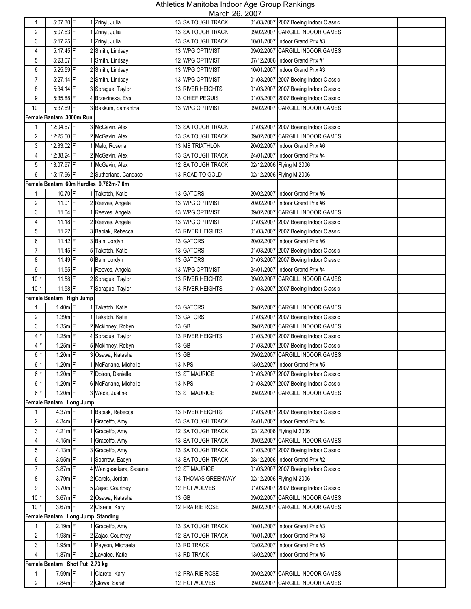| 1                       | 5:07.30 F                      | 1 Zrinyi, Julia                       | IVIGIUII LU, LUUT<br>13 SA TOUGH TRACK | 01/03/2007 2007 Boeing Indoor Classic     |
|-------------------------|--------------------------------|---------------------------------------|----------------------------------------|-------------------------------------------|
|                         |                                |                                       |                                        |                                           |
| 2                       | 5:07.63 F                      | 1 Zrinyi, Julia                       | 13 SA TOUGH TRACK                      | 09/02/2007 CARGILL INDOOR GAMES           |
| 3                       | 5:17.25 F                      | 1 Zrinyi, Julia                       | 13 SA TOUGH TRACK                      | 10/01/2007 Indoor Grand Prix #3           |
| 4                       | 5:17.45 F                      | 2 Smith, Lindsay                      | 13 WPG OPTIMIST                        | 09/02/2007 CARGILL INDOOR GAMES           |
| 5                       | $5:23.07$ F                    | 1 Smith, Lindsay                      | 12 WPG OPTIMIST                        | 07/12/2006 Indoor Grand Prix #1           |
| 6                       | 5:25.59 F                      | 2 Smith, Lindsay                      | 13 WPG OPTIMIST                        | 10/01/2007 Indoor Grand Prix #3           |
| 7                       | 5:27.14 F                      | 2 Smith, Lindsay                      | 13 WPG OPTIMIST                        | 01/03/2007 2007 Boeing Indoor Classic     |
| 8                       | $5.34.14$ F                    | 3 Sprague, Taylor                     | 13 RIVER HEIGHTS                       | 01/03/2007 2007 Boeing Indoor Classic     |
| 9                       | $5:35.88$ F                    | 4 Brzezinska, Eva                     | <b>13 CHIEF PEGUIS</b>                 | 01/03/2007 2007 Boeing Indoor Classic     |
| 10                      | 5:37.69 F                      | 3 Bakkum, Samantha                    | 13 WPG OPTIMIST                        | 09/02/2007<br><b>CARGILL INDOOR GAMES</b> |
|                         | Female Bantam 3000m Run        |                                       |                                        |                                           |
|                         | 12:04.67 F                     | 3 McGavin, Alex                       | 13 SA TOUGH TRACK                      | 01/03/2007 2007 Boeing Indoor Classic     |
| $\sqrt{2}$              | 12:25.60 F                     | 2 McGavin, Alex                       | 13 SA TOUGH TRACK                      | 09/02/2007 CARGILL INDOOR GAMES           |
| 3                       | 12:33.02 F                     | 1 Malo, Roseria                       | 13 MB TRIATHLON                        | 20/02/2007 Indoor Grand Prix #6           |
| $\overline{4}$          | 12:38.24 F                     | 2 McGavin, Alex                       | 13 SA TOUGH TRACK                      | 24/01/2007 Indoor Grand Prix #4           |
| 5                       | 13:07.97 F                     | 1 McGavin, Alex                       | 12 SA TOUGH TRACK                      | 02/12/2006 Flying M 2006                  |
| 6                       | 15:17.96 F                     | 2 Sutherland, Candace                 | 13 ROAD TO GOLD                        | 02/12/2006 Flying M 2006                  |
|                         |                                | Female Bantam 60m Hurdles 0.762m-7.0m |                                        |                                           |
| 1                       | 10.70 F                        | 1 Takatch, Katie                      | 13 GATORS                              | 20/02/2007 Indoor Grand Prix #6           |
|                         | $11.01$ F                      | 2 Reeves, Angela                      | 13 WPG OPTIMIST                        | 20/02/2007   Indoor Grand Prix #6         |
| 2                       |                                | 1 Reeves, Angela                      |                                        |                                           |
| 3                       | 11.04 F                        |                                       | 13 WPG OPTIMIST                        | 09/02/2007 CARGILL INDOOR GAMES           |
| 4                       | $11.18$ F                      | 2 Reeves, Angela                      | 13 WPG OPTIMIST                        | 01/03/2007 2007 Boeing Indoor Classic     |
| 5                       | 11.22 F                        | 3 Babiak, Rebecca                     | 13 RIVER HEIGHTS                       | 01/03/2007 2007 Boeing Indoor Classic     |
| 6                       | 11.42 F                        | 3 Bain, Jordyn                        | 13 GATORS                              | 20/02/2007 Indoor Grand Prix #6           |
| $\overline{7}$          | $11.45$ F                      | 5 Takatch, Katie                      | 13 GATORS                              | 01/03/2007 2007 Boeing Indoor Classic     |
| 8                       | 11.49 F                        | 6 Bain, Jordyn                        | 13 GATORS                              | 01/03/2007 2007 Boeing Indoor Classic     |
| 9                       | $11.55$ F                      | 1 Reeves, Angela                      | 13 WPG OPTIMIST                        | 24/01/2007 Indoor Grand Prix #4           |
| 10                      | 11.58 F                        | 2 Sprague, Taylor                     | 13 RIVER HEIGHTS                       | 09/02/2007 CARGILL INDOOR GAMES           |
| 10                      | 11.58 F                        | 7 Sprague, Taylor                     | 13 RIVER HEIGHTS                       | 01/03/2007 2007 Boeing Indoor Classic     |
|                         | Female Bantam High Jump        |                                       |                                        |                                           |
|                         | $1.40m$ F                      | Takatch, Katie                        | 13 GATORS                              | 09/02/2007 CARGILL INDOOR GAMES           |
| $\overline{\mathbf{c}}$ | $1.39m$ F                      | Takatch, Katie                        | 13 GATORS                              | 01/03/2007 2007 Boeing Indoor Classic     |
| 3                       | $1.35m$ F                      | 2 Mckinney, Robyn                     | $13$ GB                                | 09/02/2007 CARGILL INDOOR GAMES           |
| $\overline{4}$          | $1.25m$ F                      | 4 Sprague, Taylor                     | 13 RIVER HEIGHTS                       | 01/03/2007 2007 Boeing Indoor Classic     |
| 4 <sup>1</sup>          | $1.25m$ F                      | 5 Mckinney, Robyn                     | $13$ GB                                | 01/03/2007 2007 Boeing Indoor Classic     |
| 6                       | $1.20m$ F                      | 3 Osawa, Natasha                      | $13$ GB                                | 09/02/2007 CARGILL INDOOR GAMES           |
| $6*$                    | $1.20m$ F                      | 1 McFarlane, Michelle                 | 13 NPS                                 | 13/02/2007 Indoor Grand Prix #5           |
| $6*$                    | $1.20m$ F                      | 7 Doiron, Danielle                    | 13 ST MAURICE                          | 01/03/2007 2007 Boeing Indoor Classic     |
| $6$ $*$                 | $1.20m$ F                      | 6 McFarlane, Michelle                 | 13 NPS                                 | 01/03/2007 2007 Boeing Indoor Classic     |
| 6 <sup>1</sup>          | $1.20m$ F                      | 3 Wade, Justine                       | 13 ST MAURICE                          | 09/02/2007 CARGILL INDOOR GAMES           |
|                         | Female Bantam Long Jump        |                                       |                                        |                                           |
|                         | 4.37m F                        | 1 Babiak, Rebecca                     | 13 RIVER HEIGHTS                       | 01/03/2007 2007 Boeing Indoor Classic     |
| 2                       | 4.34m F                        | 1 Graceffo, Amy                       | 13 SA TOUGH TRACK                      | 24/01/2007   Indoor Grand Prix #4         |
| 3                       | $4.21m$ F                      | Graceffo, Amy                         | 12 SA TOUGH TRACK                      | 02/12/2006 Flying M 2006                  |
| 4                       | 4.15m F                        | Graceffo, Amy                         | 13 SA TOUGH TRACK                      | 09/02/2007 CARGILL INDOOR GAMES           |
| 5                       | $4.13m$ F                      | 3 Graceffo, Amy                       | 13 SA TOUGH TRACK                      | 01/03/2007 2007 Boeing Indoor Classic     |
| 6                       | 3.95m F                        | 1 Sparrow, Eadyn                      | 13 SA TOUGH TRACK                      | 08/12/2006 Indoor Grand Prix #2           |
| $\overline{7}$          | 3.87m F                        | 4 Wanigasekara, Sasanie               | 12 ST MAURICE                          | 01/03/2007 2007 Boeing Indoor Classic     |
|                         |                                |                                       | 13 THOMAS GREENWAY                     |                                           |
| 8                       | 3.79m F                        | 2 Carels, Jordan                      |                                        | 02/12/2006 Flying M 2006                  |
| 9                       | 3.70m F                        | 5 Zajac, Courtney                     | 12 HGI WOLVES                          | 01/03/2007 2007 Boeing Indoor Classic     |
| $10$ <sup>*</sup>       | $3.67m$ F                      | 2 Osawa, Natasha                      | 13 GB                                  | 09/02/2007 CARGILL INDOOR GAMES           |
| 10 <sup>1</sup>         | $3.67m$ F                      | 2 Clarete, Karyl                      | 12 PRAIRIE ROSE                        | <b>CARGILL INDOOR GAMES</b><br>09/02/2007 |
|                         |                                | Female Bantam Long Jump Standing      |                                        |                                           |
| 1                       | $2.19m$ F                      | 1 Graceffo, Amy                       | 13 SA TOUGH TRACK                      | 10/01/2007 Indoor Grand Prix #3           |
| $\overline{c}$          | $1.98m$ F                      | 2 Zajac, Courtney                     | 12 SA TOUGH TRACK                      | 10/01/2007   Indoor Grand Prix #3         |
| $\mathbf{3}$            | $1.95m$ F                      | 1 Peyson, Michaela                    | 13 RD TRACK                            | 13/02/2007   Indoor Grand Prix #5         |
| 4                       | $1.87m$ F                      | 2 Lavalee, Katie                      | 13 RD TRACK                            | 13/02/2007 Indoor Grand Prix #5           |
|                         | Female Bantam Shot Put 2.73 kg |                                       |                                        |                                           |
| 1                       | 7.99m F                        | 1 Clarete, Karyl                      | 12 PRAIRIE ROSE                        | 09/02/2007 CARGILL INDOOR GAMES           |
| $\overline{c}$          | 7.84m F                        | 2 Glowa, Sarah                        | 12 HGI WOLVES                          | 09/02/2007 CARGILL INDOOR GAMES           |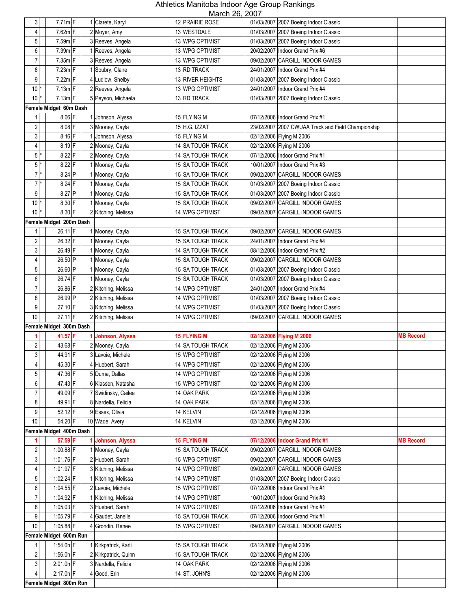| $\mathbf{3}$            | $7.71m$ F               | 1 Clarete, Karyl     | 12 PRAIRIE ROSE    |            | 01/03/2007 2007 Boeing Indoor Classic              |                  |
|-------------------------|-------------------------|----------------------|--------------------|------------|----------------------------------------------------|------------------|
| 4                       | 7.62m F                 | 2 Moyer, Amy         | 13 WESTDALE        |            | 01/03/2007 2007 Boeing Indoor Classic              |                  |
| 5                       | 7.59m F                 | 3 Reeves, Angela     | 13 WPG OPTIMIST    |            | 01/03/2007 2007 Boeing Indoor Classic              |                  |
| 6                       | 7.39m F                 |                      | 13 WPG OPTIMIST    |            | 20/02/2007 Indoor Grand Prix #6                    |                  |
| $\overline{7}$          | $7.35m$ F               | 1 Reeves, Angela     |                    |            | 09/02/2007 CARGILL INDOOR GAMES                    |                  |
|                         |                         | 3 Reeves, Angela     | 13 WPG OPTIMIST    |            |                                                    |                  |
| 8                       | $7.23m$ F               | 1 Soubry, Claire     | 13 RD TRACK        |            | 24/01/2007 Indoor Grand Prix #4                    |                  |
| $\overline{9}$          | 7.22m F                 | 4 Ludlow, Shelby     | 13 RIVER HEIGHTS   | 01/03/2007 | 2007 Boeing Indoor Classic                         |                  |
| 10 <sup>1</sup>         | $7.13m$ F               | 2 Reeves, Angela     | 13 WPG OPTIMIST    |            | 24/01/2007   Indoor Grand Prix #4                  |                  |
| 10                      | $7.13m$ F               | 5 Peyson, Michaela   | 13 RD TRACK        | 01/03/2007 | 2007 Boeing Indoor Classic                         |                  |
|                         | Female Midget 60m Dash  |                      |                    |            |                                                    |                  |
| 1                       | $8.06$ F                | Johnson, Alyssa      | 15 FLYING M        |            | 07/12/2006 Indoor Grand Prix #1                    |                  |
| 2                       | $8.08$ F                | 3 Mooney, Cayla      | 15 H.G. IZZAT      |            | 23/02/2007 2007 CWUAA Track and Field Championship |                  |
| 3                       | $8.16$ F                | Johnson, Alyssa      | 15 FLYING M        |            | 02/12/2006 Flying M 2006                           |                  |
| $\overline{\mathbf{4}}$ | $8.19$ F                | 2 Mooney, Cayla      | 14 SA TOUGH TRACK  |            | 02/12/2006 Flying M 2006                           |                  |
| $5$ <sup>*</sup>        | $8.22$ F                | 2 Mooney, Cayla      | 14 SA TOUGH TRACK  |            | 07/12/2006 Indoor Grand Prix #1                    |                  |
| $5$ <sup>*</sup>        | $8.22$ F                | 1 Mooney, Cayla      | 15 SA TOUGH TRACK  |            | 10/01/2007 Indoor Grand Prix #3                    |                  |
| $7*$                    | $8.24$ P                | 1 Mooney, Cayla      | 15 SA TOUGH TRACK  |            | 09/02/2007 CARGILL INDOOR GAMES                    |                  |
| $7^*$                   | $8.24$ F                | 1 Mooney, Cayla      | 15 SA TOUGH TRACK  |            | 01/03/2007 2007 Boeing Indoor Classic              |                  |
| 9                       | 8.27 P                  | 1 Mooney, Cayla      | 15 SA TOUGH TRACK  | 01/03/2007 | 2007 Boeing Indoor Classic                         |                  |
| 10 <sup>1</sup>         | 8.30 F                  | 1 Mooney, Cayla      | 15 SA TOUGH TRACK  | 09/02/2007 | CARGILL INDOOR GAMES                               |                  |
| 10                      | 8.30 F                  | 2 Kitching, Melissa  | 14 WPG OPTIMIST    |            | 09/02/2007 CARGILL INDOOR GAMES                    |                  |
|                         | Female Midget 200m Dash |                      |                    |            |                                                    |                  |
| 1                       | 26.11 F                 | 1 Mooney, Cayla      | 15 SA TOUGH TRACK  |            | 09/02/2007 CARGILL INDOOR GAMES                    |                  |
| 2                       | 26.32 F                 | 1 Mooney, Cayla      | 15 SA TOUGH TRACK  |            | 24/01/2007   Indoor Grand Prix #4                  |                  |
| $\mathbf{3}$            | 26.49 F                 | 1 Mooney, Cayla      | 14 SA TOUGH TRACK  |            | 08/12/2006 Indoor Grand Prix #2                    |                  |
| 4                       | 26.50 P                 | 1 Mooney, Cayla      | 15 SA TOUGH TRACK  |            | 09/02/2007 CARGILL INDOOR GAMES                    |                  |
| 5                       | 26.60 P                 | 1 Mooney, Cayla      | 15 SA TOUGH TRACK  |            | 01/03/2007 2007 Boeing Indoor Classic              |                  |
| 6                       | 26.74 F                 | 1 Mooney, Cayla      | 15 SA TOUGH TRACK  | 01/03/2007 | 2007 Boeing Indoor Classic                         |                  |
| $\overline{7}$          | 26.86 F                 | 2 Kitching, Melissa  | 14 WPG OPTIMIST    |            | 24/01/2007 Indoor Grand Prix #4                    |                  |
| 8                       | 26.99 P                 | 2 Kitching, Melissa  | 14 WPG OPTIMIST    |            | 01/03/2007 2007 Boeing Indoor Classic              |                  |
| 9                       | 27.10 F                 | 3 Kitching, Melissa  | 14 WPG OPTIMIST    |            | 01/03/2007 2007 Boeing Indoor Classic              |                  |
| 10                      | 27.11 F                 | 2 Kitching, Melissa  | 14 WPG OPTIMIST    |            | 09/02/2007 CARGILL INDOOR GAMES                    |                  |
|                         | Female Midget 300m Dash |                      |                    |            |                                                    |                  |
|                         | 41.57 F                 | Johnson, Alyssa      | <b>15 FLYING M</b> |            | 02/12/2006 Flying M 2006                           | <b>MB Record</b> |
| 2                       | 43.68 F                 | 2 Mooney, Cayla      | 14 SA TOUGH TRACK  |            | 02/12/2006 Flying M 2006                           |                  |
| 3                       | 44.91 F                 | 3 Lavoie, Michele    | 15 WPG OPTIMIST    |            | 02/12/2006 Flying M 2006                           |                  |
|                         | 45.30 F                 | 4 Huebert, Sarah     | 14 WPG OPTIMIST    |            | 02/12/2006 Flying M 2006                           |                  |
| 4                       | 47.36 F                 |                      | 14 WPG OPTIMIST    |            |                                                    |                  |
| $\overline{5}$          |                         | 5 Duma, Dallas       | 15 WPG OPTIMIST    |            | 02/12/2006 Flying M 2006                           |                  |
| 6                       | 47.43 F                 | 6 Klassen, Natasha   | 14 OAK PARK        |            | 02/12/2006 Flying M 2006                           |                  |
| 7                       | 49.09 F                 | 7 Swidinsky, Cailea  |                    |            |                                                    |                  |
| 8                       |                         |                      |                    |            | 02/12/2006 Flying M 2006                           |                  |
|                         | 49.91 F                 | 8 Nardella, Felicia  | 14 OAK PARK        |            | 02/12/2006 Flying M 2006                           |                  |
| 9                       | 52.12 F                 | 9 Essex, Olivia      | 14 KELVIN          |            | 02/12/2006 Flying M 2006                           |                  |
| $10$                    | 54.20 F                 | 10 Wade, Avery       | 14 KELVIN          |            | 02/12/2006 Flying M 2006                           |                  |
|                         | Female Midget 400m Dash |                      |                    |            |                                                    |                  |
|                         | 57.59 F                 | Johnson, Alyssa      | <b>15 FLYING M</b> |            | 07/12/2006 Indoor Grand Prix #1                    | <b>MB Record</b> |
| 2                       | 1:00.88 F               | Mooney, Cayla        | 15 SA TOUGH TRACK  |            | 09/02/2007 CARGILL INDOOR GAMES                    |                  |
| $\mathbf{3}$            | 1:01.76 F               | 2 Huebert, Sarah     | 15 WPG OPTIMIST    |            | 09/02/2007 CARGILL INDOOR GAMES                    |                  |
| $\overline{\mathbf{4}}$ | 1:01.97 $F$             | 3 Kitching, Melissa  | 14 WPG OPTIMIST    |            | 09/02/2007 CARGILL INDOOR GAMES                    |                  |
| $\overline{5}$          | 1:02.24 F               | 1 Kitching, Melissa  | 14 WPG OPTIMIST    |            | 01/03/2007 2007 Boeing Indoor Classic              |                  |
| 6                       | $1:04.55$ F             | 2 Lavoie, Michele    | 15 WPG OPTIMIST    |            | 07/12/2006 Indoor Grand Prix #1                    |                  |
| $\overline{7}$          | 1:04.92 F               | 1 Kitching, Melissa  | 14 WPG OPTIMIST    |            | 10/01/2007   Indoor Grand Prix #3                  |                  |
| 8                       | $1:05.03$ F             | 3 Huebert, Sarah     | 14 WPG OPTIMIST    |            | 07/12/2006 Indoor Grand Prix #1                    |                  |
| 9                       | $1:05.79$ F             | 4 Gaudet, Janelle    | 15 SA TOUGH TRACK  |            | 07/12/2006 Indoor Grand Prix #1                    |                  |
| 10                      | 1:05.88 F               | 4 Grondin, Renee     | 15 WPG OPTIMIST    |            | 09/02/2007 CARGILL INDOOR GAMES                    |                  |
|                         | Female Midget 600m Run  |                      |                    |            |                                                    |                  |
| 1                       | 1:54.0h F               | 1 Kirkpatrick, Karli | 15 SA TOUGH TRACK  |            | 02/12/2006 Flying M 2006                           |                  |
| $\overline{c}$          | 1:56.0h $F$             | 2 Kirkpatrick, Quinn | 15 SA TOUGH TRACK  |            | 02/12/2006 Flying M 2006                           |                  |
| 3 <sup>1</sup>          | $2:01.0h$ F             | 3 Nardella, Felicia  | 14 OAK PARK        |            | 02/12/2006 Flying M 2006                           |                  |
| 4                       | 2:17.0h F               | 4 Good, Erin         | 14 ST. JOHN'S      |            | 02/12/2006 Flying M 2006                           |                  |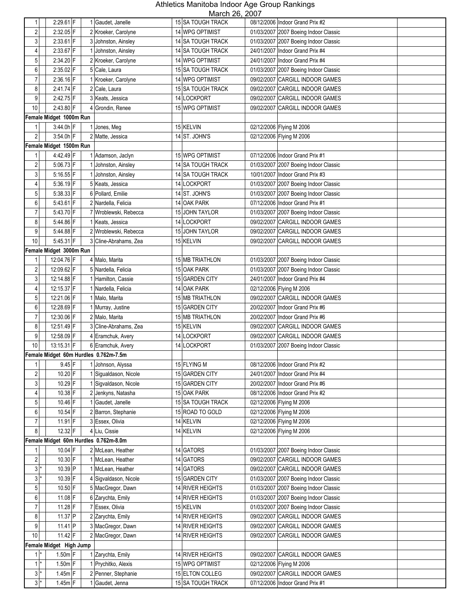| 1                       | $2:29.61$ F             | 1 Gaudet, Janelle                     | 15 SA TOUGH TRACK      |            | 08/12/2006 Indoor Grand Prix #2       |
|-------------------------|-------------------------|---------------------------------------|------------------------|------------|---------------------------------------|
| 2                       | 2:32.05 F               | 2 Kroeker, Carolyne                   | 14 WPG OPTIMIST        |            | 01/03/2007 2007 Boeing Indoor Classic |
| 3                       | $2:33.61$ F             | 3 Johnston, Ainsley                   | 14 SA TOUGH TRACK      |            | 01/03/2007 2007 Boeing Indoor Classic |
| 4                       | $2:33.67$ F             | 1 Johnston, Ainsley                   | 14 SA TOUGH TRACK      |            | 24/01/2007   Indoor Grand Prix #4     |
| 5                       | 2:34.20 F               | 2 Kroeker, Carolyne                   | 14 WPG OPTIMIST        |            | 24/01/2007   Indoor Grand Prix #4     |
| 6                       | 2:35.02 F               | 5 Cale, Laura                         | 15 SA TOUGH TRACK      |            | 01/03/2007 2007 Boeing Indoor Classic |
| 7                       | $2:36.16$ F             | 1 Kroeker, Carolyne                   | 14 WPG OPTIMIST        |            | 09/02/2007 CARGILL INDOOR GAMES       |
| 8                       | 2:41.74 F               | 2 Cale, Laura                         | 15 SA TOUGH TRACK      |            | 09/02/2007 CARGILL INDOOR GAMES       |
| 9                       | 2:42.75 F               | 3 Keats, Jessica                      | 14 LOCKPORT            |            | 09/02/2007 CARGILL INDOOR GAMES       |
| 10                      | 2:43.80 F               | 4 Grondin, Renee                      | <b>15 WPG OPTIMIST</b> |            | 09/02/2007 CARGILL INDOOR GAMES       |
|                         | Female Midget 1000m Run |                                       |                        |            |                                       |
| $\mathbf{1}$            | $3:44.0h$ F             | Jones, Meg                            | 15 KELVIN              |            | 02/12/2006 Flying M 2006              |
| $\overline{c}$          | 3:54.0h F               | 2 Matte, Jessica                      | 14 ST. JOHN'S          |            |                                       |
|                         | Female Midget 1500m Run |                                       |                        |            | 02/12/2006 Flying M 2006              |
|                         | 4:42.49 F               |                                       | 15 WPG OPTIMIST        |            |                                       |
| 1<br>$\overline{c}$     |                         | Adamson, Jaclyn                       |                        |            | 07/12/2006 Indoor Grand Prix #1       |
| 3                       | 5:06.73 F               | Johnston, Ainsley                     | 14 SA TOUGH TRACK      |            | 01/03/2007 2007 Boeing Indoor Classic |
|                         | $5:16.55$ F             | Johnston, Ainsley                     | 14 SA TOUGH TRACK      |            | 10/01/2007 Indoor Grand Prix #3       |
| 4                       | 5:36.19 F               | 5 Keats, Jessica                      | 14 LOCKPORT            |            | 01/03/2007 2007 Boeing Indoor Classic |
| 5                       | $5:38.33$ F             | 6 Pollard, Emilie                     | 14 ST. JOHN'S          |            | 01/03/2007 2007 Boeing Indoor Classic |
| 6                       | 5:43.61 F               | 2 Nardella, Felicia                   | 14 OAK PARK            |            | 07/12/2006 Indoor Grand Prix #1       |
| $\overline{7}$          | 5:43.70 F               | 7 Wroblewski, Rebecca                 | 15 JOHN TAYLOR         |            | 01/03/2007 2007 Boeing Indoor Classic |
| 8                       | $5:44.86$ F             | 1 Keats, Jessica                      | 14 LOCKPORT            |            | 09/02/2007 CARGILL INDOOR GAMES       |
| 9                       | $5:44.88$ F             | 2 Wroblewski, Rebecca                 | 15 JOHN TAYLOR         |            | 09/02/2007 CARGILL INDOOR GAMES       |
| 10                      | $5:45.31$ F             | 3 Cline-Abrahams, Zea                 | 15 KELVIN              |            | 09/02/2007 CARGILL INDOOR GAMES       |
|                         | Female Midget 3000m Run |                                       |                        |            |                                       |
| 1                       | 12:04.76 F              | 4 Malo, Marita                        | 15 MB TRIATHLON        |            | 01/03/2007 2007 Boeing Indoor Classic |
| $\overline{c}$          | 12:09.62 F              | 5 Nardella, Felicia                   | 15 OAK PARK            |            | 01/03/2007 2007 Boeing Indoor Classic |
| 3                       | 12:14.88 F              | 1 Hamilton, Cassie                    | 15 GARDEN CITY         |            | 24/01/2007   Indoor Grand Prix #4     |
| $\overline{\mathbf{4}}$ | 12:15.37 F              | 1 Nardella, Felicia                   | 14 OAK PARK            |            | 02/12/2006 Flying M 2006              |
| 5                       | 12:21.06 F              | 1 Malo, Marita                        | 15 MB TRIATHLON        |            | 09/02/2007 CARGILL INDOOR GAMES       |
| 6                       | 12:28.69 F              | 1 Murray, Justine                     | 15 GARDEN CITY         |            | 20/02/2007 Indoor Grand Prix #6       |
| $\overline{7}$          | 12:30.06 F              | 2 Malo, Marita                        | 15 MB TRIATHLON        |            | 20/02/2007   Indoor Grand Prix #6     |
| 8                       | 12:51.49 F              | 3 Cline-Abrahams, Zea                 | 15 KELVIN              |            | 09/02/2007 CARGILL INDOOR GAMES       |
| 9                       | 12:58.09 F              | 4 Eramchuk, Avery                     | 14 LOCKPORT            |            | 09/02/2007 CARGILL INDOOR GAMES       |
| 10                      | 13:15.31 F              | 6 Eramchuk, Avery                     | 14 LOCKPORT            |            | 01/03/2007 2007 Boeing Indoor Classic |
|                         |                         | Female Midget 60m Hurdles 0.762m-7.5m |                        |            |                                       |
| 1                       | $9.45$ F                | 1 Johnson, Alyssa                     | 15 FLYING M            |            | 08/12/2006 Indoor Grand Prix #2       |
| $\sqrt{2}$              | 10.20 F                 | Sigualdason, Nicole                   | 15 GARDEN CITY         |            | 24/01/2007   Indoor Grand Prix #4     |
| 3                       | 10.29 F                 | 1 Sigvaldason, Nicole                 | 15 GARDEN CITY         |            | 20/02/2007 Indoor Grand Prix #6       |
| 4                       | 10.38 F                 | 2 Jenkyns, Natasha                    | 15 OAK PARK            |            | 08/12/2006 Indoor Grand Prix #2       |
| 5                       | $10.46$ F               | 1 Gaudet, Janelle                     | 15 SA TOUGH TRACK      |            | 02/12/2006 Flying M 2006              |
| 6                       | $10.54$ F               | 2 Barron, Stephanie                   | 15 ROAD TO GOLD        |            | 02/12/2006 Flying M 2006              |
| 7                       | $11.91$ F               | 3 Essex, Olivia                       | 14 KELVIN              |            | 02/12/2006 Flying M 2006              |
| 8                       | 12.32 F                 | 4 Liu, Cissie                         | 14 KELVIN              |            | 02/12/2006 Flying M 2006              |
|                         |                         | Female Midget 60m Hurdles 0.762m-8.0m |                        |            |                                       |
| 1                       | 10.04 F                 | 2 McLean, Heather                     | 14 GATORS              |            | 01/03/2007 2007 Boeing Indoor Classic |
| $\overline{\mathbf{c}}$ | $10.30$ F               | 1 McLean, Heather                     | 14 GATORS              |            | 09/02/2007 CARGILL INDOOR GAMES       |
| $3*$                    | 10.39 P                 | McLean, Heather                       | 14 GATORS              |            | 09/02/2007 CARGILL INDOOR GAMES       |
| $3*$                    | 10.39 F                 | 4 Sigvaldason, Nicole                 | 15 GARDEN CITY         |            | 01/03/2007 2007 Boeing Indoor Classic |
| 5                       | 10.50 F                 | 5 MacGregor, Dawn                     | 14 RIVER HEIGHTS       |            | 01/03/2007 2007 Boeing Indoor Classic |
| 6                       | 11.08 F                 | 6 Zarychta, Emily                     | 14 RIVER HEIGHTS       |            | 01/03/2007 2007 Boeing Indoor Classic |
| 7                       | $11.28$ F               | 7 Essex, Olivia                       | 15 KELVIN              |            | 01/03/2007 2007 Boeing Indoor Classic |
| 8                       | 11.37 P                 | 2 Zarychta, Emily                     | 14 RIVER HEIGHTS       |            | 09/02/2007 CARGILL INDOOR GAMES       |
| 9                       | 11.41 P                 | 3 MacGregor, Dawn                     | 14 RIVER HEIGHTS       |            | 09/02/2007 CARGILL INDOOR GAMES       |
| 10                      | 11.42 F                 | 2 MacGregor, Dawn                     | 14 RIVER HEIGHTS       | 09/02/2007 | CARGILL INDOOR GAMES                  |
|                         | Female Midget High Jump |                                       |                        |            |                                       |
| $1$ <sup>*</sup>        | $1.50m$ F               | 1 Zarychta, Emily                     | 14 RIVER HEIGHTS       |            | 09/02/2007 CARGILL INDOOR GAMES       |
| $1*$                    | $1.50m$ F               | 1 Prychitko, Alexis                   | 15 WPG OPTIMIST        |            | 02/12/2006 Flying M 2006              |
| $3$ $*$                 | $1.45m$ F               | 2 Penner, Stephanie                   | 15 ELTON COLLEG        |            | 09/02/2007 CARGILL INDOOR GAMES       |
| $3$ <sup>*</sup>        | $1.45m$ F               | 1 Gaudet, Jenna                       | 15 SA TOUGH TRACK      |            | 07/12/2006 Indoor Grand Prix #1       |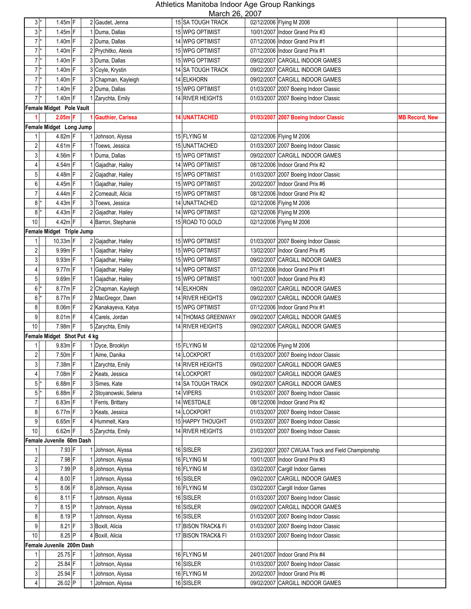| $3*$                    | $1.45m$ F                   | 2 Gaudet, Jenna          | <b>IVIGIUIL ZU, ZUUL</b><br>15 SA TOUGH TRACK |            | 02/12/2006 Flying M 2006                           |                       |
|-------------------------|-----------------------------|--------------------------|-----------------------------------------------|------------|----------------------------------------------------|-----------------------|
|                         |                             |                          |                                               |            |                                                    |                       |
| $3$ <sup>*</sup>        | $1.45m$ F                   | 1 Duma, Dallas           | 15 WPG OPTIMIST                               |            | 10/01/2007 Indoor Grand Prix #3                    |                       |
| $7*$                    | $1.40m$ F                   | 2 Duma, Dallas           | 14 WPG OPTIMIST                               |            | 07/12/2006 Indoor Grand Prix #1                    |                       |
| $7*$                    | $1.40m$ F                   | 2 Prychitko, Alexis      | 15 WPG OPTIMIST                               |            | 07/12/2006 Indoor Grand Prix #1                    |                       |
| $7*$                    | $1.40m$ F                   | 3 Duma, Dallas           | 15 WPG OPTIMIST                               |            | 09/02/2007 CARGILL INDOOR GAMES                    |                       |
| $7^*$                   | $1.40m$ F                   | 3 Coyle, Krystin         | <b>14 SA TOUGH TRACK</b>                      |            | 09/02/2007 CARGILL INDOOR GAMES                    |                       |
| $7^*$                   | $1.40m$ F                   | 3 Chapman, Kayleigh      | 14 ELKHORN                                    |            | 09/02/2007 CARGILL INDOOR GAMES                    |                       |
| $7*$                    | $1.40m$ F                   | 2 Duma, Dallas           | 15 WPG OPTIMIST                               |            | 01/03/2007 2007 Boeing Indoor Classic              |                       |
| $7^{\ast}$              | 1.40m F                     | Zarychta, Emily          | 14 RIVER HEIGHTS                              | 01/03/2007 | 2007 Boeing Indoor Classic                         |                       |
|                         | Female Midget Pole Vault    |                          |                                               |            |                                                    |                       |
|                         | $2.05m$ F                   | <b>Gauthier, Carissa</b> | <b>14 UNATTACHED</b>                          |            | 01/03/2007 2007 Boeing Indoor Classic              | <b>MB Record, New</b> |
|                         | Female Midget Long Jump     |                          |                                               |            |                                                    |                       |
|                         |                             |                          |                                               |            |                                                    |                       |
| 1                       | 4.82m F                     | Johnson, Alyssa          | 15 FLYING M                                   |            | 02/12/2006 Flying M 2006                           |                       |
| $\boldsymbol{2}$        | $4.61m$ F                   | Toews, Jessica           | 15 UNATTACHED                                 |            | 01/03/2007 2007 Boeing Indoor Classic              |                       |
| 3                       | 4.56m F                     | Duma, Dallas             | 15 WPG OPTIMIST                               |            | 09/02/2007 CARGILL INDOOR GAMES                    |                       |
| 4                       | 4.54m F                     | Gajadhar, Hailey         | 14 WPG OPTIMIST                               |            | 08/12/2006 Indoor Grand Prix #2                    |                       |
| 5                       | 4.48m F                     | 2 Gajadhar, Hailey       | 15 WPG OPTIMIST                               |            | 01/03/2007 2007 Boeing Indoor Classic              |                       |
| 6                       | 4.45m F                     | Gajadhar, Hailey         | 15 WPG OPTIMIST                               |            | 20/02/2007 Indoor Grand Prix #6                    |                       |
| $\overline{7}$          | 4.44m F                     | 2 Comeault, Alicia       | 15 WPG OPTIMIST                               |            | 08/12/2006 Indoor Grand Prix #2                    |                       |
| $8*$                    | 4.43m F                     | 3 Toews, Jessica         | 14 UNATTACHED                                 |            | 02/12/2006 Flying M 2006                           |                       |
| $8*$                    | 4.43m F                     | 2 Gajadhar, Hailey       | 14 WPG OPTIMIST                               |            | 02/12/2006 Flying M 2006                           |                       |
| 10                      | 4.42m F                     | 4 Barron, Stephanie      | 15 ROAD TO GOLD                               |            | 02/12/2006 Flying M 2006                           |                       |
|                         | Female Midget Triple Jump   |                          |                                               |            |                                                    |                       |
| 1                       | 10.33m F                    | 2 Gajadhar, Hailey       | 15 WPG OPTIMIST                               |            | 01/03/2007 2007 Boeing Indoor Classic              |                       |
|                         |                             |                          |                                               |            |                                                    |                       |
| 2                       | 9.99m F                     | Gajadhar, Hailey         | 15 WPG OPTIMIST                               |            | 13/02/2007 Indoor Grand Prix #5                    |                       |
| 3                       | $9.93m$ F                   | Gajadhar, Hailey         | 15 WPG OPTIMIST                               | 09/02/2007 | <b>CARGILL INDOOR GAMES</b>                        |                       |
| 4                       | $9.77m$ F                   | Gajadhar, Hailey         | 14 WPG OPTIMIST                               |            | 07/12/2006 Indoor Grand Prix #1                    |                       |
| 5                       | 9.69m F                     | Gajadhar, Hailey         | 15 WPG OPTIMIST                               |            | 10/01/2007 Indoor Grand Prix #3                    |                       |
| $6*$                    | $8.77m$ F                   | 2 Chapman, Kayleigh      | 14 ELKHORN                                    |            | 09/02/2007 CARGILL INDOOR GAMES                    |                       |
| $6 \mid$<br>$\star$     | 8.77m F                     | 2 MacGregor, Dawn        | 14 RIVER HEIGHTS                              |            | 09/02/2007 CARGILL INDOOR GAMES                    |                       |
| 8                       | 8.06m F                     | 2 Kanakayeva, Katya      | 15 WPG OPTIMIST                               |            | 07/12/2006 Indoor Grand Prix #1                    |                       |
| 9                       | 8.01m F                     | 4 Carels, Jordan         | 14 THOMAS GREENWAY                            |            | 09/02/2007 CARGILL INDOOR GAMES                    |                       |
| 10                      | 7.98m F                     | 5 Zarychta, Emily        | 14 RIVER HEIGHTS                              |            | 09/02/2007 CARGILL INDOOR GAMES                    |                       |
|                         | Female Midget Shot Put 4 kg |                          |                                               |            |                                                    |                       |
| 1                       | 9.83m F                     | 1 Dyce, Brooklyn         | 15 FLYING M                                   |            | 02/12/2006 Flying M 2006                           |                       |
| $\overline{c}$          | $7.50m$ F                   | 1 Aime, Danika           | 14 LOCKPORT                                   |            | 01/03/2007 2007 Boeing Indoor Classic              |                       |
| 3                       | 7.38m F                     | 1 Zarychta, Emily        | 14 RIVER HEIGHTS                              |            | 09/02/2007 CARGILL INDOOR GAMES                    |                       |
| 4                       | 7.08m F                     | 2 Keats, Jessica         | 14 LOCKPORT                                   |            | 09/02/2007 CARGILL INDOOR GAMES                    |                       |
| $5$ <sup>*</sup>        | $6.88m$ F                   |                          |                                               |            |                                                    |                       |
|                         |                             | 3 Simes, Kate            | 14 SA TOUGH TRACK                             |            | 09/02/2007 CARGILL INDOOR GAMES                    |                       |
| $5$ <sup>*</sup>        | $6.88m$ F                   | 2 Stoyanowski, Selena    | 14 VIPERS                                     |            | 01/03/2007 2007 Boeing Indoor Classic              |                       |
| $\overline{7}$          | $6.83m$ F                   | Ferris, Brittany         | 14 WESTDALE                                   |            | 08/12/2006 Indoor Grand Prix #2                    |                       |
| 8                       | $6.77m$ F                   | 3 Keats, Jessica         | 14 LOCKPORT                                   |            | 01/03/2007 2007 Boeing Indoor Classic              |                       |
| $9\,$                   | $6.65m$ F                   | 4 Hummelt, Kara          | 15 HAPPY THOUGHT                              |            | 01/03/2007 2007 Boeing Indoor Classic              |                       |
| $10$                    | $6.62m$ F                   | 5 Zarychta, Emily        | 14 RIVER HEIGHTS                              |            | 01/03/2007 2007 Boeing Indoor Classic              |                       |
|                         | Female Juvenile 60m Dash    |                          |                                               |            |                                                    |                       |
| 1                       | 7.93 F                      | Johnson, Alyssa          | 16 SISLER                                     |            | 23/02/2007 2007 CWUAA Track and Field Championship |                       |
| $\overline{\mathbf{c}}$ | 7.98 F                      | Johnson, Alyssa          | 16 FLYING M                                   |            | 10/01/2007   Indoor Grand Prix #3                  |                       |
| $\mathbf{3}$            | 7.99 P                      | 8 Johnson, Alyssa        | 16 FLYING M                                   |            | 03/02/2007 Cargill Indoor Games                    |                       |
| 4                       | 8.00 F                      | Johnson, Alyssa          | 16 SISLER                                     |            | 09/02/2007 CARGILL INDOOR GAMES                    |                       |
| $\overline{5}$          | 8.06 F                      | 8 Johnson, Alyssa        | 16 FLYING M                                   |            | 03/02/2007 Cargill Indoor Games                    |                       |
| 6                       | $8.11$ F                    | Johnson, Alyssa          | 16 SISLER                                     |            | 01/03/2007 2007 Boeing Indoor Classic              |                       |
| 7                       | $8.15$ P                    | Johnson, Alyssa          | 16 SISLER                                     |            | 09/02/2007 CARGILL INDOOR GAMES                    |                       |
|                         |                             |                          |                                               |            |                                                    |                       |
| 8                       | 8.19 P                      | Johnson, Alyssa          | 16 SISLER                                     |            | 01/03/2007 2007 Boeing Indoor Classic              |                       |
| 9                       | $8.21$ F                    | 3 Boxill, Alicia         | 17 BISON TRACK& FI                            |            | 01/03/2007 2007 Boeing Indoor Classic              |                       |
| 10                      | 8.25 P                      | 4 Boxill, Alicia         | 17 BISON TRACK& FI                            |            | 01/03/2007 2007 Boeing Indoor Classic              |                       |
|                         | Female Juvenile 200m Dash   |                          |                                               |            |                                                    |                       |
| 1                       | 25.75 F                     | Johnson, Alyssa          | 16 FLYING M                                   |            | 24/01/2007 Indoor Grand Prix #4                    |                       |
| 2                       | 25.84 F                     | Johnson, Alyssa          | 16 SISLER                                     |            | 01/03/2007 2007 Boeing Indoor Classic              |                       |
| $\mathfrak{S}$          | 25.94 F                     | Johnson, Alyssa          | 16 FLYING M                                   |            | 20/02/2007   Indoor Grand Prix #6                  |                       |
| 4                       | 26.02 P                     | Johnson, Alyssa          | 16 SISLER                                     |            | 09/02/2007 CARGILL INDOOR GAMES                    |                       |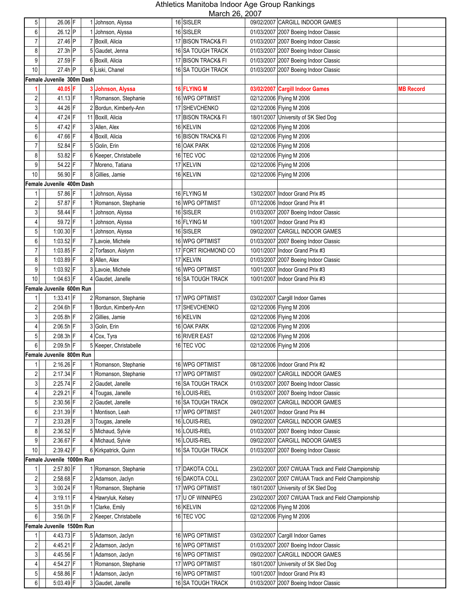| 5 <sup>1</sup>          | 26.06 F                   | 1 Johnson, Alyssa      | <br>16 SISLER       | 09/02/2007 CARGILL INDOOR GAMES                    |                  |
|-------------------------|---------------------------|------------------------|---------------------|----------------------------------------------------|------------------|
| 6                       | 26.12 P                   | 1 Johnson, Alyssa      | 16 SISLER           | 01/03/2007 2007 Boeing Indoor Classic              |                  |
| $\overline{7}$          | 27.46 P                   | 7 Boxill, Alicia       | 17 BISON TRACK& FI  | 01/03/2007 2007 Boeing Indoor Classic              |                  |
| 8                       | $27.3h$ P                 | 5 Gaudet, Jenna        | 16 SA TOUGH TRACK   | 01/03/2007 2007 Boeing Indoor Classic              |                  |
| 9                       | 27.59 F                   | 6 Boxill, Alicia       | 17 BISON TRACK& FI  | 01/03/2007 2007 Boeing Indoor Classic              |                  |
| 10                      | $27.4h$ P                 | 6 Liski, Chanel        | 16 SA TOUGH TRACK   | 01/03/2007 2007 Boeing Indoor Classic              |                  |
|                         | Female Juvenile 300m Dash |                        |                     |                                                    |                  |
| 1                       | 40.05 F                   | 3 Johnson, Alyssa      | <b>16 FLYING M</b>  | 03/02/2007 Cargill Indoor Games                    | <b>MB Record</b> |
| $\overline{\mathbf{c}}$ | 41.13 F                   | 1 Romanson, Stephanie  | 16 WPG OPTIMIST     | 02/12/2006 Flying M 2006                           |                  |
| 3                       | 44.26 F                   | 2 Bordun, Kimberly-Ann | 17 SHEVCHENKO       | 02/12/2006 Flying M 2006                           |                  |
| 4                       | 47.24 F                   | 11 Boxill, Alicia      | 17 BISON TRACK& FI  | 18/01/2007 University of SK Sled Dog               |                  |
| 5                       | 47.42 F                   | 3 Allen, Alex          | 16 KELVIN           | 02/12/2006 Flying M 2006                           |                  |
| 6                       | 47.66 F                   | 4 Boxill, Alicia       | 16 BISON TRACK& FI  | 02/12/2006 Flying M 2006                           |                  |
| $\overline{7}$          | 52.84 F                   | 5 Golin, Erin          | 16 OAK PARK         | 02/12/2006 Flying M 2006                           |                  |
| 8                       | 53.82 F                   | 6 Keeper, Christabelle | 16 TEC VOC          | 02/12/2006 Flying M 2006                           |                  |
| 9                       | 54.22 F                   | 7 Moreno, Tatiana      | 17 KELVIN           | 02/12/2006 Flying M 2006                           |                  |
| 10                      | 56.90 F                   | 8 Gillies, Jamie       | 16 KELVIN           | 02/12/2006 Flying M 2006                           |                  |
|                         | Female Juvenile 400m Dash |                        |                     |                                                    |                  |
| 1                       | 57.86 F                   | 1 Johnson, Alyssa      | 16 FLYING M         | 13/02/2007 Indoor Grand Prix #5                    |                  |
| $\sqrt{2}$              | 57.87 F                   | 1 Romanson, Stephanie  | 16 WPG OPTIMIST     | 07/12/2006 Indoor Grand Prix #1                    |                  |
| 3                       | 58.44 F                   | 1 Johnson, Alyssa      | 16 SISLER           | 01/03/2007 2007 Boeing Indoor Classic              |                  |
| 4                       | 59.72 F                   | 1 Johnson, Alyssa      | 16 FLYING M         | 10/01/2007 Indoor Grand Prix #3                    |                  |
| 5                       | $1:00.30$ F               | 1 Johnson, Alyssa      | 16 SISLER           | 09/02/2007 CARGILL INDOOR GAMES                    |                  |
| 6                       | $1:03.52$ F               | 7 Lavoie, Michele      | 16 WPG OPTIMIST     | 01/03/2007 2007 Boeing Indoor Classic              |                  |
| $\overline{7}$          | 1:03.85 F                 | 2 Torfason, Aislynn    | 17 FORT RICHMOND CO | 10/01/2007 Indoor Grand Prix #3                    |                  |
| 8                       | 1:03.89 F                 | 8 Allen, Alex          | 17 KELVIN           | 01/03/2007 2007 Boeing Indoor Classic              |                  |
| 9                       | 1:03.92 F                 | 3 Lavoie, Michele      | 16 WPG OPTIMIST     | 10/01/2007 Indoor Grand Prix #3                    |                  |
| $10$                    | 1:04.63 F                 | 4 Gaudet, Janelle      | 16 SA TOUGH TRACK   | 10/01/2007 Indoor Grand Prix #3                    |                  |
|                         | Female Juvenile 600m Run  |                        |                     |                                                    |                  |
| 1                       | $1:33.41$ F               | 2 Romanson, Stephanie  | 17 WPG OPTIMIST     | 03/02/2007 Cargill Indoor Games                    |                  |
| $\overline{2}$          | $2:04.6h$ F               | 1 Bordun, Kimberly-Ann | 17 SHEVCHENKO       | 02/12/2006 Flying M 2006                           |                  |
| 3                       | $2:05.8h$ F               | 2 Gillies, Jamie       | 16 KELVIN           | 02/12/2006 Flying M 2006                           |                  |
| $\overline{4}$          | $2:06.5h$ F               | 3 Golin, Erin          | 16 OAK PARK         | 02/12/2006 Flying M 2006                           |                  |
| $5\phantom{.0}$         | $2:08.3h$ F               | 4 Cox, Tyra            | 16 RIVER EAST       | 02/12/2006 Flying M 2006                           |                  |
| $6 \,$                  | $2:09.5h$ F               | 5 Keeper, Christabelle | 16 TEC VOC          | 02/12/2006 Flying M 2006                           |                  |
|                         | Female Juvenile 800m Run  |                        |                     |                                                    |                  |
| 1 <sup>1</sup>          | 2:16.26 F                 | 1 Romanson, Stephanie  | 16 WPG OPTIMIST     | 08/12/2006 Indoor Grand Prix #2                    |                  |
| $\overline{c}$          | $2:17.34$ F               | 1 Romanson, Stephanie  | 17 WPG OPTIMIST     | 09/02/2007 CARGILL INDOOR GAMES                    |                  |
| $\mathbf{3}$            | $2:25.74$ F               | 2 Gaudet, Janelle      | 16 SA TOUGH TRACK   | 01/03/2007 2007 Boeing Indoor Classic              |                  |
| $\overline{4}$          | 2:29.21 F                 | 4 Tougas, Janelle      | 16 LOUIS-RIEL       | 01/03/2007 2007 Boeing Indoor Classic              |                  |
| $\sqrt{5}$              | 2:30.56 F                 | 2 Gaudet, Janelle      | 16 SA TOUGH TRACK   | 09/02/2007 CARGILL INDOOR GAMES                    |                  |
| 6                       | $2:31.39$ F               | 1 Montison, Leah       | 17 WPG OPTIMIST     | 24/01/2007 Indoor Grand Prix #4                    |                  |
| $\overline{7}$          | 2:33.28 F                 | 3 Tougas, Janelle      | 16 LOUIS-RIEL       | 09/02/2007 CARGILL INDOOR GAMES                    |                  |
| 8                       | 2:36.52 F                 | 5 Michaud, Sylvie      | 16 LOUIS-RIEL       | 01/03/2007 2007 Boeing Indoor Classic              |                  |
| 9                       | $2:36.67$ F               | 4 Michaud, Sylvie      | 16 LOUIS-RIEL       | 09/02/2007 CARGILL INDOOR GAMES                    |                  |
| 10                      | 2:39.42 F                 | 6 Kirkpatrick, Quinn   | 16 SA TOUGH TRACK   | 01/03/2007 2007 Boeing Indoor Classic              |                  |
|                         | Female Juvenile 1000m Run |                        |                     |                                                    |                  |
| 1                       | $2:57.80$ F               | 1 Romanson, Stephanie  | 17 DAKOTA COLL      | 23/02/2007 2007 CWUAA Track and Field Championship |                  |
| $\sqrt{2}$              | $2:58.68$ F               | 2 Adamson, Jaclyn      | 16 DAKOTA COLL      | 23/02/2007 2007 CWUAA Track and Field Championship |                  |
| 3 <sup>1</sup>          | $3:00.24$ F               | 1 Romanson, Stephanie  | 17 WPG OPTIMIST     | 18/01/2007 University of SK Sled Dog               |                  |
| $\overline{4}$          | $3:19.11$ F               | 4 Hawryluk, Kelsey     | 17 U OF WINNIPEG    | 23/02/2007 2007 CWUAA Track and Field Championship |                  |
| $\overline{5}$          | $3:51.0h$ F               | 1 Clarke, Emily        | 16 KELVIN           | 02/12/2006 Flying M 2006                           |                  |
| $6 \,$                  | $3:56.0h$ F               | 2 Keeper, Christabelle | 16 TEC VOC          | 02/12/2006 Flying M 2006                           |                  |
|                         | Female Juvenile 1500m Run |                        |                     |                                                    |                  |
| $\mathbf{1}$            | 4:43.73 F                 | 5 Adamson, Jaclyn      | 16 WPG OPTIMIST     | 03/02/2007 Cargill Indoor Games                    |                  |
| $\overline{c}$          | 4:45.21 F                 | 2 Adamson, Jaclyn      | 16 WPG OPTIMIST     | 01/03/2007 2007 Boeing Indoor Classic              |                  |
| $\mathbf{3}$            | 4:45.56 F                 | 1 Adamson, Jaclyn      | 16 WPG OPTIMIST     | 09/02/2007 CARGILL INDOOR GAMES                    |                  |
| 4 <sup>1</sup>          | 4:54.27 F                 | 1 Romanson, Stephanie  | 17 WPG OPTIMIST     | 18/01/2007 University of SK Sled Dog               |                  |
| 5 <sub>1</sub>          | 4:58.86 F                 | 1 Adamson, Jaclyn      | 16 WPG OPTIMIST     | 10/01/2007 Indoor Grand Prix #3                    |                  |
| 6                       | $5:03.49$ F               | 3 Gaudet, Janelle      | 16 SA TOUGH TRACK   | 01/03/2007 2007 Boeing Indoor Classic              |                  |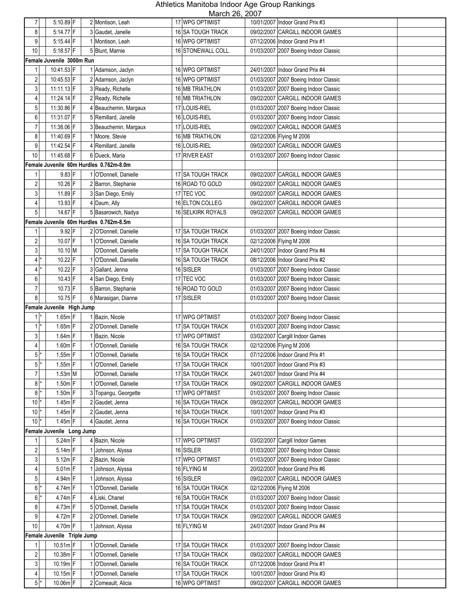| $\overline{7}$                      | 5:10.89 F                   | 2 Montison, Leah                            | NUUUUI ZU, ZUUI<br>17 WPG OPTIMIST   | 10/01/2007   Indoor Grand Prix #3                                  |
|-------------------------------------|-----------------------------|---------------------------------------------|--------------------------------------|--------------------------------------------------------------------|
| 8                                   | 5:14.77 F                   | 3 Gaudet, Janelle                           | 16 SA TOUGH TRACK                    | 09/02/2007 CARGILL INDOOR GAMES                                    |
| 9                                   | $5:15.44$ F                 | 1 Montison, Leah                            | 16 WPG OPTIMIST                      | 07/12/2006 Indoor Grand Prix #1                                    |
|                                     |                             |                                             |                                      |                                                                    |
| 10                                  | $5:18.57$ F                 | 5 Blunt, Marnie                             | 16 STONEWALL COLL.                   | 01/03/2007 2007 Boeing Indoor Classic                              |
|                                     | Female Juvenile 3000m Run   |                                             |                                      |                                                                    |
| $\mathbf{1}$                        | 10:41.53 F                  | 1 Adamson, Jaclyn                           | 16 WPG OPTIMIST                      | 24/01/2007 Indoor Grand Prix #4                                    |
| 2                                   | 10:45.53 F                  | 2 Adamson, Jaclyn                           | 16 WPG OPTIMIST                      | 01/03/2007 2007 Boeing Indoor Classic                              |
| 3                                   | 11:11.13 F                  | 3 Ready, Richelle                           | 16 MB TRIATHLON                      | 01/03/2007 2007 Boeing Indoor Classic                              |
| 4                                   | $11:24.14$ F                | 2 Ready, Richelle                           | 16 MB TRIATHLON                      | 09/02/2007 CARGILL INDOOR GAMES                                    |
| 5                                   | 11:30.86 F                  | 4 Beauchemin, Margaux                       | 17 LOUIS-RIEL                        | 01/03/2007 2007 Boeing Indoor Classic                              |
| 6                                   | 11:31.07 F                  | 5 Remillard, Janelle                        | 16 LOUIS-RIEL                        | 01/03/2007 2007 Boeing Indoor Classic                              |
| $\overline{7}$                      | 11:38.06 F                  | 3 Beauchemin, Margaux                       | 17 LOUIS-RIEL                        | 09/02/2007 CARGILL INDOOR GAMES                                    |
| 8                                   | 11:40.69 F                  | 1 Moore, Stevie                             | 16 MB TRIATHLON                      | 02/12/2006 Flying M 2006                                           |
| 9                                   | 11:42.54 F                  | 4 Remillard, Janelle                        | 16 LOUIS-RIEL                        | 09/02/2007 CARGILL INDOOR GAMES                                    |
| 10                                  | 11:45.68 F                  | 6 Dueck, Maria                              | 17 RIVER EAST                        | 01/03/2007 2007 Boeing Indoor Classic                              |
|                                     |                             | Female Juvenile 60m Hurdles 0.762m-8.0m     |                                      |                                                                    |
| 1                                   | $9.83$ F                    | 1 O'Donnell, Danielle                       | 17 SA TOUGH TRACK                    | 09/02/2007 CARGILL INDOOR GAMES                                    |
| $\overline{c}$                      | 10.26 F                     | 2 Barron, Stephanie                         | 16 ROAD TO GOLD                      | 09/02/2007 CARGILL INDOOR GAMES                                    |
| 3                                   | 11.89 F                     | 3 San Diego, Emily                          | 17 TEC VOC                           | 09/02/2007 CARGILL INDOOR GAMES                                    |
| $\overline{4}$                      | 13.93 F                     | 4 Daum, Ally                                | 16 ELTON COLLEG                      | 09/02/2007 CARGILL INDOOR GAMES                                    |
| 5                                   | 14.67 F                     | 5 Basarowich, Nadya                         | 16 SELKIRK ROYALS                    | 09/02/2007 CARGILL INDOOR GAMES                                    |
|                                     |                             | Female Juvenile 60m Hurdles 0.762m-8.5m     |                                      |                                                                    |
| 1                                   | $9.92$ F                    | 2 O'Donnell, Danielle                       | 17 SA TOUGH TRACK                    | 01/03/2007 2007 Boeing Indoor Classic                              |
| 2                                   | 10.07 F                     | 1 O'Donnell, Danielle                       | 16 SA TOUGH TRACK                    | 02/12/2006 Flying M 2006                                           |
| 3 <sup>1</sup>                      | 10.10 M                     | O'Donnell, Danielle                         | 17 SA TOUGH TRACK                    | 24/01/2007 Indoor Grand Prix #4                                    |
| $4^*$                               | 10.22 F                     | 1 O'Donnell, Danielle                       | 16 SA TOUGH TRACK                    | 08/12/2006 Indoor Grand Prix #2                                    |
| 4 *                                 | 10.22 F                     | 3 Gallant, Jenna                            | 16 SISLER                            | 01/03/2007 2007 Boeing Indoor Classic                              |
| 6                                   | $10.43$ F                   | 4 San Diego, Emily                          | 17 TEC VOC                           | 01/03/2007 2007 Boeing Indoor Classic                              |
| $\overline{7}$                      | $10.73$ F                   | 5 Barron, Stephanie                         | 16 ROAD TO GOLD                      | 01/03/2007 2007 Boeing Indoor Classic                              |
| 8                                   | 10.75 F                     | 6 Marasigan, Dianne                         | 17 SISLER                            | 01/03/2007 2007 Boeing Indoor Classic                              |
|                                     | Female Juvenile High Jump   |                                             |                                      |                                                                    |
| $1$ <sup>*</sup>                    | $1.65m$ F                   | 1 Bazin, Nicole                             | 17 WPG OPTIMIST                      | 01/03/2007 2007 Boeing Indoor Classic                              |
| $1$ <sup>*</sup>                    | $1.65m$ F                   | 2 O'Donnell, Danielle                       | 17 SA TOUGH TRACK                    | 01/03/2007 2007 Boeing Indoor Classic                              |
| 3 <sup>1</sup>                      | $1.64m$ F                   | 1 Bazin, Nicole                             | 17 WPG OPTIMIST                      | 03/02/2007 Cargill Indoor Games                                    |
| $\overline{4}$                      | 1.60m F                     | 1 O'Donnell, Danielle                       | 16 SA TOUGH TRACK                    | 02/12/2006 Flying M 2006                                           |
| $5*$                                | $1.55m$ F                   | 1 O'Donnell, Danielle                       | 16 SA TOUGH TRACK                    | 07/12/2006 Indoor Grand Prix #1                                    |
| $5*$                                | $1.55m$ F                   | 1 O'Donnell, Danielle                       | 17 SA TOUGH TRACK                    | 10/01/2007 Indoor Grand Prix #3                                    |
| $\overline{7}$                      | $1.53m$ M                   | O'Donnell, Danielle                         | 17 SA TOUGH TRACK                    | 24/01/2007 Indoor Grand Prix #4                                    |
| $8*$                                | $1.50m$ F                   | 1 O'Donnell, Danielle                       | 17 SA TOUGH TRACK                    | 09/02/2007 CARGILL INDOOR GAMES                                    |
| $8*$                                | $1.50m$ F                   | 3 Topangu, Georgette                        | 17 WPG OPTIMIST                      | 01/03/2007 2007 Boeing Indoor Classic                              |
| $10$ $*$                            | $1.45m$ F                   | 2 Gaudet, Jenna                             | 16 SA TOUGH TRACK                    | 09/02/2007 CARGILL INDOOR GAMES                                    |
| $10*$                               | $1.45m$ F                   | 2 Gaudet, Jenna                             | <b>16 SA TOUGH TRACK</b>             | 10/01/2007   Indoor Grand Prix #3                                  |
| 10 <sup>1</sup>                     | $1.45m$ F                   | 4 Gaudet, Jenna                             | <b>16 SA TOUGH TRACK</b>             | 01/03/2007 2007 Boeing Indoor Classic                              |
|                                     | Female Juvenile Long Jump   |                                             |                                      |                                                                    |
| 1                                   | $5.24m$ F                   | 4 Bazin, Nicole                             | 17 WPG OPTIMIST                      | 03/02/2007 Cargill Indoor Games                                    |
| $\overline{c}$                      | $5.14m$ F                   | Johnson, Alyssa                             | 16 SISLER                            | 01/03/2007 2007 Boeing Indoor Classic                              |
| 3                                   | $5.12m$ F                   | 2 Bazin, Nicole                             | 17 WPG OPTIMIST                      | 01/03/2007 2007 Boeing Indoor Classic                              |
| $\vert 4 \vert$                     | $5.01m$ F                   | 1 Johnson, Alyssa                           | 16 FLYING M                          | 20/02/2007 Indoor Grand Prix #6                                    |
| 5 <sup>1</sup>                      | $4.94m$ F                   | 1 Johnson, Alyssa                           | 16 SISLER                            | 09/02/2007 CARGILL INDOOR GAMES                                    |
| $6*$                                | $4.74m$ F                   | 1 O'Donnell, Danielle                       | 16 SA TOUGH TRACK                    | 02/12/2006 Flying M 2006                                           |
| $6*$                                | $4.74m$ F                   | 4 Liski, Chanel                             | 16 SA TOUGH TRACK                    | 01/03/2007 2007 Boeing Indoor Classic                              |
| 8 <sup>1</sup>                      | 4.73m F                     | 5 O'Donnell, Danielle                       | 17 SA TOUGH TRACK                    | 01/03/2007 2007 Boeing Indoor Classic                              |
| 9                                   | $4.72m$ F                   |                                             |                                      | 09/02/2007 CARGILL INDOOR GAMES                                    |
|                                     | $4.70m$ F                   | 2 O'Donnell, Danielle                       | 17 SA TOUGH TRACK                    |                                                                    |
| 10                                  |                             | 1 Johnson, Alyssa                           | 16 FLYING M                          | 24/01/2007 Indoor Grand Prix #4                                    |
|                                     | Female Juvenile Triple Jump |                                             |                                      |                                                                    |
| 11                                  | $10.51m$ F                  | 1 O'Donnell, Danielle                       | 17 SA TOUGH TRACK                    | 01/03/2007 2007 Boeing Indoor Classic                              |
| $\overline{c}$                      | $10.38m$ F                  | 1 O'Donnell, Danielle                       | 17 SA TOUGH TRACK                    | 09/02/2007 CARGILL INDOOR GAMES                                    |
|                                     |                             |                                             |                                      |                                                                    |
| 3 <sup>1</sup>                      | $10.19m$ F                  | 1 O'Donnell, Danielle                       | 16 SA TOUGH TRACK                    | 07/12/2006 Indoor Grand Prix #1                                    |
| $\vert 4 \vert$<br>$5$ <sup>*</sup> | $10.15m$ F<br>$10.06m$ F    | 1 O'Donnell, Danielle<br>2 Comeault, Alicia | 17 SA TOUGH TRACK<br>16 WPG OPTIMIST | 10/01/2007 Indoor Grand Prix #3<br>09/02/2007 CARGILL INDOOR GAMES |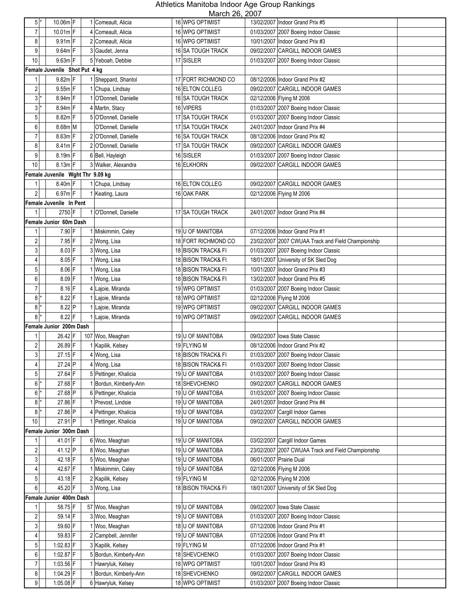| $5*$             | $10.06m$ <sup>F</sup>            | 1 Comeault, Alicia                        | <u>IVIDIUI ZU, ZUUT</u><br>16 WPG OPTIMIST |            | 13/02/2007   Indoor Grand Prix #5                  |
|------------------|----------------------------------|-------------------------------------------|--------------------------------------------|------------|----------------------------------------------------|
| $\overline{7}$   | 10.01m F                         | 4 Comeault, Alicia                        | 16 WPG OPTIMIST                            |            | 01/03/2007 2007 Boeing Indoor Classic              |
| 8                | $9.91m$ F                        | 2 Comeault, Alicia                        | 16 WPG OPTIMIST                            |            | 10/01/2007 Indoor Grand Prix #3                    |
| 9                | 9.64m F                          | 3 Gaudet, Jenna                           | 16 SA TOUGH TRACK                          |            | 09/02/2007 CARGILL INDOOR GAMES                    |
| 10               | $9.63m$ F                        | 5 Yeboah, Debbie                          | 17 SISLER                                  |            | 01/03/2007 2007 Boeing Indoor Classic              |
|                  | Female Juvenile Shot Put 4 kg    |                                           |                                            |            |                                                    |
|                  | $9.82m$ F                        | 1 Sheppard, Shantol                       | 17 FORT RICHMOND CO                        |            | 08/12/2006 Indoor Grand Prix #2                    |
| 11               |                                  |                                           | 16 ELTON COLLEG                            |            | 09/02/2007 CARGILL INDOOR GAMES                    |
| 2<br>3           | $9.55m$ F                        | 1 Chupa, Lindsay<br>1 O'Donnell, Danielle |                                            |            |                                                    |
|                  | 8.94m F                          |                                           | 16 SA TOUGH TRACK                          |            | 02/12/2006 Flying M 2006                           |
| $3$              | $8.94m$ F                        | 4 Martin, Stacy                           | 16 VIPERS                                  |            | 01/03/2007 2007 Boeing Indoor Classic              |
| 5                | $8.82m$ F                        | 5 O'Donnell, Danielle                     | 17 SA TOUGH TRACK                          |            | 01/03/2007 2007 Boeing Indoor Classic              |
| 6                | 8.68m M                          | O'Donnell, Danielle                       | 17 SA TOUGH TRACK                          |            | 24/01/2007 Indoor Grand Prix #4                    |
| $\overline{7}$   | 8.63m F                          | 2 O'Donnell, Danielle                     | 16 SA TOUGH TRACK                          |            | 08/12/2006 Indoor Grand Prix #2                    |
| 8                | $8.41m$ F                        | 2 O'Donnell, Danielle                     | 17 SA TOUGH TRACK                          |            | 09/02/2007 CARGILL INDOOR GAMES                    |
| 9                | $8.19m$ F                        | 6 Bell, Hayleigh                          | 16 SISLER                                  |            | 01/03/2007 2007 Boeing Indoor Classic              |
| $10$             | $8.13m$ F                        | 3 Walker, Alexandra                       | 16 ELKHORN                                 |            | 09/02/2007 CARGILL INDOOR GAMES                    |
|                  | Female Juvenile Wght Thr 9.09 kg |                                           |                                            |            |                                                    |
| $\mathbf{1}$     | $8.40m$ F                        | 1 Chupa, Lindsay                          | 16 ELTON COLLEG                            |            | 09/02/2007 CARGILL INDOOR GAMES                    |
| $\overline{2}$   | $6.97m$ F                        | 1 Keating, Laura                          | 16 OAK PARK                                |            | 02/12/2006 Flying M 2006                           |
|                  | Female Juvenile In Pent          |                                           |                                            |            |                                                    |
| 11               | 2750 F                           | 1 O'Donnell, Danielle                     | 17 SA TOUGH TRACK                          |            | 24/01/2007 Indoor Grand Prix #4                    |
|                  | Female Junior 60m Dash           |                                           |                                            |            |                                                    |
| $\mathbf{1}$     | 7.90 F                           | 1 Miskimmin, Caley                        | 19 U OF MANITOBA                           |            | 07/12/2006 Indoor Grand Prix #1                    |
| $\overline{c}$   | $7.95$ F                         | 2 Wong, Lisa                              | 18 FORT RICHMOND CO                        |            | 23/02/2007 2007 CWUAA Track and Field Championship |
| 3                | 8.03 F                           | 3 Wong, Lisa                              | 18 BISON TRACK& FI                         |            | 01/03/2007 2007 Boeing Indoor Classic              |
| $\overline{4}$   | 8.05 F                           | 1 Wong, Lisa                              | 18 BISON TRACK& FI                         |            | 18/01/2007 University of SK Sled Dog               |
| 5                | $8.06$ F                         | 1 Wong, Lisa                              | 18 BISON TRACK& FI                         | 10/01/2007 | Indoor Grand Prix #3                               |
| 6                | $8.09$ F                         | 1 Wong, Lisa                              | 18 BISON TRACK& FI                         |            | 13/02/2007 Indoor Grand Prix #5                    |
| $\overline{7}$   | $8.16$ F                         | 4 Lajoie, Miranda                         | 19 WPG OPTIMIST                            |            | 01/03/2007 2007 Boeing Indoor Classic              |
| 8 *              | $8.22$ F                         | 1 Lajoie, Miranda                         | 18 WPG OPTIMIST                            |            | 02/12/2006 Flying M 2006                           |
| $8$  *           | $8.22$ P                         | 1 Lajoie, Miranda                         | 19 WPG OPTIMIST                            |            | 09/02/2007 CARGILL INDOOR GAMES                    |
| $8*$             | $8.22$ F                         | 1 Lajoie, Miranda                         | 19 WPG OPTIMIST                            |            | 09/02/2007 CARGILL INDOOR GAMES                    |
|                  | Female Junior 200m Dash          |                                           |                                            |            |                                                    |
| 1                | 26.42 F                          | 107 Woo, Meaghan                          | 19 U OF MANITOBA                           |            | 09/02/2007 Iowa State Classic                      |
| $\overline{c}$   | 26.89 F                          | 1 Kapilik, Kelsey                         | 19 FLYING M                                |            | 08/12/2006 Indoor Grand Prix #2                    |
| 3                | $27.15$ F                        | 4 Wong, Lisa                              | 18 BISON TRACK& FI                         |            | 01/03/2007 2007 Boeing Indoor Classic              |
| 4 <sup>1</sup>   | 27.24 P                          | 4 Wong, Lisa                              | 18 BISON TRACK& FI                         |            | 01/03/2007 2007 Boeing Indoor Classic              |
| 5 <sub>1</sub>   | 27.64 F                          | 5 Pettinger, Khalicia                     | 19 U OF MANITOBA                           |            | 01/03/2007 2007 Boeing Indoor Classic              |
| $6$ <sup>*</sup> | 27.68 F                          | 1 Bordun, Kimberly-Ann                    | 18 SHEVCHENKO                              |            | 09/02/2007 CARGILL INDOOR GAMES                    |
| $6*$             | 27.68 P                          | 6 Pettinger, Khalicia                     | 19 U OF MANITOBA                           |            | 01/03/2007 2007 Boeing Indoor Classic              |
| $8$ $*$          | 27.86 F                          | 1 Prevost, Lindsie                        | 19 U OF MANITOBA                           |            | 24/01/2007 Indoor Grand Prix #4                    |
| 8                | 27.86 P                          | 4 Pettinger, Khalicia                     | 19 U OF MANITOBA                           |            | 03/02/2007 Cargill Indoor Games                    |
| 10               | 27.91 P                          | 1 Pettinger, Khalicia                     | 19 U OF MANITOBA                           | 09/02/2007 | CARGILL INDOOR GAMES                               |
|                  | Female Junior 300m Dash          |                                           |                                            |            |                                                    |
|                  | 41.01 F                          | 6 Woo, Meaghan                            | 19 U OF MANITOBA                           |            | 03/02/2007 Cargill Indoor Games                    |
| 2                | 41.12 P                          | 8 Woo, Meaghan                            | 19 U OF MANITOBA                           |            | 23/02/2007 2007 CWUAA Track and Field Championship |
| 3                | 42.18 F                          | 5 Woo, Meaghan                            | 19 U OF MANITOBA                           |            | 06/01/2007 Prairie Dual                            |
| 4                | 42.67 F                          | 1 Miskimmin, Caley                        | 19 U OF MANITOBA                           |            | 02/12/2006 Flying M 2006                           |
| $\overline{5}$   | 43.18 F                          | 2 Kapilik, Kelsey                         | 19 FLYING M                                |            | 02/12/2006 Flying M 2006                           |
| $6 \,$           | 45.20 F                          | 3 Wong, Lisa                              | 18 BISON TRACK& FI                         |            | 18/01/2007 University of SK Sled Dog               |
|                  | Female Junior 400m Dash          |                                           |                                            |            |                                                    |
| 1                | 58.75 F                          | 57 Woo, Meaghan                           | 19 U OF MANITOBA                           |            | 09/02/2007 lowa State Classic                      |
| 2                | 59.14 F                          | 3 Woo, Meaghan                            | 19 U OF MANITOBA                           |            | 01/03/2007 2007 Boeing Indoor Classic              |
| $\mathbf{3}$     | 59.60 F                          | 1 Woo, Meaghan                            | 18 U OF MANITOBA                           |            | 07/12/2006 Indoor Grand Prix #1                    |
| 4 <sup>1</sup>   | 59.83 F                          | 2 Campbell, Jennifer                      | 19 U OF MANITOBA                           |            | 07/12/2006 Indoor Grand Prix #1                    |
| 5                | 1:02.83 F                        | 3 Kapilik, Kelsey                         | 19 FLYING M                                |            | 07/12/2006 Indoor Grand Prix #1                    |
| 6                | 1:02.87 F                        | 5 Bordun, Kimberly-Ann                    | 18 SHEVCHENKO                              |            | 01/03/2007 2007 Boeing Indoor Classic              |
| $\overline{7}$   | $1:03.56$ F                      | 1 Hawryluk, Kelsey                        | 18 WPG OPTIMIST                            |            | 10/01/2007 Indoor Grand Prix #3                    |
| 8 <sup>0</sup>   | 1:04.29 F                        | 1 Bordun, Kimberly-Ann                    | 18 SHEVCHENKO                              |            | 09/02/2007 CARGILL INDOOR GAMES                    |
| 9                | $1:05.08$ F                      | 6 Hawryluk, Kelsey                        | 18 WPG OPTIMIST                            |            | 01/03/2007 2007 Boeing Indoor Classic              |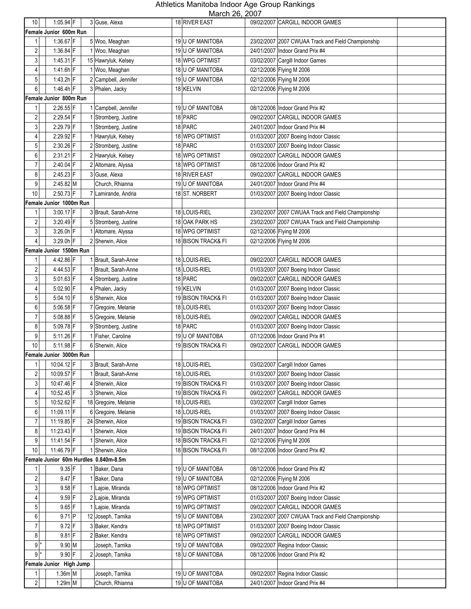| 10 <sup>1</sup>  | $1:05.94$ F                           | 3 Guse, Alexa        | 18 RIVER EAST      |            | 09/02/2007 CARGILL INDOOR GAMES                    |
|------------------|---------------------------------------|----------------------|--------------------|------------|----------------------------------------------------|
|                  | Female Junior 600m Run                |                      |                    |            |                                                    |
| 1                | 1:36.67 F                             | 5 Woo, Meaghan       | 19 U OF MANITOBA   |            | 23/02/2007 2007 CWUAA Track and Field Championship |
| 2                | $1:36.84$ F                           | 1 Woo, Meaghan       | 19 U OF MANITOBA   |            | 24/01/2007 Indoor Grand Prix #4                    |
| 3                | $1:45.31$ F                           | 15 Hawryluk, Kelsey  | 18 WPG OPTIMIST    |            | 03/02/2007 Cargill Indoor Games                    |
| 4                | $1:41.6h$ F                           | 1 Woo, Meaghan       | 18 U OF MANITOBA   |            | 02/12/2006 Flying M 2006                           |
| $5\phantom{.0}$  | $1:43.2h$ F                           |                      | 19 U OF MANITOBA   |            | 02/12/2006 Flying M 2006                           |
|                  |                                       | 2 Campbell, Jennifer |                    |            |                                                    |
| $6 \,$           | 1:46.4h F                             | 3 Phalen, Jacky      | 18 KELVIN          |            | 02/12/2006 Flying M 2006                           |
|                  | Female Junior 800m Run                |                      |                    |            |                                                    |
| 1                | 2:26.55 F                             | 1 Campbell, Jennifer | 19 U OF MANITOBA   |            | 08/12/2006 Indoor Grand Prix #2                    |
| $\overline{c}$   | 2:29.54 F                             | 1 Stromberg, Justine | 18 PARC            |            | 09/02/2007 CARGILL INDOOR GAMES                    |
| $\mathbf{3}$     | 2:29.79 F                             | 1 Stromberg, Justine | 18 PARC            |            | 24/01/2007 Indoor Grand Prix #4                    |
| 4                | 2:29.92 F                             | 1 Hawryluk, Kelsey   | 18 WPG OPTIMIST    |            | 01/03/2007 2007 Boeing Indoor Classic              |
| 5                | 2:30.26 F                             | 2 Stromberg, Justine | 18 PARC            |            | 01/03/2007 2007 Boeing Indoor Classic              |
| 6                | $2:31.21$ F                           | 2 Hawryluk, Kelsey   | 18 WPG OPTIMIST    |            | 09/02/2007 CARGILL INDOOR GAMES                    |
| $\overline{7}$   | 2:40.04 F                             | 2 Altomare, Alyssa   | 18 WPG OPTIMIST    |            | 08/12/2006 Indoor Grand Prix #2                    |
| 8                | 2:45.23 F                             | 3 Guse, Alexa        | 18 RIVER EAST      |            | 09/02/2007 CARGILL INDOOR GAMES                    |
| 9                | 2:45.82 M                             | Church, Rhianna      | 19 U OF MANITOBA   |            | 24/01/2007 Indoor Grand Prix #4                    |
| 10               | 2:50.73 F                             | 7 Lamirande, Andria  | 18 ST. NORBERT     |            | 01/03/2007 2007 Boeing Indoor Classic              |
|                  | Female Junior 1000m Run               |                      |                    |            |                                                    |
| 1                | 3:00.17 F                             | 3 Brault, Sarah-Anne | 18 LOUIS-RIEL      |            | 23/02/2007 2007 CWUAA Track and Field Championship |
| $\overline{c}$   | $3:20.49$ F                           | 5 Stromberg, Justine | 18 OAK PARK HS     |            | 23/02/2007 2007 CWUAA Track and Field Championship |
| $\mathbf{3}$     | $3:26.0h$ F                           | 1 Altomare, Alyssa   | 18 WPG OPTIMIST    |            | 02/12/2006 Flying M 2006                           |
| $\overline{4}$   | 3:29.0h F                             | 2 Sherwin, Alice     | 18 BISON TRACK& FI |            | 02/12/2006 Flying M 2006                           |
|                  | Female Junior 1500m Run               |                      |                    |            |                                                    |
| 1                | 4:42.86 F                             | 1 Brault, Sarah-Anne | 18 LOUIS-RIEL      |            | 09/02/2007 CARGILL INDOOR GAMES                    |
| 2                | 4:44.53 F                             | 1 Brault, Sarah-Anne | 18 LOUIS-RIEL      |            | 01/03/2007 2007 Boeing Indoor Classic              |
| $\mathbf{3}$     | 5:01.63 F                             | 4 Stromberg, Justine | 18 PARC            |            | 09/02/2007 CARGILL INDOOR GAMES                    |
| $\overline{4}$   | 5:02.90 F                             | 4 Phalen, Jacky      | 19 KELVIN          |            | 01/03/2007 2007 Boeing Indoor Classic              |
| 5                | $5.04.10$ F                           | 6 Sherwin, Alice     | 19 BISON TRACK& FI | 01/03/2007 | 2007 Boeing Indoor Classic                         |
| 6                | 5:06.58 F                             | 7 Gregoire, Melanie  | 18 LOUIS-RIEL      |            |                                                    |
| $\overline{7}$   | $5.08.88$ F                           |                      |                    |            | 01/03/2007 2007 Boeing Indoor Classic              |
|                  | 5:09.78 F                             | 5 Gregoire, Melanie  | 18 LOUIS-RIEL      |            | 09/02/2007 CARGILL INDOOR GAMES                    |
| 8                |                                       | 9 Stromberg, Justine | 18 PARC            |            | 01/03/2007 2007 Boeing Indoor Classic              |
| 9                | $5:11.26$ F                           | 1 Fisher, Caroline   | 19 U OF MANITOBA   |            | 07/12/2006 Indoor Grand Prix #1                    |
| 10               | $5:11.98$ F                           | 6 Sherwin, Alice     | 19 BISON TRACK& FI |            | 09/02/2007 CARGILL INDOOR GAMES                    |
|                  | Female Junior 3000m Run               |                      |                    |            |                                                    |
| 11               | 10:04.12 F                            | 3 Brault, Sarah-Anne | 18 LOUIS-RIEL      |            | 03/02/2007 Cargill Indoor Games                    |
| 2                | 10:09.57 F                            | 1 Brault, Sarah-Anne | 18 LOUIS-RIEL      |            | 01/03/2007 2007 Boeing Indoor Classic              |
| $\mathbf{3}$     | 10:47.46 F                            | 4 Sherwin, Alice     | 19 BISON TRACK& FI |            | 01/03/2007 2007 Boeing Indoor Classic              |
| $\overline{4}$   | 10:52.45 F                            | 3 Sherwin, Alice     | 19 BISON TRACK& FI |            | 09/02/2007 CARGILL INDOOR GAMES                    |
| $\sqrt{5}$       | 10:52.62 F                            | 18 Gregoire, Melanie | 18 LOUIS-RIEL      |            | 03/02/2007 Cargill Indoor Games                    |
| 6                | 11:09.11 F                            | 6 Gregoire, Melanie  | 18 LOUIS-RIEL      |            | 01/03/2007 2007 Boeing Indoor Classic              |
| $\overline{7}$   | 11:19.85 F                            | 24 Sherwin, Alice    | 19 BISON TRACK& FI |            | 03/02/2007 Cargill Indoor Games                    |
| 8                | 11:23.43 F                            | 1 Sherwin, Alice     | 19 BISON TRACK& FI |            | 24/01/2007 Indoor Grand Prix #4                    |
| 9                | 11:41.54 F                            | 1 Sherwin, Alice     | 18 BISON TRACK& FI |            | 02/12/2006 Flying M 2006                           |
| $10$             | 11:46.79 F                            | 1 Sherwin, Alice     | 18 BISON TRACK& FI |            | 08/12/2006 Indoor Grand Prix #2                    |
|                  | Female Junior 60m Hurdles 0.840m-8.5m |                      |                    |            |                                                    |
| 1                | $9.35$ F                              | 1 Baker, Dana        | 19 U OF MANITOBA   |            | 08/12/2006 Indoor Grand Prix #2                    |
| $\sqrt{2}$       | $9.47$ F                              | 1 Baker, Dana        | 19 U OF MANITOBA   |            | 02/12/2006 Flying M 2006                           |
| 3 <sup>1</sup>   | $9.58$ F                              | 1 Lajoie, Miranda    | 18 WPG OPTIMIST    |            | 08/12/2006 Indoor Grand Prix #2                    |
| $\overline{4}$   | $9.59$ F                              | 2 Lajoie, Miranda    | 19 WPG OPTIMIST    |            | 01/03/2007 2007 Boeing Indoor Classic              |
| 5 <sup>1</sup>   | $9.65$ F                              | 1 Lajoie, Miranda    | 19 WPG OPTIMIST    |            | 09/02/2007 CARGILL INDOOR GAMES                    |
| $\boldsymbol{6}$ | 9.71 P                                | 12 Joseph, Tamika    | 19 U OF MANITOBA   |            | 23/02/2007 2007 CWUAA Track and Field Championship |
| $\overline{7}$   | $9.72$ F                              | 3 Baker, Kendra      | 18 WPG OPTIMIST    |            | 01/03/2007 2007 Boeing Indoor Classic              |
| 8                | $9.81$ F                              | 2 Baker, Kendra      | 18 WPG OPTIMIST    |            | 09/02/2007 CARGILL INDOOR GAMES                    |
| $9*$             | $9.90$ M                              | Joseph, Tamika       | 19 U OF MANITOBA   |            | 09/02/2007 Regina Indoor Classic                   |
| $9*$             | $9.90$ F                              | 2 Joseph, Tamika     | 18 U OF MANITOBA   |            | 08/12/2006 Indoor Grand Prix #2                    |
|                  | Female Junior High Jump               |                      |                    |            |                                                    |
| 1                | $1.36m$ M                             | Joseph, Tamika       | 19 U OF MANITOBA   |            | 09/02/2007 Regina Indoor Classic                   |
| 2                | 1.29m M                               | Church, Rhianna      | 19 U OF MANITOBA   |            | 24/01/2007   Indoor Grand Prix #4                  |
|                  |                                       |                      |                    |            |                                                    |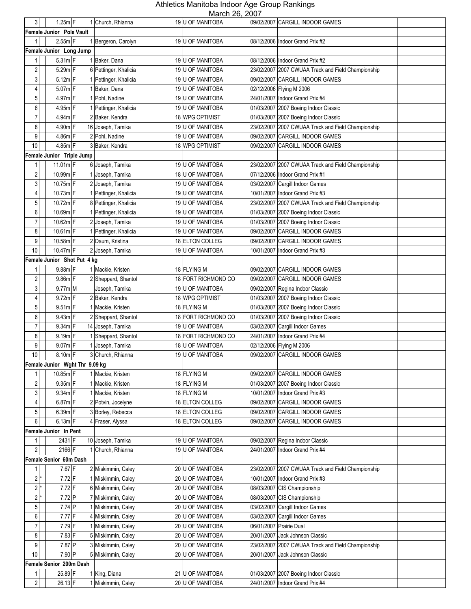| $\mathbf{3}$     | $1.25m$ F                      | 1 Church, Rhianna     | 19 U OF MANITOBA        | 09/02/2007 CARGILL INDOOR GAMES                    |
|------------------|--------------------------------|-----------------------|-------------------------|----------------------------------------------------|
|                  | Female Junior Pole Vault       |                       |                         |                                                    |
| 1                | $2.55m$ F                      | 1 Bergeron, Carolyn   | 19 U OF MANITOBA        | 08/12/2006 Indoor Grand Prix #2                    |
|                  |                                |                       |                         |                                                    |
|                  | Female Junior Long Jump        |                       |                         |                                                    |
| 1                | $5.31m$ F                      | 1 Baker, Dana         | 19 U OF MANITOBA        | 08/12/2006 Indoor Grand Prix #2                    |
| 2                | 5.29m F                        | 6 Pettinger, Khalicia | 19 U OF MANITOBA        | 23/02/2007 2007 CWUAA Track and Field Championship |
| 3                | $5.12m$ F                      | 1 Pettinger, Khalicia | 19 U OF MANITOBA        | 09/02/2007 CARGILL INDOOR GAMES                    |
| 4                | $5.07m$ F                      | 1 Baker, Dana         | 19 U OF MANITOBA        | 02/12/2006 Flying M 2006                           |
| 5                | $4.97m$ F                      | 1 Pohl, Nadine        | 19 U OF MANITOBA        | 24/01/2007 Indoor Grand Prix #4                    |
| 6                | 4.95m F                        | 1 Pettinger, Khalicia | 19 U OF MANITOBA        | 01/03/2007 2007 Boeing Indoor Classic              |
| 7                | $4.94m$ F                      | 2 Baker, Kendra       | <b>18 WPG OPTIMIST</b>  | 01/03/2007 2007 Boeing Indoor Classic              |
| 8                | 4.90m F                        | 16 Joseph, Tamika     | <b>19 U OF MANITOBA</b> | 23/02/2007 2007 CWUAA Track and Field Championship |
| 9                | 4.86m F                        |                       |                         | 09/02/2007 CARGILL INDOOR GAMES                    |
|                  |                                | 2 Pohl, Nadine        | 19 U OF MANITOBA        |                                                    |
| 10               | 4.85m F                        | 3 Baker, Kendra       | 18 WPG OPTIMIST         | 09/02/2007 CARGILL INDOOR GAMES                    |
|                  | Female Junior Triple Jump      |                       |                         |                                                    |
| 1                | 11.01m F                       | 6 Joseph, Tamika      | 19 U OF MANITOBA        | 23/02/2007 2007 CWUAA Track and Field Championship |
| 2                | 10.99m F                       | Joseph, Tamika        | 18 U OF MANITOBA        | 07/12/2006 Indoor Grand Prix #1                    |
| 3                | 10.75m F                       | 2<br>Joseph, Tamika   | 19 U OF MANITOBA        | 03/02/2007 Cargill Indoor Games                    |
| 4                | 10.73m F                       | 1 Pettinger, Khalicia | 19 U OF MANITOBA        | 10/01/2007 Indoor Grand Prix #3                    |
| 5                | 10.72m F                       | 8 Pettinger, Khalicia | 19 U OF MANITOBA        | 23/02/2007 2007 CWUAA Track and Field Championship |
| 6                | 10.69m F                       | 1 Pettinger, Khalicia | 19 U OF MANITOBA        | 01/03/2007 2007 Boeing Indoor Classic              |
| $\overline{7}$   | 10.62m F                       | 2<br>Joseph, Tamika   | 19 U OF MANITOBA        | 01/03/2007 2007 Boeing Indoor Classic              |
|                  |                                |                       |                         |                                                    |
| 8                | 10.61m F                       | 1 Pettinger, Khalicia | 19 U OF MANITOBA        | 09/02/2007 CARGILL INDOOR GAMES                    |
| 9                | 10.58m F                       | 2 Daum, Kristina      | 18 ELTON COLLEG         | 09/02/2007 CARGILL INDOOR GAMES                    |
| 10               | 10.47m F                       | 2 Joseph, Tamika      | 19 U OF MANITOBA        | 10/01/2007 Indoor Grand Prix #3                    |
|                  | Female Junior Shot Put 4 kg    |                       |                         |                                                    |
| 1                | 9.88m F                        | 1 Mackie, Kristen     | 18 FLYING M             | 09/02/2007 CARGILL INDOOR GAMES                    |
| 2                | $9.86m$ F                      | 2 Sheppard, Shantol   | 18 FORT RICHMOND CO     | 09/02/2007 CARGILL INDOOR GAMES                    |
| 3                | 9.77m M                        | Joseph, Tamika        | 19 U OF MANITOBA        | 09/02/2007 Regina Indoor Classic                   |
| 4                | $9.72m$ F                      | 2 Baker, Kendra       | 18 WPG OPTIMIST         | 01/03/2007 2007 Boeing Indoor Classic              |
| 5                | $9.51m$ F                      | 1 Mackie, Kristen     | 18 FLYING M             | 01/03/2007 2007 Boeing Indoor Classic              |
| 6                | $9.43m$ F                      | 2 Sheppard, Shantol   | 18 FORT RICHMOND CO     | 01/03/2007 2007 Boeing Indoor Classic              |
|                  |                                |                       |                         |                                                    |
| $\overline{7}$   | $9.34m$ F                      | 14 Joseph, Tamika     | 19 U OF MANITOBA        | 03/02/2007 Cargill Indoor Games                    |
| 8                | $9.19m$ F                      | 1 Sheppard, Shantol   | 18 FORT RICHMOND CO     | 24/01/2007 Indoor Grand Prix #4                    |
| 9                | $9.07m$ F                      | 1 Joseph, Tamika      | 18 U OF MANITOBA        | 02/12/2006 Flying M 2006                           |
| 10               | $8.10m$ F                      | 3 Church, Rhianna     | 19 U OF MANITOBA        | 09/02/2007 CARGILL INDOOR GAMES                    |
|                  | Female Junior Wght Thr 9.09 kg |                       |                         |                                                    |
| 1                | 10.85m F                       | 1 Mackie, Kristen     | 18 FLYING M             | 09/02/2007 CARGILL INDOOR GAMES                    |
| $\sqrt{2}$       | $9.35m$ F                      | 1 Mackie, Kristen     | 18 FLYING M             | 01/03/2007 2007 Boeing Indoor Classic              |
| 3                | $9.34m$ F                      | 1 Mackie, Kristen     | 18 FLYING M             | 10/01/2007   Indoor Grand Prix #3                  |
| 4                | $6.87m$ F                      | 2 Potvin, Jocelyne    | 18 ELTON COLLEG         | 09/02/2007 CARGILL INDOOR GAMES                    |
|                  | $6.39m$ F                      |                       | 18 ELTON COLLEG         | 09/02/2007 CARGILL INDOOR GAMES                    |
| $\overline{5}$   |                                | 3 Borley, Rebecca     |                         |                                                    |
| $6 \,$           | $6.13m$ F                      | 4 Fraser, Alyssa      | 18 ELTON COLLEG         | 09/02/2007 CARGILL INDOOR GAMES                    |
|                  | Female Junior In Pent          |                       |                         |                                                    |
| 1                | 2431 F                         | 10 Joseph, Tamika     | 19 U OF MANITOBA        | 09/02/2007 Regina Indoor Classic                   |
| $\sqrt{2}$       | 2166 F                         | 1 Church, Rhianna     | 19 U OF MANITOBA        | 24/01/2007 Indoor Grand Prix #4                    |
|                  | Female Senior 60m Dash         |                       |                         |                                                    |
|                  | 7.67 F                         | 2 Miskimmin, Caley    | 20 U OF MANITOBA        | 23/02/2007 2007 CWUAA Track and Field Championship |
| 2                | $7.72$ F                       | 1 Miskimmin, Caley    | 20 U OF MANITOBA        | 10/01/2007 Indoor Grand Prix #3                    |
| $2^*$            | $7.72$ F                       | 6 Miskimmin, Caley    | 20 U OF MANITOBA        | 08/03/2007 CIS Championship                        |
| $2^*$            | $7.72$ P                       | 7 Miskimmin, Caley    | 20 U OF MANITOBA        | 08/03/2007 CIS Championship                        |
| $\overline{5}$   | 7.74 P                         | 1 Miskimmin, Caley    | 20 U OF MANITOBA        | 03/02/2007 Cargill Indoor Games                    |
|                  |                                |                       |                         |                                                    |
| 6                | $7.77$ F                       | 4 Miskimmin, Caley    | 20 U OF MANITOBA        | 03/02/2007 Cargill Indoor Games                    |
| $\boldsymbol{7}$ | 7.79 F                         | 1 Miskimmin, Caley    | 20 U OF MANITOBA        | 06/01/2007 Prairie Dual                            |
| 8                | 7.83 F                         | 5 Miskimmin, Caley    | 20 U OF MANITOBA        | 20/01/2007 Jack Johnson Classic                    |
| $\boldsymbol{9}$ | 7.87 P                         | 3 Miskimmin, Caley    | 20 U OF MANITOBA        | 23/02/2007 2007 CWUAA Track and Field Championship |
| 10               | 7.90 P                         | 5 Miskimmin, Caley    | 20 U OF MANITOBA        | 20/01/2007 Jack Johnson Classic                    |
|                  | Female Senior 200m Dash        |                       |                         |                                                    |
| 1                | 25.89 F                        | 1 King, Diana         | 21 U OF MANITOBA        | 01/03/2007 2007 Boeing Indoor Classic              |
| $\overline{2}$   | 26.13 F                        | 1 Miskimmin, Caley    | 20 U OF MANITOBA        | 24/01/2007 Indoor Grand Prix #4                    |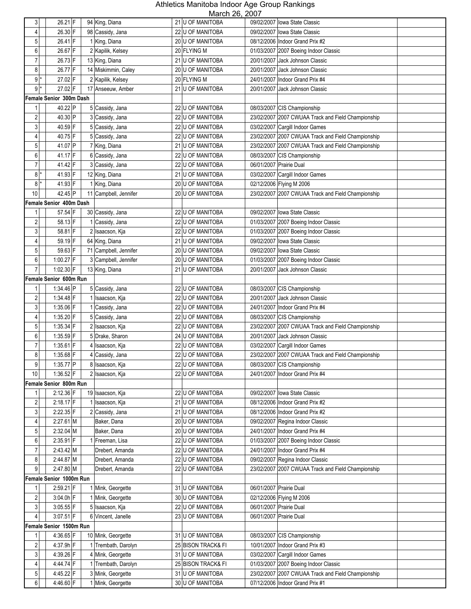| $\mathbf{3}$            | 26.21 F                 | 94 King, Diana        | NUUUUI ZU, ZUUI<br>21 U OF MANITOBA | 09/02/2007 lowa State Classic                      |
|-------------------------|-------------------------|-----------------------|-------------------------------------|----------------------------------------------------|
| 4                       | 26.30 F                 | 98 Cassidy, Jana      | 22 U OF MANITOBA                    | 09/02/2007 lowa State Classic                      |
| 5                       | 26.41 F                 | 1 King, Diana         | 20 U OF MANITOBA                    | 08/12/2006 Indoor Grand Prix #2                    |
| 6                       | 26.67 F                 | 2 Kapilik, Kelsey     | 20 FLYING M                         | 01/03/2007 2007 Boeing Indoor Classic              |
| $\overline{7}$          | 26.73 F                 | 13 King, Diana        | 21 U OF MANITOBA                    | 20/01/2007 Jack Johnson Classic                    |
| 8                       | 26.77 F                 | 14 Miskimmin, Caley   | 20 U OF MANITOBA                    | 20/01/2007 Jack Johnson Classic                    |
| $9*$                    | 27.02 F                 |                       |                                     |                                                    |
|                         |                         | 2 Kapilik, Kelsey     | 20 FLYING M                         | 24/01/2007 Indoor Grand Prix #4                    |
| $9^*$                   | 27.02 F                 | 17 Anseeuw, Amber     | 21 U OF MANITOBA                    | 20/01/2007 Jack Johnson Classic                    |
|                         | Female Senior 300m Dash |                       |                                     |                                                    |
| 1                       | 40.22 P                 | 5 Cassidy, Jana       | 22 U OF MANITOBA                    | 08/03/2007 CIS Championship                        |
| $\overline{2}$          | 40.30 P                 | 3 Cassidy, Jana       | 22 U OF MANITOBA                    | 23/02/2007 2007 CWUAA Track and Field Championship |
| 3                       | 40.59 F                 | 5 Cassidy, Jana       | 22 U OF MANITOBA                    | 03/02/2007 Cargill Indoor Games                    |
| 4                       | 40.75 F                 | 5 Cassidy, Jana       | 22 U OF MANITOBA                    | 23/02/2007 2007 CWUAA Track and Field Championship |
| 5                       | 41.07 P                 | 7 King, Diana         | 21 U OF MANITOBA                    | 23/02/2007 2007 CWUAA Track and Field Championship |
| 6                       | 41.17 F                 | 6 Cassidy, Jana       | 22 U OF MANITOBA                    | 08/03/2007 CIS Championship                        |
| $\overline{7}$          | 41.42 F                 | 3 Cassidy, Jana       | 22 U OF MANITOBA                    | 06/01/2007 Prairie Dual                            |
| $8*$                    | 41.93 F                 | 12 King, Diana        | 21 U OF MANITOBA                    | 03/02/2007 Cargill Indoor Games                    |
| 8                       | 41.93 F                 | 1 King, Diana         | 20 U OF MANITOBA                    | 02/12/2006 Flying M 2006                           |
| 10                      | 42.45 P                 | 11 Campbell, Jennifer | 20 U OF MANITOBA                    | 23/02/2007 2007 CWUAA Track and Field Championship |
|                         | Female Senior 400m Dash |                       |                                     |                                                    |
| 1                       | 57.54 F                 | 30 Cassidy, Jana      | 22 U OF MANITOBA                    | 09/02/2007 Iowa State Classic                      |
| $\overline{2}$          | 58.13 F                 | 1 Cassidy, Jana       | 22 U OF MANITOBA                    | 01/03/2007 2007 Boeing Indoor Classic              |
| 3                       | 58.81 F                 | 2 Isaacson, Kja       | 22 U OF MANITOBA                    | 01/03/2007 2007 Boeing Indoor Classic              |
| 4                       | 59.19 F                 | 64 King, Diana        | 21 U OF MANITOBA                    | 09/02/2007 lowa State Classic                      |
| 5                       | 59.63 F                 | 71 Campbell, Jennifer | 20 U OF MANITOBA                    | 09/02/2007 Iowa State Classic                      |
| 6                       | 1:00.27 F               | 3 Campbell, Jennifer  | 20 U OF MANITOBA                    | 01/03/2007 2007 Boeing Indoor Classic              |
| $\overline{7}$          | 1:02.30 F               | 13 King, Diana        | 21 U OF MANITOBA                    | 20/01/2007 Jack Johnson Classic                    |
|                         | Female Senior 600m Run  |                       |                                     |                                                    |
| 1                       | 1:34.46 P               | 5 Cassidy, Jana       | 22 U OF MANITOBA                    | 08/03/2007 CIS Championship                        |
| $\sqrt{2}$              | $1:34.48$ F             | Isaacson, Kja         | 22 U OF MANITOBA                    | 20/01/2007 Jack Johnson Classic                    |
| 3                       | 1:35.06 F               | 1 Cassidy, Jana       | 22 U OF MANITOBA                    | 24/01/2007 Indoor Grand Prix #4                    |
| 4                       | $1:35.20$ F             | 5 Cassidy, Jana       | 22 U OF MANITOBA                    | 08/03/2007 CIS Championship                        |
| 5                       | $1:35.34$ F             | 2 Isaacson, Kja       | 22 U OF MANITOBA                    | 23/02/2007 2007 CWUAA Track and Field Championship |
| 6                       | $1:35.59$ F             | 5 Drake, Sharon       | 24 U OF MANITOBA                    | 20/01/2007 Jack Johnson Classic                    |
| $\overline{7}$          | $1:35.61$ F             | 4 Isaacson, Kja       | 22 U OF MANITOBA                    | 03/02/2007 Cargill Indoor Games                    |
| 8                       | $1:35.68$ F             | 4 Cassidy, Jana       | 22 U OF MANITOBA                    | 23/02/2007 2007 CWUAA Track and Field Championship |
| 9                       | 1:35.77 $ P $           | 8 Isaacson, Kja       | 22 U OF MANITOBA                    | 08/03/2007 CIS Championship                        |
| 10 <sup>1</sup>         | 1:36.52 $F$             | 2 Isaacson, Kja       | 22 U OF MANITOBA                    | 24/01/2007   Indoor Grand Prix #4                  |
|                         | Female Senior 800m Run  |                       |                                     |                                                    |
| 1                       | 2:12.36 F               | 19 Isaacson, Kja      | 22 U OF MANITOBA                    | 09/02/2007 Iowa State Classic                      |
| $\overline{\mathbf{c}}$ | $2:18.17$ F             | 1 Isaacson, Kja       | 21 U OF MANITOBA                    | 08/12/2006 Indoor Grand Prix #2                    |
| 3 <sup>1</sup>          | $2:22.35$ F             | 2 Cassidy, Jana       | 21 U OF MANITOBA                    | 08/12/2006 Indoor Grand Prix #2                    |
| $\overline{4}$          | $2:27.61$ M             | Baker, Dana           | 20 U OF MANITOBA                    | 09/02/2007 Regina Indoor Classic                   |
| $\sqrt{5}$              | 2:32.04 M               | Baker, Dana           | 20 U OF MANITOBA                    | 24/01/2007 Indoor Grand Prix #4                    |
| 6                       | $2:35.91$ F             | 1 Freeman, Lisa       | 22 U OF MANITOBA                    | 01/03/2007 2007 Boeing Indoor Classic              |
| $\overline{7}$          | 2:43.42 M               | Drebert, Amanda       | 22 U OF MANITOBA                    | 24/01/2007 Indoor Grand Prix #4                    |
| $\bf 8$                 | $2:44.87$ M             | Drebert, Amanda       | 22 U OF MANITOBA                    | 09/02/2007 Regina Indoor Classic                   |
| 9                       | $2:47.80 \, M$          | Drebert, Amanda       | 22 U OF MANITOBA                    | 23/02/2007 2007 CWUAA Track and Field Championship |
|                         | Female Senior 1000m Run |                       |                                     |                                                    |
| 1                       | 2:59.21 F               | 1 Mink, Georgette     | 31 U OF MANITOBA                    | 06/01/2007 Prairie Dual                            |
| $\sqrt{2}$              | $3:04.0h$ F             | 1 Mink, Georgette     | 30 U OF MANITOBA                    | 02/12/2006 Flying M 2006                           |
| 3 <sup>1</sup>          | $3:05.55$ F             | 5 Isaacson, Kja       | 22 U OF MANITOBA                    | 06/01/2007 Prairie Dual                            |
| $\overline{4}$          | $3:07.51$ F             | 6 Vincent, Janelle    | 23 U OF MANITOBA                    | 06/01/2007 Prairie Dual                            |
|                         | Female Senior 1500m Run |                       |                                     |                                                    |
| $\mathbf{1}$            | 4:36.65 F               | 10 Mink, Georgette    | 31 U OF MANITOBA                    | 08/03/2007 CIS Championship                        |
| $\overline{c}$          | 4:37.9h F               | 1 Trembath, Darolyn   | 25 BISON TRACK& FI                  | 10/01/2007 Indoor Grand Prix #3                    |
| $\mathbf{3}$            | 4:39.26 F               | 4 Mink, Georgette     | 31 U OF MANITOBA                    | 03/02/2007 Cargill Indoor Games                    |
| $\overline{4}$          | 4:44.74 F               | 1 Trembath, Darolyn   | 25 BISON TRACK& FI                  | 01/03/2007 2007 Boeing Indoor Classic              |
|                         | 4:45.22 F               |                       |                                     | 23/02/2007 2007 CWUAA Track and Field Championship |
| 5 <sub>1</sub>          |                         | 3 Mink, Georgette     | 31 U OF MANITOBA                    |                                                    |
| 6                       | 4:46.60 F               | 1 Mink, Georgette     | 30 U OF MANITOBA                    | 07/12/2006 Indoor Grand Prix #1                    |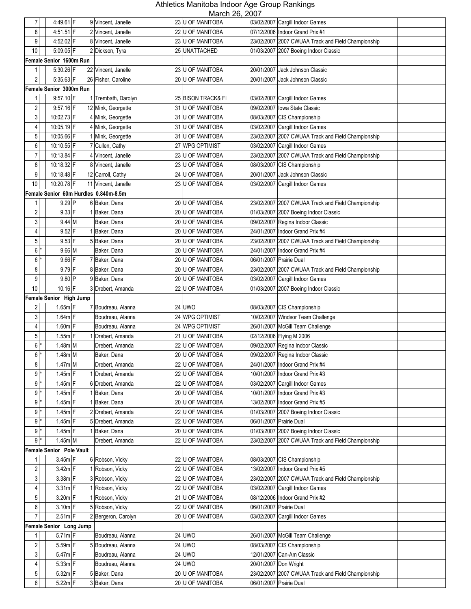| $\overline{7}$   | 4:49.61 F                | 9 Vincent, Janelle                    | 23 U OF MANITOBA                     | 03/02/2007 Cargill Indoor Games                                    |
|------------------|--------------------------|---------------------------------------|--------------------------------------|--------------------------------------------------------------------|
| 8                | $4:51.51$ F              | 2 Vincent, Janelle                    | 22 U OF MANITOBA                     | 07/12/2006 Indoor Grand Prix #1                                    |
| 9                | $4:52.02$ F              | 8 Vincent, Janelle                    | 23 U OF MANITOBA                     | 23/02/2007 2007 CWUAA Track and Field Championship                 |
| 10               | $5:09.05$ F              | 2 Dickson, Tyra                       | 25 UNATTACHED                        | 01/03/2007 2007 Boeing Indoor Classic                              |
|                  | Female Senior 1600m Run  |                                       |                                      |                                                                    |
| 1                | 5:30.26 F                | 22 Vincent, Janelle                   | 23 U OF MANITOBA                     | 20/01/2007 Jack Johnson Classic                                    |
| $\overline{2}$   | 5:35.63 F                | 26 Fisher, Caroline                   | 20 U OF MANITOBA                     | 20/01/2007<br>Jack Johnson Classic                                 |
|                  | Female Senior 3000m Run  |                                       |                                      |                                                                    |
| 1                | $9:57.10$ F              | 1 Trembath, Darolyn                   | 25 BISON TRACK& FI                   | 03/02/2007 Cargill Indoor Games                                    |
| $\overline{2}$   | 9:57.16 F                | 12 Mink, Georgette                    | 31 U OF MANITOBA                     | 09/02/2007 lowa State Classic                                      |
| 3                | 10:02.73 F               | 4 Mink, Georgette                     | 31 U OF MANITOBA                     | 08/03/2007 CIS Championship                                        |
| 4                | 10:05.19 F               | 4 Mink, Georgette                     | 31 U OF MANITOBA                     | 03/02/2007 Cargill Indoor Games                                    |
| $\mathbf 5$      | 10:05.66 F               | 1 Mink, Georgette                     | 31 U OF MANITOBA                     | 23/02/2007 2007 CWUAA Track and Field Championship                 |
| 6                | 10:10.55 F               | 7 Cullen, Cathy                       | 27 WPG OPTIMIST                      | 03/02/2007 Cargill Indoor Games                                    |
| $\overline{7}$   | 10:13.84 F               | Vincent, Janelle                      | 23 U OF MANITOBA                     | 23/02/2007 2007 CWUAA Track and Field Championship                 |
| 8                | 10:18.32 F               | 8 Vincent, Janelle                    | 23 U OF MANITOBA                     | 08/03/2007 CIS Championship                                        |
| 9                | 10:18.48 F               | 12 Carroll, Cathy                     | 24 U OF MANITOBA                     | Jack Johnson Classic<br>20/01/2007                                 |
| 10               | 10:20.78 F               | 11 Vincent, Janelle                   | 23 U OF MANITOBA                     | 03/02/2007 Cargill Indoor Games                                    |
|                  |                          | Female Senior 60m Hurdles 0.840m-8.5m |                                      |                                                                    |
| 1                | 9.29 P                   | 6 Baker, Dana                         | 20 U OF MANITOBA                     | 23/02/2007 2007 CWUAA Track and Field Championship                 |
| $\overline{c}$   | $9.33$ F                 | 1 Baker, Dana                         | 20 U OF MANITOBA                     | 01/03/2007 2007 Boeing Indoor Classic                              |
| 3                | $9.44$ M                 | Baker, Dana                           | 20 U OF MANITOBA                     | 09/02/2007 Regina Indoor Classic                                   |
| 4                | $9.52$ F                 | 1 Baker, Dana                         | 20 U OF MANITOBA                     | 24/01/2007 Indoor Grand Prix #4                                    |
| $\mathbf 5$      | $9.53$ F                 | 5 Baker, Dana                         | 20 U OF MANITOBA                     | 23/02/2007 2007 CWUAA Track and Field Championship                 |
| 6                | $9.66$ M                 | Baker, Dana                           | 20 U OF MANITOBA                     | 24/01/2007 Indoor Grand Prix #4                                    |
| 6                | $9.66$ F                 | 7 Baker, Dana                         | 20 U OF MANITOBA                     | 06/01/2007 Prairie Dual                                            |
| 8                | $9.79$ F                 | 8 Baker, Dana                         | 20 U OF MANITOBA                     | 23/02/2007 2007 CWUAA Track and Field Championship                 |
| 9                | $9.80$ P                 | 9 Baker, Dana                         | 20 U OF MANITOBA                     | 03/02/2007 Cargill Indoor Games                                    |
| 10               | $10.16$ F                | 3 Drebert, Amanda                     | 22 U OF MANITOBA                     | 01/03/2007 2007 Boeing Indoor Classic                              |
|                  | Female Senior High Jump  |                                       |                                      |                                                                    |
| $\overline{c}$   | $1.65m$ F                | 7 Boudreau, Alanna                    | 24 UWO                               | 08/03/2007 CIS Championship                                        |
| 3                | $1.64m$ F                | Boudreau, Alanna                      | 24 WPG OPTIMIST                      | 10/02/2007 Windsor Team Challenge                                  |
| $\overline{4}$   | $1.60m$ F                | Boudreau, Alanna                      | 24 WPG OPTIMIST                      | 26/01/2007 McGill Team Challenge                                   |
| $\mathbf 5$      | $1.55m$ F                | 1 Drebert, Amanda                     | 21 U OF MANITOBA                     | 02/12/2006 Flying M 2006                                           |
| 6                | 1.48m M                  | Drebert, Amanda                       | 22 U OF MANITOBA                     | 09/02/2007 Regina Indoor Classic                                   |
| 6                | 1.48m M                  | Baker, Dana                           | 20 U OF MANITOBA                     | 09/02/2007 Regina Indoor Classic                                   |
| 8                | $1.47m$ M                | Drebert, Amanda                       | 22 U OF MANITOBA                     | 24/01/2007 Indoor Grand Prix #4                                    |
| $9*$             | $1.45m$ F                | 1 Drebert, Amanda                     | 22 U OF MANITOBA                     | 10/01/2007 Indoor Grand Prix #3                                    |
| 9                | 1.45m F                  | 6 Drebert, Amanda                     | 22 U OF MANITOBA                     | 03/02/2007 Cargill Indoor Games                                    |
| $9*$             | $1.45m$ F                | 1 Baker, Dana                         | 20 U OF MANITOBA                     | 10/01/2007 Indoor Grand Prix #3                                    |
| $9^*$            | $1.45m$ F                | 1 Baker, Dana                         | 20 U OF MANITOBA                     | 13/02/2007 Indoor Grand Prix #5                                    |
| $9^*$            | $1.45m$ F                | 2 Drebert, Amanda                     | 22 U OF MANITOBA                     | 01/03/2007 2007 Boeing Indoor Classic                              |
| $9$ <sup>*</sup> | $1.45m$ F                | 5 Drebert, Amanda                     | 22 U OF MANITOBA                     | 06/01/2007 Prairie Dual                                            |
| $9$ $*$          | $1.45m$ F                | 1 Baker, Dana                         | 20 U OF MANITOBA                     | 01/03/2007 2007 Boeing Indoor Classic                              |
| 9                | $1.45m$ M                | Drebert, Amanda                       | 22 U OF MANITOBA                     | 23/02/2007 2007 CWUAA Track and Field Championship                 |
|                  | Female Senior Pole Vault |                                       |                                      |                                                                    |
|                  | $3.45m$ F                | 6 Robson, Vicky                       | 22 U OF MANITOBA                     | 08/03/2007 CIS Championship                                        |
| 2                | $3.42m$ F                | Robson, Vicky                         | 22 U OF MANITOBA                     | 13/02/2007   Indoor Grand Prix #5                                  |
| 3                | 3.38m F<br>$3.31m$ F     | 3 Robson, Vicky                       | 22 U OF MANITOBA<br>22 U OF MANITOBA | 23/02/2007 2007 CWUAA Track and Field Championship                 |
| 4<br>$\mathbf 5$ | 3.20m F                  | 1 Robson, Vicky<br>1 Robson, Vicky    | 21 U OF MANITOBA                     | 03/02/2007 Cargill Indoor Games<br>08/12/2006 Indoor Grand Prix #2 |
| 6                | $3.10m$ F                | 5 Robson, Vicky                       | 22 U OF MANITOBA                     | 06/01/2007 Prairie Dual                                            |
| $\overline{7}$   | $2.51m$ F                | 2 Bergeron, Carolyn                   | 20 U OF MANITOBA                     | 03/02/2007 Cargill Indoor Games                                    |
|                  | Female Senior Long Jump  |                                       |                                      |                                                                    |
| 1                | $5.71m$ F                | Boudreau, Alanna                      | 24 UWO                               | 26/01/2007 McGill Team Challenge                                   |
| $\overline{c}$   | 5.59m F                  | 5 Boudreau, Alanna                    | <b>24 UWO</b>                        | 08/03/2007 CIS Championship                                        |
| 3                | 5.47m F                  | Boudreau, Alanna                      | 24 UWO                               | 12/01/2007 Can-Am Classic                                          |
| 4                | $5.33m$ F                | Boudreau, Alanna                      | 24 UWO                               | 20/01/2007 Don Wright                                              |
| 5                | $5.32m$ F                | 5 Baker, Dana                         | 20 U OF MANITOBA                     | 23/02/2007 2007 CWUAA Track and Field Championship                 |
| 6                | $5.22m$ F                | 3 Baker, Dana                         | 20 U OF MANITOBA                     | 06/01/2007 Prairie Dual                                            |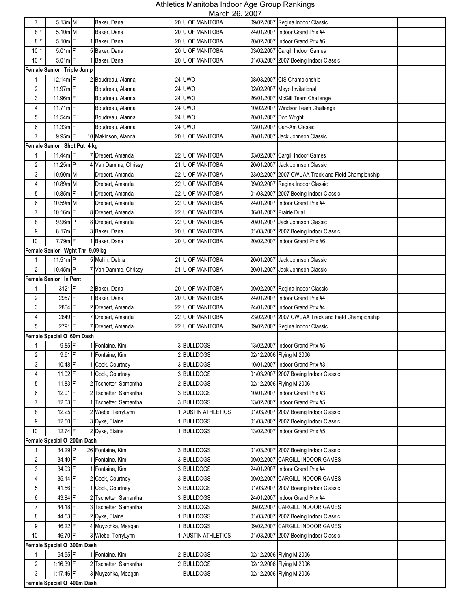| $\overline{7}$  | $5.13m$ M                      | Baker, Dana           | IVICIUII LU, LUUT<br>20 U OF MANITOBA |                       | 09/02/2007 Regina Indoor Classic                   |
|-----------------|--------------------------------|-----------------------|---------------------------------------|-----------------------|----------------------------------------------------|
| 8               | 5.10m M                        | Baker, Dana           | 20 U OF MANITOBA                      |                       | 24/01/2007   Indoor Grand Prix #4                  |
| 8 <sup>1</sup>  | $5.10m$ F                      | 1 Baker, Dana         | 20 U OF MANITOBA                      |                       | 20/02/2007 Indoor Grand Prix #6                    |
| $10*$           | $5.01m$ F                      | 5 Baker, Dana         | 20 U OF MANITOBA                      |                       | 03/02/2007 Cargill Indoor Games                    |
| $10*$           | $5.01m$ F                      | 1 Baker, Dana         | 20 U OF MANITOBA                      |                       | 01/03/2007 2007 Boeing Indoor Classic              |
|                 | Female Senior Triple Jump      |                       |                                       |                       |                                                    |
| 1               | 12.14m F                       | 2 Boudreau, Alanna    | <b>24 UWO</b>                         |                       | 08/03/2007 CIS Championship                        |
| 2               | 11.97m F                       | Boudreau, Alanna      | 24 UWO                                |                       | 02/02/2007 Meyo Invitational                       |
| $\mathbf{3}$    | $11.96m$ F                     |                       | 24 UWO                                |                       |                                                    |
| 4               | 11.71m F                       | Boudreau, Alanna      |                                       |                       | 26/01/2007 McGill Team Challenge                   |
|                 |                                | Boudreau, Alanna      | 24 UWO                                |                       | 10/02/2007 Windsor Team Challenge                  |
| 5               | 11.54m F                       | Boudreau, Alanna      | <b>24 UWO</b>                         | 20/01/2007 Don Wright |                                                    |
| 6               | $11.33m$ F                     | Boudreau, Alanna      | 24 UWO                                |                       | 12/01/2007 Can-Am Classic                          |
| $\overline{7}$  | 9.95m F                        | 10 Makinson, Alanna   | 20 U OF MANITOBA                      |                       | 20/01/2007 Jack Johnson Classic                    |
|                 | Female Senior Shot Put 4 kg    |                       |                                       |                       |                                                    |
| 1               | 11.44m F                       | 7 Drebert, Amanda     | 22 U OF MANITOBA                      |                       | 03/02/2007 Cargill Indoor Games                    |
| $\overline{c}$  | 11.25m P                       | 4 Van Damme, Chrissy  | 21 U OF MANITOBA                      |                       | 20/01/2007 Jack Johnson Classic                    |
| $\mathbf{3}$    | 10.90m M                       | Drebert, Amanda       | 22 U OF MANITOBA                      |                       | 23/02/2007 2007 CWUAA Track and Field Championship |
| 4               | 10.89m M                       | Drebert, Amanda       | 22 U OF MANITOBA                      |                       | 09/02/2007 Regina Indoor Classic                   |
| 5               | 10.85m F                       | 1 Drebert, Amanda     | 22 U OF MANITOBA                      |                       | 01/03/2007 2007 Boeing Indoor Classic              |
| 6               | $10.59m$ M                     | Drebert, Amanda       | 22 U OF MANITOBA                      |                       | 24/01/2007   Indoor Grand Prix #4                  |
| $\overline{7}$  | $10.16m$ F                     | 8 Drebert, Amanda     | 22 U OF MANITOBA                      |                       | 06/01/2007 Prairie Dual                            |
| 8               | $9.96m$ P                      | 8 Drebert, Amanda     | 22 U OF MANITOBA                      |                       | 20/01/2007 Jack Johnson Classic                    |
| 9               | $8.17m$ F                      | 3 Baker, Dana         | 20 U OF MANITOBA                      |                       | 01/03/2007 2007 Boeing Indoor Classic              |
| 10              | $7.79m$ F                      | 1 Baker, Dana         | 20 U OF MANITOBA                      |                       | 20/02/2007 Indoor Grand Prix #6                    |
|                 | Female Senior Wght Thr 9.09 kg |                       |                                       |                       |                                                    |
| $\mathbf{1}$    | $11.51m$ P                     | 5 Mullin, Debra       | 21 U OF MANITOBA                      |                       | 20/01/2007 Jack Johnson Classic                    |
| $\overline{c}$  | 10.45m P                       | 7 Van Damme, Chrissy  | 21 U OF MANITOBA                      | 20/01/2007            | Jack Johnson Classic                               |
|                 | Female Senior In Pent          |                       |                                       |                       |                                                    |
| 1               | $3121$ F                       | 2 Baker, Dana         | 20 U OF MANITOBA                      |                       | 09/02/2007 Regina Indoor Classic                   |
| $\overline{2}$  | 2957 F                         | 1 Baker, Dana         | 20 U OF MANITOBA                      |                       | 24/01/2007 Indoor Grand Prix #4                    |
| 3               | 2864 F                         | 2 Drebert, Amanda     | 22 U OF MANITOBA                      |                       | 24/01/2007   Indoor Grand Prix #4                  |
| 4               | 2849 F                         | 7 Drebert, Amanda     | 22 U OF MANITOBA                      |                       | 23/02/2007 2007 CWUAA Track and Field Championship |
| $5\phantom{.0}$ | 2791 F                         | 7 Drebert, Amanda     | 22 U OF MANITOBA                      |                       | 09/02/2007 Regina Indoor Classic                   |
|                 | Female Special O 60m Dash      |                       |                                       |                       |                                                    |
| 1               | $9.85$ F                       | 1 Fontaine, Kim       | 3 BULLDOGS                            |                       | 13/02/2007 Indoor Grand Prix #5                    |
| $\overline{2}$  | $9.91$ F                       | 1 Fontaine, Kim       | 2 BULLDOGS                            |                       | 02/12/2006 Flying M 2006                           |
| 3 <sup>1</sup>  | 10.48 F                        | 1 Cook, Courtney      | 3 BULLDOGS                            |                       | 10/01/2007 Indoor Grand Prix #3                    |
| 4 <sup>1</sup>  | 11.02 F                        | 1 Cook, Courtney      | 3 BULLDOGS                            |                       | 01/03/2007 2007 Boeing Indoor Classic              |
| 5 <sub>1</sub>  | $11.83$ F                      | 2 Tschetter, Samantha | 2BULLDOGS                             |                       | 02/12/2006 Flying M 2006                           |
| 6               | $12.01$ F                      | 2 Tschetter, Samantha | 3 BULLDOGS                            |                       | 10/01/2007 Indoor Grand Prix #3                    |
| $\overline{7}$  | 12.03 F                        |                       |                                       |                       | 13/02/2007 Indoor Grand Prix #5                    |
|                 | $12.25$ F                      | 1 Tschetter, Samantha | 3 BULLDOGS                            |                       |                                                    |
| 8               |                                | 2 Wiebe, TerryLynn    | 1 AUSTIN ATHLETICS                    |                       | 01/03/2007 2007 Boeing Indoor Classic              |
| 9               | 12.50 F                        | 3 Dyke, Elaine        | 1BULLDOGS                             |                       | 01/03/2007 2007 Boeing Indoor Classic              |
| $10$            | $12.74$ F                      | 2 Dyke, Elaine        | 1 BULLDOGS                            | 13/02/2007            | Indoor Grand Prix #5                               |
|                 | Female Special O 200m Dash     |                       |                                       |                       |                                                    |
|                 | 34.29 P                        | 26 Fontaine, Kim      | 3 BULLDOGS                            |                       | 01/03/2007 2007 Boeing Indoor Classic              |
| $\overline{c}$  | 34.40 F                        | 1 Fontaine, Kim       | 3 BULLDOGS                            |                       | 09/02/2007 CARGILL INDOOR GAMES                    |
| 3               | 34.93 F                        | 1 Fontaine, Kim       | 3 BULLDOGS                            |                       | 24/01/2007   Indoor Grand Prix #4                  |
| 4               | 35.14 F                        | 2 Cook, Courtney      | 3 BULLDOGS                            |                       | 09/02/2007 CARGILL INDOOR GAMES                    |
| $\overline{5}$  | 41.56 F                        | 1 Cook, Courtney      | 3 BULLDOGS                            |                       | 01/03/2007 2007 Boeing Indoor Classic              |
| 6               | 43.84 F                        | 2 Tschetter, Samantha | 3 BULLDOGS                            |                       | 24/01/2007 Indoor Grand Prix #4                    |
| $\overline{7}$  | 44.18 F                        | 3 Tschetter, Samantha | 3 BULLDOGS                            |                       | 09/02/2007 CARGILL INDOOR GAMES                    |
| 8               | 44.53 F                        | 2 Dyke, Elaine        | 1BULLDOGS                             |                       | 01/03/2007 2007 Boeing Indoor Classic              |
| 9               | 46.22 F                        | 4 Muyzchka, Meagan    | 1BULLDOGS                             |                       | 09/02/2007 CARGILL INDOOR GAMES                    |
| 10              | 46.70 F                        | 3 Wiebe, TerryLynn    | 1 AUSTIN ATHLETICS                    |                       | 01/03/2007 2007 Boeing Indoor Classic              |
|                 | Female Special O 300m Dash     |                       |                                       |                       |                                                    |
| 1 <sup>1</sup>  | 54.55 F                        | 1 Fontaine, Kim       | 2BULLDOGS                             |                       | 02/12/2006 Flying M 2006                           |
| $\overline{c}$  | $1:16.39$ F                    | 2 Tschetter, Samantha | 2BULLDOGS                             |                       | 02/12/2006 Flying M 2006                           |
| $\mathbf{3}$    | 1:17.46 F                      | 3 Muyzchka, Meagan    | <b>BULLDOGS</b>                       |                       | 02/12/2006 Flying M 2006                           |
|                 | Female Special O 400m Dash     |                       |                                       |                       |                                                    |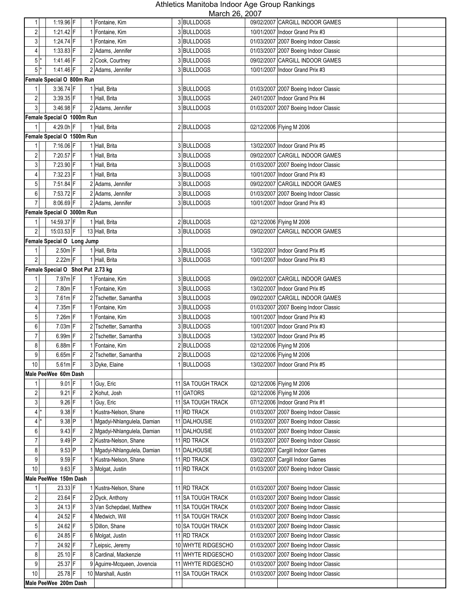| 1                       | 1:19.96 F                         |                | 1 Fontaine, Kim                                | 3 BULLDOGS             |            | 09/02/2007 CARGILL INDOOR GAMES                                    |  |
|-------------------------|-----------------------------------|----------------|------------------------------------------------|------------------------|------------|--------------------------------------------------------------------|--|
| $\overline{c}$          | 1:21.42 $F$                       |                | 1 Fontaine, Kim                                | 3BULLDOGS              |            | 10/01/2007 Indoor Grand Prix #3                                    |  |
| $\mathsf 3$             | 1:24.74 F                         |                | 1 Fontaine, Kim                                | 3 BULLDOGS             |            | 01/03/2007 2007 Boeing Indoor Classic                              |  |
| 4                       | $1:33.83$ F                       |                | 2 Adams, Jennifer                              | 3 BULLDOGS             |            | 01/03/2007 2007 Boeing Indoor Classic                              |  |
| $5*$                    | $1:41.46$ F                       |                | 2 Cook, Courtney                               | 3 BULLDOGS             |            | 09/02/2007 CARGILL INDOOR GAMES                                    |  |
| 5                       | 1:41.46 F                         |                | 2 Adams, Jennifer                              | 3 BULLDOGS             |            | 10/01/2007   Indoor Grand Prix #3                                  |  |
|                         | Female Special O 800m Run         |                |                                                |                        |            |                                                                    |  |
| 1                       | $3:36.74$ F                       |                | 1 Hall, Brita                                  | 3 BULLDOGS             |            | 01/03/2007 2007 Boeing Indoor Classic                              |  |
| $\sqrt{2}$              | 3:39.35 F                         |                | 1 Hall, Brita                                  | 3 BULLDOGS             |            | 24/01/2007 Indoor Grand Prix #4                                    |  |
| 3 <sup>1</sup>          | $3:46.98$ F                       |                | 2 Adams, Jennifer                              | 3 BULLDOGS             |            | 01/03/2007 2007 Boeing Indoor Classic                              |  |
|                         | Female Special O 1000m Run        |                |                                                |                        |            |                                                                    |  |
| 1                       | $4:29.0h$ F                       |                | 1 Hall, Brita                                  | 2 BULLDOGS             |            | 02/12/2006 Flying M 2006                                           |  |
|                         | Female Special O 1500m Run        |                |                                                |                        |            |                                                                    |  |
| 1                       | 7:16.06 F                         |                | 1 Hall, Brita                                  | 3 BULLDOGS             |            | 13/02/2007   Indoor Grand Prix #5                                  |  |
| $\sqrt{2}$              | 7:20.57 F                         |                | 1 Hall, Brita                                  | 3 BULLDOGS             |            | 09/02/2007 CARGILL INDOOR GAMES                                    |  |
| $\mathsf 3$             | 7:23.90 F                         |                | 1 Hall, Brita                                  | 3 BULLDOGS             |            | 01/03/2007 2007 Boeing Indoor Classic                              |  |
| $\overline{4}$          | 7:32.23 F                         |                | 1 Hall, Brita                                  | 3BULLDOGS              |            | 10/01/2007 Indoor Grand Prix #3                                    |  |
| $\mathbf 5$             | 7:51.84 F                         |                | 2 Adams, Jennifer                              | 3 BULLDOGS             |            | 09/02/2007 CARGILL INDOOR GAMES                                    |  |
| 6                       | 7:53.72 F                         |                | 2 Adams, Jennifer                              | 3 BULLDOGS             |            | 01/03/2007 2007 Boeing Indoor Classic                              |  |
| $\overline{7}$          | 8:06.69 F                         |                | 2 Adams, Jennifer                              | 3 BULLDOGS             |            | 10/01/2007 Indoor Grand Prix #3                                    |  |
|                         | Female Special O 3000m Run        |                |                                                |                        |            |                                                                    |  |
| $\mathbf{1}$            | 14:59.37 F                        |                | 1 Hall, Brita                                  | 2BULLDOGS              |            | 02/12/2006 Flying M 2006                                           |  |
| $\overline{2}$          | 15:03.53 F                        |                | 13 Hall, Brita                                 | 3 BULLDOGS             |            | 09/02/2007 CARGILL INDOOR GAMES                                    |  |
|                         | Female Special O Long Jump        |                |                                                |                        |            |                                                                    |  |
| $\mathbf{1}$            | $2.50m$ F                         |                | 1 Hall, Brita                                  | 3 BULLDOGS             |            | 13/02/2007 Indoor Grand Prix #5                                    |  |
| $\overline{2}$          | $2.22m$ F                         |                | 1 Hall, Brita                                  | 3 BULLDOGS             |            | 10/01/2007 Indoor Grand Prix #3                                    |  |
|                         | Female Special O Shot Put 2.73 kg |                |                                                |                        |            |                                                                    |  |
| 1                       | $7.97m$ F                         |                | 1 Fontaine, Kim                                | 3 BULLDOGS             |            | 09/02/2007 CARGILL INDOOR GAMES                                    |  |
| $\sqrt{2}$              | $7.80m$ F                         |                | 1 Fontaine, Kim                                | 3 BULLDOGS             |            | 13/02/2007 Indoor Grand Prix #5                                    |  |
| $\mathfrak{Z}$          | $7.61m$ F                         | $\overline{2}$ | Tschetter, Samantha                            | 3BULLDOGS              |            | 09/02/2007 CARGILL INDOOR GAMES                                    |  |
| 4                       | $7.35m$ F                         |                | 1 Fontaine, Kim                                | 3BULLDOGS              |            | 01/03/2007 2007 Boeing Indoor Classic                              |  |
| 5                       | $7.26m$ F                         |                | 1 Fontaine, Kim                                | 3BULLDOGS              |            | 10/01/2007 Indoor Grand Prix #3                                    |  |
| 6<br>$\overline{7}$     | 7.03m F<br>6.99m F                |                | 2 Tschetter, Samantha<br>2 Tschetter, Samantha | 3 BULLDOGS             |            | 10/01/2007 Indoor Grand Prix #3<br>13/02/2007 Indoor Grand Prix #5 |  |
| 8                       | $6.88m$ F                         |                | 1 Fontaine, Kim                                | 3BULLDOGS<br>2BULLDOGS |            | 02/12/2006 Flying M 2006                                           |  |
| 9                       | $6.65m$ F                         |                | 2 Tschetter, Samantha                          | 2BULLDOGS              |            | 02/12/2006 Flying M 2006                                           |  |
| 10                      | $5.61m$ F                         |                | 3 Dyke, Elaine                                 | 1 BULLDOGS             |            | 13/02/2007   Indoor Grand Prix #5                                  |  |
|                         | Male PeeWee 60m Dash              |                |                                                |                        |            |                                                                    |  |
|                         | $9.01$ F                          |                | 1 Guy, Eric                                    | 11 SA TOUGH TRACK      |            | 02/12/2006 Flying M 2006                                           |  |
| $\sqrt{2}$              | $9.21$ F                          |                | 2 Kohut, Josh                                  | 11 GATORS              |            | 02/12/2006 Flying M 2006                                           |  |
| $\mathbf{3}$            | $9.26$ F                          |                | 1 Guy, Eric                                    | 11 SA TOUGH TRACK      |            | 07/12/2006 Indoor Grand Prix #1                                    |  |
| $4*$                    | $9.38$ F                          |                | 1 Kustra-Nelson, Shane                         | 11 RD TRACK            |            | 01/03/2007 2007 Boeing Indoor Classic                              |  |
| $\overline{4}$          | $9.38$ P                          |                | 1 Mgadyi-Nhlangulela, Damian                   | 11 DALHOUSIE           |            | 01/03/2007 2007 Boeing Indoor Classic                              |  |
| 6                       | $9.43$ F                          |                | 2 Mgadyi-Nhlangulela, Damian                   | 11 DALHOUSIE           |            | 01/03/2007 2007 Boeing Indoor Classic                              |  |
| $\overline{7}$          | 9.49 P                            |                | 2 Kustra-Nelson, Shane                         | 11 RD TRACK            |            | 01/03/2007 2007 Boeing Indoor Classic                              |  |
| 8                       | $9.53$ P                          |                | 1 Mgadyi-Nhlangulela, Damian                   | 11 DALHOUSIE           | 03/02/2007 | Cargill Indoor Games                                               |  |
| 9                       | $9.59$ F                          |                | 1 Kustra-Nelson, Shane                         | 11 RD TRACK            | 03/02/2007 | Cargill Indoor Games                                               |  |
| 10                      | $9.63$ F                          |                | 3 Molgat, Justin                               | 11 RD TRACK            |            | 01/03/2007 2007 Boeing Indoor Classic                              |  |
|                         | Male PeeWee 150m Dash             |                |                                                |                        |            |                                                                    |  |
| 1                       | 23.33 F                           |                | 1 Kustra-Nelson, Shane                         | 11 RD TRACK            |            | 01/03/2007 2007 Boeing Indoor Classic                              |  |
| $\overline{\mathbf{c}}$ | 23.64 F                           |                | 2 Dyck, Anthony                                | 11 SA TOUGH TRACK      |            | 01/03/2007 2007 Boeing Indoor Classic                              |  |
| 3                       | 24.13 F                           |                | 3 Van Schepdael, Matthew                       | 11 SA TOUGH TRACK      |            | 01/03/2007 2007 Boeing Indoor Classic                              |  |
| 4                       | 24.52 F                           |                | 4 Medwich, Will                                | 11 SA TOUGH TRACK      |            | 01/03/2007 2007 Boeing Indoor Classic                              |  |
| 5                       | 24.62 F                           |                | 5 Dillon, Shane                                | 10 SA TOUGH TRACK      |            | 01/03/2007 2007 Boeing Indoor Classic                              |  |
| 6                       | 24.85 F                           |                | 6 Molgat, Justin                               | 11 RD TRACK            |            | 01/03/2007 2007 Boeing Indoor Classic                              |  |
| 7                       | 24.92 F                           |                | 7 Leipsic, Jeremy                              | 10 WHYTE RIDGESCHO     |            | 01/03/2007 2007 Boeing Indoor Classic                              |  |
| 8                       | 25.10 F                           |                | 8 Cardinal, Mackenzie                          | 11 WHYTE RIDGESCHO     |            | 01/03/2007 2007 Boeing Indoor Classic                              |  |
| 9                       | 25.37 F                           |                | 9 Aguirre-Mcqueen, Jovencia                    | 11 WHYTE RIDGESCHO     |            | 01/03/2007 2007 Boeing Indoor Classic                              |  |
| 10                      | 25.78 F                           |                | 10 Marshall, Austin                            | 11 SA TOUGH TRACK      | 01/03/2007 | 2007 Boeing Indoor Classic                                         |  |
|                         | Male PeeWee 200m Dash             |                |                                                |                        |            |                                                                    |  |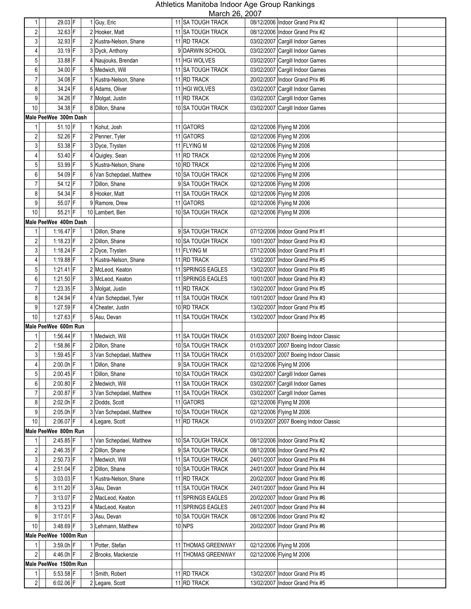| 1                   | 29.03 F                  | 1 Guy, Eric                                | 11101011 20, 2001<br>11 SA TOUGH TRACK | 08/12/2006 Indoor Grand Prix #2                                    |
|---------------------|--------------------------|--------------------------------------------|----------------------------------------|--------------------------------------------------------------------|
| 2                   | 32.63 F                  | 2 Hooker, Matt                             | 11 SA TOUGH TRACK                      | 08/12/2006 Indoor Grand Prix #2                                    |
| 3                   | 32.93 F                  | 2 Kustra-Nelson, Shane                     | 11 RD TRACK                            | 03/02/2007 Cargill Indoor Games                                    |
| 4                   | 33.19 F                  | 3 Dyck, Anthony                            | 9 DARWIN SCHOOL                        | 03/02/2007 Cargill Indoor Games                                    |
| 5                   | 33.88 F                  | 4 Naujouks, Brendan                        | 11 HGI WOLVES                          | 03/02/2007 Cargill Indoor Games                                    |
| 6                   | 34.00 F                  | 5 Medwich, Will                            | 11 SA TOUGH TRACK                      | 03/02/2007 Cargill Indoor Games                                    |
| $\overline{7}$      | 34.08 F                  | 1 Kustra-Nelson, Shane                     | 11 RD TRACK                            | 20/02/2007   Indoor Grand Prix #6                                  |
| 8                   | 34.24 F                  | 6 Adams, Oliver                            | 11 HGI WOLVES                          | 03/02/2007 Cargill Indoor Games                                    |
| 9                   | 34.26 F                  | 7 Molgat, Justin                           | 11 RD TRACK                            | 03/02/2007 Cargill Indoor Games                                    |
| 10                  | 34.38 F                  | 8 Dillon, Shane                            | 10 SA TOUGH TRACK                      | 03/02/2007 Cargill Indoor Games                                    |
|                     | Male PeeWee 300m Dash    |                                            |                                        |                                                                    |
| 1                   | 51.10 F                  | 1 Kohut, Josh                              | 11 GATORS                              | 02/12/2006 Flying M 2006                                           |
| 2                   | 52.26 F                  | 2 Penner, Tyler                            | 11 GATORS                              | 02/12/2006 Flying M 2006                                           |
| 3                   | 53.38 F                  |                                            | 11 FLYING M                            |                                                                    |
|                     | 53.40 F                  | 3 Dyce, Trysten                            |                                        | 02/12/2006 Flying M 2006                                           |
| 4                   |                          | 4 Quigley, Sean                            | 11 RD TRACK                            | 02/12/2006 Flying M 2006                                           |
| 5                   | 53.99 F                  | 5 Kustra-Nelson, Shane                     | 10 RD TRACK                            | 02/12/2006 Flying M 2006                                           |
| 6                   | 54.09 F                  | 6 Van Schepdael, Matthew                   | 10 SA TOUGH TRACK                      | 02/12/2006 Flying M 2006                                           |
| $\overline{7}$      | 54.12 F                  | 7 Dillon, Shane                            | 9 SA TOUGH TRACK                       | 02/12/2006 Flying M 2006                                           |
| 8                   | 54.34 F                  | 8 Hooker, Matt                             | 11 SA TOUGH TRACK                      | 02/12/2006 Flying M 2006                                           |
| 9                   | 55.07 F                  | 9 Ramore, Drew                             | 11 GATORS                              | 02/12/2006 Flying M 2006                                           |
| 10                  | 55.21 F                  | 10 Lambert, Ben                            | 10 SA TOUGH TRACK                      | 02/12/2006 Flying M 2006                                           |
|                     | Male PeeWee 400m Dash    |                                            | 9 SA TOUGH TRACK                       |                                                                    |
| 1                   | $1:16.47$ F              | 1 Dillon, Shane                            |                                        | 07/12/2006 Indoor Grand Prix #1                                    |
| $\overline{c}$      | 1:18.23 F                | 2 Dillon, Shane                            | 10 SA TOUGH TRACK                      | 10/01/2007 Indoor Grand Prix #3                                    |
| 3                   | $1:18.24$ F              | 2 Dyce, Trysten                            | 11 FLYING M                            | 07/12/2006 Indoor Grand Prix #1                                    |
| 4                   | 1:19.88 F                | 1 Kustra-Nelson, Shane                     | 11 RD TRACK                            | 13/02/2007   Indoor Grand Prix #5                                  |
| 5                   | $1:21.41$ F              | 2 McLeod, Keaton                           | 11 SPRINGS EAGLES                      | 13/02/2007 Indoor Grand Prix #5                                    |
| 6<br>$\overline{7}$ | 1:21.50 F<br>$1:23.35$ F | 3 McLeod, Keaton                           | 11 SPRINGS EAGLES                      | 10/01/2007 Indoor Grand Prix #3                                    |
| 8                   | 1:24.94 F                | 3 Molgat, Justin<br>4 Van Schepdael, Tyler | 11 RD TRACK<br>11 SA TOUGH TRACK       | 13/02/2007 Indoor Grand Prix #5<br>10/01/2007 Indoor Grand Prix #3 |
| 9                   | 1:27.59 F                | 4 Cheater, Justin                          | 10 RD TRACK                            | 13/02/2007 Indoor Grand Prix #5                                    |
| 10                  | $1:27.63$ F              | 5 Asu, Devan                               | <b>11 SA TOUGH TRACK</b>               | 13/02/2007 Indoor Grand Prix #5                                    |
|                     | Male PeeWee 600m Run     |                                            |                                        |                                                                    |
|                     | 1:56.44 F                | 1 Medwich, Will                            | 11 SA TOUGH TRACK                      | 01/03/2007 2007 Boeing Indoor Classic                              |
| $\boldsymbol{2}$    | 1:58.86 $F$              | 2 Dillon, Shane                            | 10 SA TOUGH TRACK                      | 01/03/2007 2007 Boeing Indoor Classic                              |
| 3                   | $1:59.45$ F              | 3 Van Schepdael, Matthew                   | 11 SA TOUGH TRACK                      | 01/03/2007 2007 Boeing Indoor Classic                              |
| 4                   | 2:00.0h F                | 1 Dillon, Shane                            | 9 SA TOUGH TRACK                       | 02/12/2006 Flying M 2006                                           |
| 5                   | $2:00.45$ F              | 1 Dillon, Shane                            | 10 SA TOUGH TRACK                      | 03/02/2007 Cargill Indoor Games                                    |
| 6                   | $2:00.80$ F              | 2 Medwich, Will                            | 11 SA TOUGH TRACK                      | 03/02/2007 Cargill Indoor Games                                    |
| $\overline{7}$      | $2:00.87$ F              | 3 Van Schepdael, Matthew                   | 11 SA TOUGH TRACK                      | 03/02/2007 Cargill Indoor Games                                    |
| 8                   | $2:02.0h$ F              | 2 Dodds, Scott                             | 11 GATORS                              | 02/12/2006 Flying M 2006                                           |
| 9                   | 2:05.0h F                | 3 Van Schepdael, Matthew                   | 10 SA TOUGH TRACK                      | 02/12/2006 Flying M 2006                                           |
| 10                  | 2:06.07 F                | 4 Legare, Scott                            | 11 RD TRACK                            | 01/03/2007 2007 Boeing Indoor Classic                              |
|                     | Male PeeWee 800m Run     |                                            |                                        |                                                                    |
|                     | 2:45.85 F                | 1 Van Schepdael, Matthew                   | 10 SA TOUGH TRACK                      | 08/12/2006 Indoor Grand Prix #2                                    |
| $\sqrt{2}$          | $2:46.35$ F              | 2 Dillon, Shane                            | 9 SA TOUGH TRACK                       | 08/12/2006 Indoor Grand Prix #2                                    |
| 3                   | $2:50.73$ F              | 1 Medwich, Will                            | 11 SA TOUGH TRACK                      | 24/01/2007 Indoor Grand Prix #4                                    |
| 4                   | $2:51.04$ F              | 2 Dillon, Shane                            | 10 SA TOUGH TRACK                      | 24/01/2007 Indoor Grand Prix #4                                    |
| 5                   | $3:03.03$ F              | 1 Kustra-Nelson, Shane                     | 11 RD TRACK                            | 20/02/2007 Indoor Grand Prix #6                                    |
| 6                   | 3:11.20 F                | 3 Asu, Devan                               | 11 SA TOUGH TRACK                      | 24/01/2007 Indoor Grand Prix #4                                    |
| 7                   | $3:13.07$ F              | 2 MacLeod, Keaton                          | 11 SPRINGS EAGLES                      | 20/02/2007 Indoor Grand Prix #6                                    |
| 8                   | 3:13.23 F                | 4 MacLeod, Keaton                          | 11 SPRINGS EAGLES                      | 24/01/2007   Indoor Grand Prix #4                                  |
| 9                   | $3:17.01$ F              | 3 Asu, Devan                               | 10 SA TOUGH TRACK                      | 08/12/2006 Indoor Grand Prix #2                                    |
| $10$                | 3:48.69 F                | 3 Lehmann, Matthew                         | <b>10 NPS</b>                          | 20/02/2007<br>Indoor Grand Prix #6                                 |
|                     | Male PeeWee 1000m Run    |                                            |                                        |                                                                    |
| 1                   | $3:59.0h$ F              | 1 Potter, Stefan                           | 11 THOMAS GREENWAY                     | 02/12/2006 Flying M 2006                                           |
| $\overline{2}$      | 4:46.0h F                | 2 Brooks, Mackenzie                        | 11 THOMAS GREENWAY                     | 02/12/2006 Flying M 2006                                           |
|                     | Male PeeWee 1500m Run    |                                            |                                        |                                                                    |
| 1                   | $5:53.58$ F              | 1 Smith, Robert                            | 11 RD TRACK                            | 13/02/2007   Indoor Grand Prix #5                                  |
| $\overline{2}$      | $6:02.06$ F              | 2 Legare, Scott                            | 11 RD TRACK                            | 13/02/2007 Indoor Grand Prix #5                                    |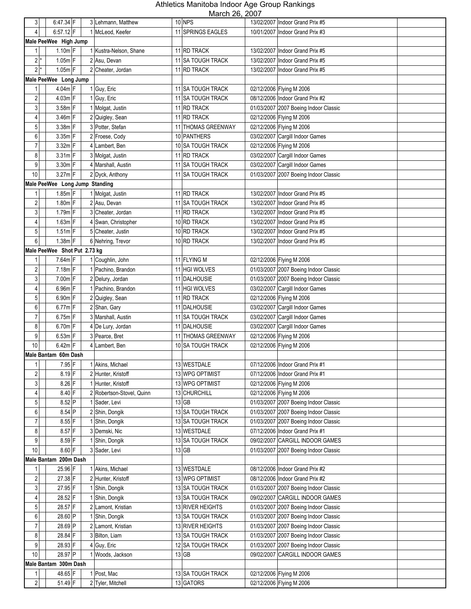| 3                | 6:47.34 F                      |   | 3 Lehmann, Matthew        | $MUUU1$ <i>L</i> <sub>V</sub> , <i>L</i> <sub>VV</sub><br>10 NPS | 13/02/2007 Indoor Grand Prix #5       |
|------------------|--------------------------------|---|---------------------------|------------------------------------------------------------------|---------------------------------------|
| 4                | 6:57.12 F                      |   | 1 McLeod, Keefer          | 11 SPRINGS EAGLES                                                | 10/01/2007 Indoor Grand Prix #3       |
|                  | Male PeeWee High Jump          |   |                           |                                                                  |                                       |
| 1                | $1.10m$ F                      |   | 1 Kustra-Nelson, Shane    | 11 RD TRACK                                                      | 13/02/2007 Indoor Grand Prix #5       |
| $2^*$            | $1.05m$ F                      |   | 2 Asu, Devan              | 11 SA TOUGH TRACK                                                | 13/02/2007 Indoor Grand Prix #5       |
| $2^*$            | $1.05m$ F                      |   | 2 Cheater, Jordan         | 11 RD TRACK                                                      | 13/02/2007 Indoor Grand Prix #5       |
|                  |                                |   |                           |                                                                  |                                       |
|                  | Male PeeWee Long Jump          |   |                           |                                                                  |                                       |
| 1                | 4.04m F                        |   | 1 Guy, Eric               | 11 SA TOUGH TRACK                                                | 02/12/2006 Flying M 2006              |
| 2                | $4.03m$ F                      |   | 1 Guy, Eric               | 11 SA TOUGH TRACK                                                | 08/12/2006 Indoor Grand Prix #2       |
| 3                | 3.58m F                        |   | 1 Molgat, Justin          | 11 RD TRACK                                                      | 01/03/2007 2007 Boeing Indoor Classic |
| 4                | 3.46m F                        |   | 2 Quigley, Sean           | 11 RD TRACK                                                      | 02/12/2006 Flying M 2006              |
| 5                | 3.38m F                        |   | 3 Potter, Stefan          | <b>11 THOMAS GREENWAY</b>                                        | 02/12/2006 Flying M 2006              |
| 6                | $3.35m$ F                      |   | 2 Froese, Cody            | 10 PANTHERS                                                      | 03/02/2007 Cargill Indoor Games       |
| $\overline{7}$   | $3.32m$ F                      |   | 4 Lambert, Ben            | 10 SA TOUGH TRACK                                                | 02/12/2006 Flying M 2006              |
| 8                | $3.31m$ F                      |   | 3 Molgat, Justin          | 11 RD TRACK                                                      | 03/02/2007 Cargill Indoor Games       |
| 9                | $3.30m$ F                      |   | 4 Marshall, Austin        | 11 SA TOUGH TRACK                                                | 03/02/2007 Cargill Indoor Games       |
| 10               | $3.27m$ F                      |   | 2 Dyck, Anthony           | 11 SA TOUGH TRACK                                                | 01/03/2007 2007 Boeing Indoor Classic |
|                  | Male PeeWee Long Jump Standing |   |                           |                                                                  |                                       |
| 1                | $1.85m$ F                      |   | 1 Molgat, Justin          | 11 RD TRACK                                                      | 13/02/2007 Indoor Grand Prix #5       |
| $\sqrt{2}$       | $1.80m$ F                      |   | 2 Asu, Devan              | 11 SA TOUGH TRACK                                                | 13/02/2007 Indoor Grand Prix #5       |
| 3                | $1.79m$ F                      |   | 3 Cheater, Jordan         | 11 RD TRACK                                                      | 13/02/2007 Indoor Grand Prix #5       |
| 4                | $1.63m$ F                      |   | 4 Swan, Christopher       | 10 RD TRACK                                                      | 13/02/2007 Indoor Grand Prix #5       |
| 5 <sup>1</sup>   | $1.51m$ F                      |   | 5 Cheater, Justin         | 10 RD TRACK                                                      | 13/02/2007 Indoor Grand Prix #5       |
| 6 <sup>1</sup>   | $1.38m$ F                      |   | 6 Nehring, Trevor         | 10 RD TRACK                                                      | 13/02/2007   Indoor Grand Prix #5     |
|                  | Male PeeWee Shot Put 2.73 kg   |   |                           |                                                                  |                                       |
| 1                | 7.64m F                        |   | 1 Coughlin, John          | 11 FLYING M                                                      | 02/12/2006 Flying M 2006              |
| 2                | $7.18m$ F                      |   | 1 Pachino, Brandon        | 11 HGI WOLVES                                                    | 01/03/2007 2007 Boeing Indoor Classic |
| 3                | 7.00m F                        |   | 2 Delury, Jordan          | 11 DALHOUSIE                                                     | 01/03/2007 2007 Boeing Indoor Classic |
| 4                | $6.96m$ F                      |   | 1 Pachino, Brandon        | 11 HGI WOLVES                                                    | 03/02/2007 Cargill Indoor Games       |
| 5                | $6.90m$ F                      | 2 | Quigley, Sean             | 11 RD TRACK                                                      | 02/12/2006 Flying M 2006              |
| 6                | $6.77m$ F                      |   | 2 Shan, Gary              | 11 DALHOUSIE                                                     | 03/02/2007 Cargill Indoor Games       |
| $\overline{7}$   | $6.75m$ F                      |   | 3 Marshall, Austin        | 11 SA TOUGH TRACK                                                | 03/02/2007 Cargill Indoor Games       |
| 8                | $6.70m$ F                      |   | 4 De Lury, Jordan         | 11 DALHOUSIE                                                     | 03/02/2007 Cargill Indoor Games       |
| 9                | $6.53m$ F                      |   | 3 Pearce, Bret            | 11 THOMAS GREENWAY                                               | 02/12/2006 Flying M 2006              |
| 10               | $6.42m$ F                      |   | 4 Lambert, Ben            | 10 SA TOUGH TRACK                                                | 02/12/2006 Flying M 2006              |
|                  | Male Bantam 60m Dash           |   |                           |                                                                  |                                       |
| 1                | $7.95$ F                       |   | 1 Akins, Michael          | 13 WESTDALE                                                      | 07/12/2006 Indoor Grand Prix #1       |
|                  | $8.19$ F                       |   |                           | 13 WPG OPTIMIST                                                  |                                       |
| $\overline{c}$   |                                |   | 2 Hunter, Kristoff        | 13 WPG OPTIMIST                                                  | 07/12/2006 Indoor Grand Prix #1       |
| 3 <sup>1</sup>   | 8.26 F                         |   | 1 Hunter, Kristoff        |                                                                  | 02/12/2006 Flying M 2006              |
| 4                | 8.40 F                         |   | 2 Robertson-Stovel, Quinn | 13 CHURCHILL                                                     | 02/12/2006 Flying M 2006              |
| 5 <sup>1</sup>   | 8.52 P                         |   | 1 Sader, Levi             | 13 GB                                                            | 01/03/2007 2007 Boeing Indoor Classic |
| 6 <sup>1</sup>   | 8.54 P                         |   | 2 Shin, Dongik            | 13 SA TOUGH TRACK                                                | 01/03/2007 2007 Boeing Indoor Classic |
| $\overline{7}$   | $8.55$ F                       |   | 1 Shin, Dongik            | 13 SA TOUGH TRACK                                                | 01/03/2007 2007 Boeing Indoor Classic |
| 8                | 8.57 F                         |   | 3 Demski, Nic             | 13 WESTDALE                                                      | 07/12/2006 Indoor Grand Prix #1       |
| 9                | 8.59 F                         |   | 1 Shin, Dongik            | 13 SA TOUGH TRACK                                                | 09/02/2007 CARGILL INDOOR GAMES       |
| 10               | $8.60$ F                       |   | 3 Sader, Levi             | 13 GB                                                            | 01/03/2007 2007 Boeing Indoor Classic |
|                  | Male Bantam 200m Dash          |   |                           |                                                                  |                                       |
|                  | 25.96 F                        |   | 1 Akins, Michael          | 13 WESTDALE                                                      | 08/12/2006 Indoor Grand Prix #2       |
| $\boldsymbol{2}$ | 27.38 F                        |   | 2 Hunter, Kristoff        | 13 WPG OPTIMIST                                                  | 08/12/2006 Indoor Grand Prix #2       |
| 3                | 27.95 F                        |   | 1 Shin, Dongik            | 13 SA TOUGH TRACK                                                | 01/03/2007 2007 Boeing Indoor Classic |
| 4                | 28.52 F                        |   | 1 Shin, Dongik            | 13 SA TOUGH TRACK                                                | 09/02/2007 CARGILL INDOOR GAMES       |
| 5 <sup>1</sup>   | 28.57 F                        |   | 2 Lamont, Kristian        | 13 RIVER HEIGHTS                                                 | 01/03/2007 2007 Boeing Indoor Classic |
| $6 \mid$         | 28.60 P                        |   | 1 Shin, Dongik            | 13 SA TOUGH TRACK                                                | 01/03/2007 2007 Boeing Indoor Classic |
| $\overline{7}$   | 28.69 P                        |   | 2 Lamont, Kristian        | 13 RIVER HEIGHTS                                                 | 01/03/2007 2007 Boeing Indoor Classic |
| 8 <sup>1</sup>   | 28.84 F                        |   | 3 Bilton, Liam            | 13 SA TOUGH TRACK                                                | 01/03/2007 2007 Boeing Indoor Classic |
| $9\,$            | 28.93 F                        |   | 4 Guy, Eric               | 12 SA TOUGH TRACK                                                | 01/03/2007 2007 Boeing Indoor Classic |
| 10               | 28.97 P                        |   | 1 Woods, Jackson          | 13 GB                                                            | 09/02/2007 CARGILL INDOOR GAMES       |
|                  | Male Bantam 300m Dash          |   |                           |                                                                  |                                       |
| 1                | 48.65 F                        |   | 1 Post, Mac               | 13 SA TOUGH TRACK                                                | 02/12/2006 Flying M 2006              |
| $\overline{2}$   | 51.49 F                        |   | 2 Tyler, Mitchell         | 13 GATORS                                                        | 02/12/2006 Flying M 2006              |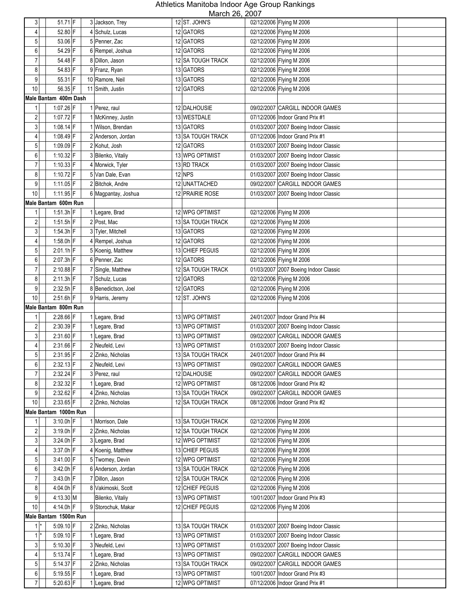| $\mathbf{3}$            | 51.71 F                  | 3 Jackson, Trey                       | 12 ST. JOHN'S                               | $m$ $m$ $n$ $n$<br>02/12/2006 Flying M 2006                              |
|-------------------------|--------------------------|---------------------------------------|---------------------------------------------|--------------------------------------------------------------------------|
| 4                       | 52.80 F                  | 4 Schulz, Lucas                       | 12 GATORS                                   | 02/12/2006 Flying M 2006                                                 |
| 5                       | 53.06 F                  | 5 Penner, Zac                         | 12 GATORS                                   | 02/12/2006 Flying M 2006                                                 |
|                         | 54.29 F                  |                                       | 12 GATORS                                   | 02/12/2006 Flying M 2006                                                 |
| 6                       |                          | 6 Rempel, Joshua                      |                                             |                                                                          |
| $\overline{7}$          | 54.48 F                  | 8 Dillon, Jason                       | 12 SA TOUGH TRACK                           | 02/12/2006 Flying M 2006                                                 |
| 8                       | 54.83 F                  | 9 Franz, Ryan                         | 13 GATORS                                   | 02/12/2006 Flying M 2006                                                 |
| 9                       | 55.31 F                  | 10 Ramore, Neil                       | 13 GATORS                                   | 02/12/2006 Flying M 2006                                                 |
| 10                      | 56.35 F                  | 11 Smith, Justin                      | 12 GATORS                                   | 02/12/2006 Flying M 2006                                                 |
|                         | Male Bantam 400m Dash    |                                       |                                             |                                                                          |
| 1                       | 1:07.26 F                | 1 Perez, raul                         | 12 DALHOUSIE                                | 09/02/2007 CARGILL INDOOR GAMES                                          |
| 2                       | 1:07.72 F                | 1 McKinney, Justin                    | 13 WESTDALE                                 | 07/12/2006 Indoor Grand Prix #1                                          |
| 3                       | 1:08.14 F                | Wilson, Brendan                       | 13 GATORS                                   | 01/03/2007 2007 Boeing Indoor Classic                                    |
| 4                       | 1:08.49 F                | 2 Anderson, Jordan                    | 13 SA TOUGH TRACK                           | 07/12/2006 Indoor Grand Prix #1                                          |
| 5                       | $1:09.09$ F              | 2 Kohut, Josh                         | 12 GATORS                                   | 01/03/2007 2007 Boeing Indoor Classic                                    |
| 6                       | 1:10.32 F                | 3 Bilenko, Vitaliy                    | 13 WPG OPTIMIST                             | 01/03/2007 2007 Boeing Indoor Classic                                    |
| $\overline{7}$          | 1:10.33 F                | 4 Morwick, Tyler                      | 13 RD TRACK                                 | 01/03/2007 2007 Boeing Indoor Classic                                    |
| 8                       | 1:10.72 F                | 5 Van Dale, Evan                      | 12 NPS                                      | 01/03/2007 2007 Boeing Indoor Classic                                    |
| 9                       | 1:11.05 F                | 2 Bitchok, Andre                      | 12 UNATTACHED                               | 09/02/2007 CARGILL INDOOR GAMES                                          |
| 10                      | 1:11.95 F                | 6 Magpantay, Joshua                   | 12 PRAIRIE ROSE                             | 01/03/2007 2007 Boeing Indoor Classic                                    |
|                         | Male Bantam 600m Run     |                                       |                                             |                                                                          |
| 1                       | $1:51.3h$ F              | 1 Legare, Brad                        | 12 WPG OPTIMIST                             | 02/12/2006 Flying M 2006                                                 |
| $\overline{\mathbf{c}}$ | $1:51.5h$ F              | 2 Post, Mac                           | 13 SA TOUGH TRACK                           | 02/12/2006 Flying M 2006                                                 |
| $\mathbf{3}$            | 1:54.3h F                | 3 Tyler, Mitchell                     | 13 GATORS                                   | 02/12/2006 Flying M 2006                                                 |
| 4                       | 1:58.0h $F$              | 4 Rempel, Joshua                      | 12 GATORS                                   | 02/12/2006 Flying M 2006                                                 |
| 5                       | $2:01.1h$ F              | 5 Koenig, Matthew                     | 13 CHIEF PEGUIS                             | 02/12/2006 Flying M 2006                                                 |
| 6                       | 2:07.3h F                | 6 Penner, Zac                         | 12 GATORS                                   | 02/12/2006 Flying M 2006                                                 |
| $\overline{7}$          | 2:10.88 F                | 7 Single, Matthew                     | 12 SA TOUGH TRACK                           | 01/03/2007 2007 Boeing Indoor Classic                                    |
| 8                       | $2:11.3h$ F              | 7 Schulz, Lucas                       | 12 GATORS                                   | 02/12/2006 Flying M 2006                                                 |
| 9                       | $2:32.5h$ F              | 8 Benedictson, Joel                   | 12 GATORS                                   | 02/12/2006 Flying M 2006                                                 |
| 10                      |                          |                                       |                                             |                                                                          |
|                         | 2:51.6h F                | 9 Harris, Jeremy                      | 12 ST. JOHN'S                               | 02/12/2006 Flying M 2006                                                 |
|                         | Male Bantam 800m Run     |                                       |                                             |                                                                          |
| 1                       | 2:28.66 F                |                                       | 13 WPG OPTIMIST                             | 24/01/2007 Indoor Grand Prix #4                                          |
|                         |                          | 1 Legare, Brad                        | 13 WPG OPTIMIST                             |                                                                          |
| $\overline{\mathbf{c}}$ | 2:30.39 F                | 1 Legare, Brad                        |                                             | 01/03/2007 2007 Boeing Indoor Classic<br>09/02/2007 CARGILL INDOOR GAMES |
| 3                       | 2:31.60 F                | 1 Legare, Brad<br>2 Neufeld, Levi     | 13 WPG OPTIMIST                             |                                                                          |
| 4                       | 2:31.66 F                |                                       | 13 WPG OPTIMIST<br><b>13 SA TOUGH TRACK</b> | 01/03/2007 2007 Boeing Indoor Classic<br>24/01/2007 Indoor Grand Prix #4 |
| 5                       | 2:31.95 F                | 2 Zinko, Nicholas                     |                                             |                                                                          |
| 6<br>$\overline{7}$     | $2:32.13$ F              | 2 Neufeld, Levi                       | 13 WPG OPTIMIST                             | 09/02/2007 CARGILL INDOOR GAMES                                          |
|                         | 2:32.24 F                | 3 Perez, raul                         | 12 DALHOUSIE<br>12 WPG OPTIMIST             | 09/02/2007 CARGILL INDOOR GAMES<br>08/12/2006 Indoor Grand Prix #2       |
| 8                       | 2:32.32 F                | 1 Legare, Brad                        | <b>13 SA TOUGH TRACK</b>                    | 09/02/2007 CARGILL INDOOR GAMES                                          |
| 9<br>10                 | $2:32.62$ F              | 4 Zinko, Nicholas                     | 12 SA TOUGH TRACK                           | 08/12/2006 Indoor Grand Prix #2                                          |
|                         | 2:33.65 F                | 2 Zinko, Nicholas                     |                                             |                                                                          |
| 1                       | Male Bantam 1000m Run    | 1 Morrison, Dale                      | 13 SA TOUGH TRACK                           |                                                                          |
|                         | 3:10.0h F                |                                       |                                             | 02/12/2006 Flying M 2006                                                 |
| $\overline{\mathbf{c}}$ | $3:19.0h$ F              | 2 Zinko, Nicholas                     | 12 SA TOUGH TRACK                           | 02/12/2006 Flying M 2006                                                 |
| $\mathbf{3}$            | 3:24.0h F                | 3 Legare, Brad                        | 12 WPG OPTIMIST                             | 02/12/2006 Flying M 2006                                                 |
| 4                       | 3:37.0h F                | 4 Koenig, Matthew                     | 13 CHIEF PEGUIS                             | 02/12/2006 Flying M 2006                                                 |
| 5                       | 3:41.00 F                | 5 Twomey, Devin                       | 12 WPG OPTIMIST                             | 02/12/2006 Flying M 2006                                                 |
| 6<br>$\overline{7}$     | $3:42.0h$ F              | 6 Anderson, Jordan<br>7 Dillon, Jason | 13 SA TOUGH TRACK                           | 02/12/2006 Flying M 2006                                                 |
| 8                       | $3:43.0h$ F<br>4:04.0h F | 8 Vakimoski, Scott                    | 12 SA TOUGH TRACK<br>12 CHIEF PEGUIS        | 02/12/2006 Flying M 2006                                                 |
|                         |                          | Bilenko, Vitaliy                      | 13 WPG OPTIMIST                             | 02/12/2006 Flying M 2006                                                 |
| 9                       | 4:13.30 M                |                                       |                                             | 10/01/2007 Indoor Grand Prix #3                                          |
| 10                      | 4:14.0h F                | 9 Storochuk, Makar                    | 12 CHIEF PEGUIS                             | 02/12/2006 Flying M 2006                                                 |
| 1                       | Male Bantam 1500m Run    |                                       |                                             |                                                                          |
|                         | 5:09.10 F                | 2 Zinko, Nicholas                     | 13 SA TOUGH TRACK                           | 01/03/2007 2007 Boeing Indoor Classic                                    |
| $1^*$                   | $5:09.10$ F              | 1 Legare, Brad                        | 13 WPG OPTIMIST                             | 01/03/2007 2007 Boeing Indoor Classic                                    |
| $\mathbf{3}$            | 5:10.30 F                | 3 Neufeld, Levi                       | 13 WPG OPTIMIST                             | 01/03/2007 2007 Boeing Indoor Classic                                    |
| 4                       | $5:13.74$ F              | 1 Legare, Brad                        | 13 WPG OPTIMIST                             | 09/02/2007 CARGILL INDOOR GAMES                                          |
| $\overline{5}$<br>6     | 5:14.37 F<br>$5:19.55$ F | 2 Zinko, Nicholas<br>1 Legare, Brad   | 13 SA TOUGH TRACK<br>13 WPG OPTIMIST        | 09/02/2007 CARGILL INDOOR GAMES<br>10/01/2007 Indoor Grand Prix #3       |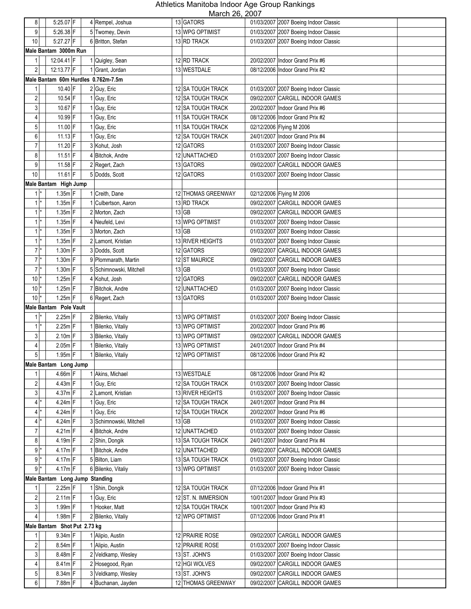| 8                |                  | $5:25.07$ F                         | 4 Rempel, Joshua        | 13 GATORS           | 11101011 20, 2001 | 01/03/2007 2007 Boeing Indoor Classic |  |
|------------------|------------------|-------------------------------------|-------------------------|---------------------|-------------------|---------------------------------------|--|
| 9                |                  | $5:26.38$ F                         | 5 Twomey, Devin         | 13 WPG OPTIMIST     |                   | 01/03/2007 2007 Boeing Indoor Classic |  |
|                  |                  |                                     |                         |                     |                   |                                       |  |
| 10               |                  | 5:27.27 F                           | 6 Britton, Stefan       | 13 RD TRACK         |                   | 01/03/2007 2007 Boeing Indoor Classic |  |
|                  |                  | Male Bantam 3000m Run               |                         |                     |                   |                                       |  |
| 1                |                  | 12:04.41 F                          | 1 Quigley, Sean         | 12 RD TRACK         |                   | 20/02/2007 Indoor Grand Prix #6       |  |
| $\sqrt{2}$       |                  | 12:13.77 F                          | 1 Grant. Jordan         | 13 WESTDALE         |                   | 08/12/2006 Indoor Grand Prix #2       |  |
|                  |                  | Male Bantam 60m Hurdles 0.762m-7.5m |                         |                     |                   |                                       |  |
| 1                |                  | 10.40 F                             | 2 Guy, Eric             | 12 SA TOUGH TRACK   |                   | 01/03/2007 2007 Boeing Indoor Classic |  |
| $\overline{2}$   |                  | $10.54$ F                           | 1 Guy, Eric             | 12 SA TOUGH TRACK   |                   | 09/02/2007 CARGILL INDOOR GAMES       |  |
| 3                |                  | 10.67 F                             | 1 Guy, Eric             | 12 SA TOUGH TRACK   |                   | 20/02/2007 Indoor Grand Prix #6       |  |
| 4                |                  | 10.99 F                             | 1 Guy, Eric             | 11 SA TOUGH TRACK   |                   | 08/12/2006 Indoor Grand Prix #2       |  |
| $\mathbf 5$      |                  | 11.00 F                             | 1 Guy, Eric             | 11 SA TOUGH TRACK   |                   | 02/12/2006 Flying M 2006              |  |
| 6                |                  | $11.13$ F                           | 1 Guy, Eric             | 12 SA TOUGH TRACK   |                   | 24/01/2007 Indoor Grand Prix #4       |  |
| $\overline{7}$   |                  | 11.20 F                             |                         |                     |                   |                                       |  |
|                  |                  |                                     | 3 Kohut, Josh           | 12 GATORS           |                   | 01/03/2007 2007 Boeing Indoor Classic |  |
| 8                |                  | $11.51$ F                           | 4 Bitchok, Andre        | 12 UNATTACHED       |                   | 01/03/2007 2007 Boeing Indoor Classic |  |
| 9                |                  | 11.58 F                             | 2 Regert, Zach          | 13 GATORS           |                   | 09/02/2007 CARGILL INDOOR GAMES       |  |
| 10               |                  | $11.61$ F                           | 5 Dodds, Scott          | 12 GATORS           |                   | 01/03/2007 2007 Boeing Indoor Classic |  |
|                  |                  | Male Bantam High Jump               |                         |                     |                   |                                       |  |
|                  | $1^*$            | $1.35m$ F                           | 1 Creith, Dane          | 12 THOMAS GREENWAY  |                   | 02/12/2006 Flying M 2006              |  |
|                  | $1$ <sup>*</sup> | $1.35m$ F                           | 1 Culbertson, Aaron     | 13 RD TRACK         |                   | 09/02/2007 CARGILL INDOOR GAMES       |  |
|                  | $1^*$            | $1.35m$ F                           | 2 Morton, Zach          | $13$ GB             |                   | 09/02/2007 CARGILL INDOOR GAMES       |  |
|                  | $1^*$            | $1.35m$ F                           | 4 Neufeld, Levi         | 13 WPG OPTIMIST     |                   | 01/03/2007 2007 Boeing Indoor Classic |  |
|                  | $1^*$            | $1.35m$ F                           | 3 Morton, Zach          | $13$ GB             |                   | 01/03/2007 2007 Boeing Indoor Classic |  |
|                  | $1*$             | $1.35m$ F                           | 2 Lamont, Kristian      | 13 RIVER HEIGHTS    |                   | 01/03/2007 2007 Boeing Indoor Classic |  |
|                  | $7*$             | $1.30m$ F                           | 3 Dodds, Scott          | 12 GATORS           |                   | 09/02/2007 CARGILL INDOOR GAMES       |  |
|                  | $7^*$            | $1.30m$ F                           |                         |                     |                   | 09/02/2007 CARGILL INDOOR GAMES       |  |
|                  |                  |                                     | 9 Plommarath, Martin    | 12 ST MAURICE       |                   |                                       |  |
|                  | $7*$             | $1.30m$ F                           | 5 Schimnowski, Mitchell | $13$ GB             |                   | 01/03/2007 2007 Boeing Indoor Classic |  |
| 10               |                  | $1.25m$ F                           | 4 Kohut, Josh           | 12 GATORS           |                   | 09/02/2007 CARGILL INDOOR GAMES       |  |
| 10               |                  | $1.25m$ F                           | 7 Bitchok, Andre        | 12 UNATTACHED       |                   | 01/03/2007 2007 Boeing Indoor Classic |  |
|                  |                  |                                     |                         |                     |                   |                                       |  |
| 10               |                  | $1.25m$ F                           | 6 Regert, Zach          | 13 GATORS           |                   | 01/03/2007 2007 Boeing Indoor Classic |  |
|                  |                  | Male Bantam Pole Vault              |                         |                     |                   |                                       |  |
|                  | $1^*$            | $2.25m$ F                           | 2 Bilenko, Vitaliy      | 13 WPG OPTIMIST     |                   | 01/03/2007 2007 Boeing Indoor Classic |  |
|                  | $1^*$            | $2.25m$ F                           | 1 Bilenko, Vitaliy      | 13 WPG OPTIMIST     |                   | 20/02/2007 Indoor Grand Prix #6       |  |
| 3                |                  | $2.10m$ F                           | 3 Bilenko, Vitaliy      | 13 WPG OPTIMIST     |                   | 09/02/2007 CARGILL INDOOR GAMES       |  |
| 4                |                  | $2.05m$ F                           |                         |                     |                   | 24/01/2007 Indoor Grand Prix #4       |  |
|                  |                  |                                     | 1 Bilenko, Vitaliy      | 13 WPG OPTIMIST     |                   |                                       |  |
| 5 <sup>1</sup>   |                  | $1.95m$ F                           | 1 Bilenko, Vitaliy      | 12 WPG OPTIMIST     |                   | 08/12/2006 Indoor Grand Prix #2       |  |
|                  |                  | Male Bantam Long Jump               |                         |                     |                   |                                       |  |
| 1                |                  | 4.66m F                             | 1 Akins, Michael        | 13 WESTDALE         |                   | 08/12/2006 Indoor Grand Prix #2       |  |
| $\overline{c}$   |                  | 4.43m F                             | 1 Guy, Eric             | 12 SA TOUGH TRACK   |                   | 01/03/2007 2007 Boeing Indoor Classic |  |
| $\overline{3}$   |                  | $4.37m$ F                           | 2 Lamont, Kristian      | 13 RIVER HEIGHTS    |                   | 01/03/2007 2007 Boeing Indoor Classic |  |
|                  | $4^*$            | $4.24m$ F                           | 1 Guy, Eric             | 12 SA TOUGH TRACK   |                   | 24/01/2007 Indoor Grand Prix #4       |  |
|                  | $4^*$            | 4.24m F                             | 1 Guy, Eric             | 12 SA TOUGH TRACK   |                   | 20/02/2007 Indoor Grand Prix #6       |  |
|                  | 4 *              | 4.24m F                             | 3 Schimnowski, Mitchell | $13$ GB             |                   | 01/03/2007 2007 Boeing Indoor Classic |  |
| $\overline{7}$   |                  | $4.21m$ F                           | 4 Bitchok, Andre        | 12 UNATTACHED       |                   | 01/03/2007 2007 Boeing Indoor Classic |  |
| $\bf 8$          |                  | 4.19m F                             | 2 Shin, Dongik          | 13 SA TOUGH TRACK   |                   | 24/01/2007 Indoor Grand Prix #4       |  |
|                  | $9*$             | 4.17m F                             | Bitchok, Andre          | 12 UNATTACHED       |                   | 09/02/2007 CARGILL INDOOR GAMES       |  |
|                  | $9$ <sup>*</sup> | $4.17m$ F                           | 5 Bilton, Liam          | 13 SA TOUGH TRACK   |                   | 01/03/2007 2007 Boeing Indoor Classic |  |
|                  | $9*$             | $4.17m$ F                           | 6 Bilenko, Vitaliy      | 13 WPG OPTIMIST     |                   | 01/03/2007 2007 Boeing Indoor Classic |  |
|                  |                  |                                     |                         |                     |                   |                                       |  |
| 1                |                  | Male Bantam Long Jump Standing      |                         |                     |                   |                                       |  |
|                  |                  | 2.25m F                             | 1 Shin, Dongik          | 12 SA TOUGH TRACK   |                   | 07/12/2006 Indoor Grand Prix #1       |  |
| $\boldsymbol{2}$ |                  | $2.11m$ F                           | 1 Guy, Eric             | 12 ST. N. IMMERSION |                   | 10/01/2007 Indoor Grand Prix #3       |  |
| $\overline{3}$   |                  | $1.99m$ F                           | 1 Hooker, Matt          | 12 SA TOUGH TRACK   |                   | 10/01/2007 Indoor Grand Prix #3       |  |
| $\overline{4}$   |                  | $1.98m$ F                           | 2 Bilenko, Vitaliy      | 12 WPG OPTIMIST     |                   | 07/12/2006 Indoor Grand Prix #1       |  |
|                  |                  | Male Bantam Shot Put 2.73 kg        |                         |                     |                   |                                       |  |
| 1                |                  | 9.34m F                             | 1 Alipio, Austin        | 12 PRAIRIE ROSE     |                   | 09/02/2007 CARGILL INDOOR GAMES       |  |
| $\overline{c}$   |                  | 8.54m F                             | 1 Alipio, Austin        | 12 PRAIRIE ROSE     |                   | 01/03/2007 2007 Boeing Indoor Classic |  |
| 3                |                  | 8.48m F                             | 2 Veldkamp, Wesley      | 13 ST. JOHN'S       |                   | 01/03/2007 2007 Boeing Indoor Classic |  |
| 4                |                  | $8.41m$ F                           | 2 Hosegood, Ryan        | 12 HGI WOLVES       |                   | 09/02/2007 CARGILL INDOOR GAMES       |  |
| 5                |                  | $8.34m$ F                           | 3 Veldkamp, Wesley      | 13 ST. JOHN'S       |                   | 09/02/2007 CARGILL INDOOR GAMES       |  |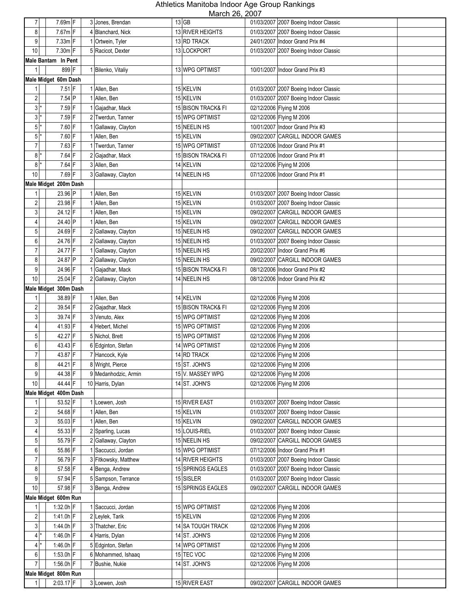|                  |                       |                      | <u><b>IVIAIUI ZU, ZUUT</b></u> |                                 |                                       |
|------------------|-----------------------|----------------------|--------------------------------|---------------------------------|---------------------------------------|
| $\overline{7}$   | 7.69m F               | 3 Jones, Brendan     | $13$ GB                        |                                 | 01/03/2007 2007 Boeing Indoor Classic |
| 8                | 7.67mF                | 4 Blanchard, Nick    | 13 RIVER HEIGHTS               |                                 | 01/03/2007 2007 Boeing Indoor Classic |
| 9                | $7.33m$ F             | 1 Ortwein, Tyler     | 13 RD TRACK                    | 24/01/2007 Indoor Grand Prix #4 |                                       |
| 10               | 7.30m F               | 5 Racicot, Dexter    | 13 LOCKPORT                    |                                 | 01/03/2007 2007 Boeing Indoor Classic |
|                  | Male Bantam In Pent   |                      |                                |                                 |                                       |
| 1                | 899 F                 | 1 Bilenko, Vitaliy   | 13 WPG OPTIMIST                | 10/01/2007 Indoor Grand Prix #3 |                                       |
|                  | Male Midget 60m Dash  |                      |                                |                                 |                                       |
| 1                | $7.51$ F              | 1 Allen, Ben         | 15 KELVIN                      |                                 | 01/03/2007 2007 Boeing Indoor Classic |
| $\sqrt{2}$       | $7.54$ P              | 1 Allen, Ben         | 15 KELVIN                      |                                 | 01/03/2007 2007 Boeing Indoor Classic |
|                  |                       |                      |                                |                                 |                                       |
| 3                | 7.59 F                | Gajadhar, Mack       | 15 BISON TRACK& FI             | 02/12/2006 Flying M 2006        |                                       |
| $3*$             | $7.59$ F              | Twerdun, Tanner<br>2 | 15 WPG OPTIMIST                | 02/12/2006 Flying M 2006        |                                       |
| $\overline{5}$   | 7.60 F                | Gallaway, Clayton    | 15 NEELIN HS                   | 10/01/2007 Indoor Grand Prix #3 |                                       |
| $5$ <sup>*</sup> | $7.60$ F              | 1 Allen, Ben         | 15 KELVIN                      |                                 | 09/02/2007 CARGILL INDOOR GAMES       |
| $\overline{7}$   | $7.63$ F              | Twerdun, Tanner      | 15 WPG OPTIMIST                | 07/12/2006 Indoor Grand Prix #1 |                                       |
| $8*$             | $7.64$ F              | 2 Gajadhar, Mack     | 15 BISON TRACK& FI             | 07/12/2006 Indoor Grand Prix #1 |                                       |
| 8                | $7.64$ F              | 3 Allen, Ben         | 14 KELVIN                      | 02/12/2006 Flying M 2006        |                                       |
| 10               | $7.69$ F              | 3 Gallaway, Clayton  | 14 NEELIN HS                   | 07/12/2006 Indoor Grand Prix #1 |                                       |
|                  | Male Midget 200m Dash |                      |                                |                                 |                                       |
| 1                | 23.96 P               | 1 Allen, Ben         | 15 KELVIN                      |                                 | 01/03/2007 2007 Boeing Indoor Classic |
| $\overline{c}$   | 23.98 F               | 1 Allen, Ben         | 15 KELVIN                      |                                 | 01/03/2007 2007 Boeing Indoor Classic |
| 3                | 24.12 F               | 1 Allen, Ben         | 15 KELVIN                      |                                 | 09/02/2007 CARGILL INDOOR GAMES       |
| 4                | 24.40 P               | 1 Allen, Ben         | 15 KELVIN                      |                                 | 09/02/2007 CARGILL INDOOR GAMES       |
| 5                | 24.69 F               | 2 Gallaway, Clayton  | 15 NEELIN HS                   |                                 | 09/02/2007 CARGILL INDOOR GAMES       |
|                  |                       |                      |                                |                                 |                                       |
| 6                | 24.76 F               | 2 Gallaway, Clayton  | 15 NEELIN HS                   |                                 | 01/03/2007 2007 Boeing Indoor Classic |
| $\overline{7}$   | 24.77 F               | 1 Gallaway, Clayton  | 15 NEELIN HS                   | 20/02/2007 Indoor Grand Prix #6 |                                       |
| 8                | 24.87 P               | 2 Gallaway, Clayton  | 15 NEELIN HS                   |                                 | 09/02/2007 CARGILL INDOOR GAMES       |
| 9                | 24.96 F               | Gajadhar, Mack       | 15 BISON TRACK& FI             | 08/12/2006 Indoor Grand Prix #2 |                                       |
| 10               | 25.04 F               | 2 Gallaway, Clayton  | 14 NEELIN HS                   | 08/12/2006 Indoor Grand Prix #2 |                                       |
|                  | Male Midget 300m Dash |                      |                                |                                 |                                       |
|                  | 38.89 F               | 1 Allen, Ben         | 14 KELVIN                      | 02/12/2006 Flying M 2006        |                                       |
| $\sqrt{2}$       | 39.54 F               | 2 Gajadhar, Mack     | 15 BISON TRACK& FI             | 02/12/2006 Flying M 2006        |                                       |
| 3                | 39.74 F               | 3 Venuto, Alex       | 15 WPG OPTIMIST                | 02/12/2006 Flying M 2006        |                                       |
| 4                | 41.93 F               | 4 Hebert, Michel     | 15 WPG OPTIMIST                | 02/12/2006 Flying M 2006        |                                       |
| $\mathbf 5$      | 42.27 F               | 5 Nichol, Brett      | 15 WPG OPTIMIST                | 02/12/2006 Flying M 2006        |                                       |
| 6                | 43.43 F               | 6 Edginton, Stefan   | 14 WPG OPTIMIST                | 02/12/2006 Flying M 2006        |                                       |
| $\overline{7}$   | 43.87 F               | 7 Hancock, Kyle      | 14 RD TRACK                    | 02/12/2006 Flying M 2006        |                                       |
| 8                | 44.21 F               | 8 Wright, Pierce     | 15 ST. JOHN'S                  | 02/12/2006 Flying M 2006        |                                       |
| 9                | 44.38 F               | 9 Medanhodzic, Armin | 15 V. MASSEY WPG               | 02/12/2006 Flying M 2006        |                                       |
| $10$             |                       |                      |                                |                                 |                                       |
|                  | 44.44 F               | 10 Harris, Dylan     | 14 ST. JOHN'S                  | 02/12/2006 Flying M 2006        |                                       |
|                  | Male Midget 400m Dash |                      |                                |                                 |                                       |
|                  | 53.52 F               | 1 Loewen, Josh       | 15 RIVER EAST                  |                                 | 01/03/2007 2007 Boeing Indoor Classic |
| 2                | 54.68 F               | 1 Allen, Ben         | 15 KELVIN                      |                                 | 01/03/2007 2007 Boeing Indoor Classic |
| 3                | 55.03 F               | 1 Allen, Ben         | 15 KELVIN                      |                                 | 09/02/2007 CARGILL INDOOR GAMES       |
| 4                | 55.33 F               | Sparling, Lucas      | 15 LOUIS-RIEL                  |                                 | 01/03/2007 2007 Boeing Indoor Classic |
| 5                | 55.79 F               | 2 Gallaway, Clayton  | 15 NEELIN HS                   |                                 | 09/02/2007 CARGILL INDOOR GAMES       |
| 6                | 55.86 F               | 1 Saccucci, Jordan   | 15 WPG OPTIMIST                | 07/12/2006 Indoor Grand Prix #1 |                                       |
| $\overline{7}$   | 56.79 F               | 3 Fitkowsky, Matthew | 14 RIVER HEIGHTS               |                                 | 01/03/2007 2007 Boeing Indoor Classic |
| 8                | 57.58 F               | 4 Benga, Andrew      | 15 SPRINGS EAGLES              |                                 | 01/03/2007 2007 Boeing Indoor Classic |
| $\boldsymbol{9}$ | 57.94 F               | 5 Sampson, Terrance  | 15 SISLER                      |                                 | 01/03/2007 2007 Boeing Indoor Classic |
| 10               | 57.98 F               | 3 Benga, Andrew      | 15 SPRINGS EAGLES              |                                 | 09/02/2007 CARGILL INDOOR GAMES       |
|                  | Male Midget 600m Run  |                      |                                |                                 |                                       |
| 1                | $1:32.0h$ F           | 1 Saccucci, Jordan   | 15 WPG OPTIMIST                | 02/12/2006 Flying M 2006        |                                       |
| $\overline{c}$   | 1:41.0h $F$           | 2 Leylek, Tarik      | 15 KELVIN                      | 02/12/2006 Flying M 2006        |                                       |
| $\mathbf{3}$     | 1:44.0h $F$           | 3 Thatcher, Eric     | 14 SA TOUGH TRACK              | 02/12/2006 Flying M 2006        |                                       |
|                  |                       |                      |                                |                                 |                                       |
| 4                | 1:46.0h F             | 4 Harris, Dylan      | 14 ST. JOHN'S                  | 02/12/2006 Flying M 2006        |                                       |
| 4 *              | 1:46.0h F             | 5 Edginton, Stefan   | 14 WPG OPTIMIST                | 02/12/2006 Flying M 2006        |                                       |
| 6                | $1:53.0h$ F           | 6 Mohammed, Ishaaq   | 15 TEC VOC                     | 02/12/2006 Flying M 2006        |                                       |
| $\overline{7}$   | 1:56.0h F             | 7 Bushie, Nukie      | 14 ST. JOHN'S                  | 02/12/2006 Flying M 2006        |                                       |
|                  | Male Midget 800m Run  |                      |                                |                                 |                                       |
| 1                | $2:03.17$ F           | 3 Loewen, Josh       | 15 RIVER EAST                  |                                 | 09/02/2007 CARGILL INDOOR GAMES       |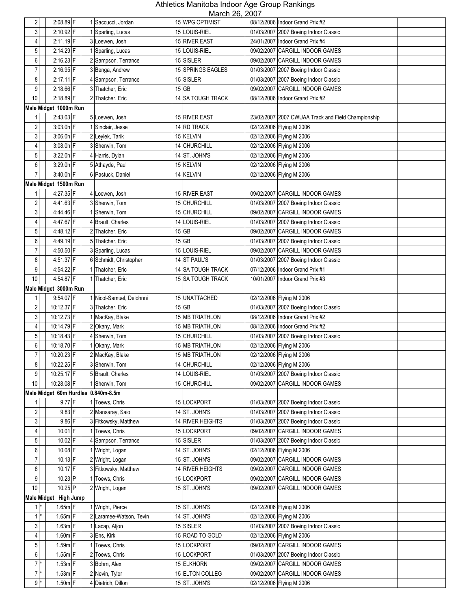| $\overline{2}$          | $2:08.89$ F                         | 1 Saccucci, Jordan      | $11101011$ $-0,$ $-001$<br>15 WPG OPTIMIST | 08/12/2006 Indoor Grand Prix #2                    |
|-------------------------|-------------------------------------|-------------------------|--------------------------------------------|----------------------------------------------------|
| 3                       | 2:10.92 F                           | Sparling, Lucas         | 15 LOUIS-RIEL                              | 01/03/2007 2007 Boeing Indoor Classic              |
| 4                       | 2:11.19 F                           | 3 Loewen, Josh          | 15 RIVER EAST                              | 24/01/2007 Indoor Grand Prix #4                    |
|                         |                                     |                         |                                            |                                                    |
| 5                       | 2:14.29 F                           | Sparling, Lucas         | 15 LOUIS-RIEL                              | 09/02/2007 CARGILL INDOOR GAMES                    |
| 6                       | 2:16.23 F                           | 2 Sampson, Terrance     | 15 SISLER                                  | 09/02/2007 CARGILL INDOOR GAMES                    |
| $\overline{7}$          | 2:16.95 F                           | 3 Benga, Andrew         | 15 SPRINGS EAGLES                          | 01/03/2007 2007 Boeing Indoor Classic              |
| 8                       | 2:17.11 F                           | 4 Sampson, Terrance     | 15 SISLER                                  | 01/03/2007 2007 Boeing Indoor Classic              |
| 9                       | 2:18.66 F                           | 3 Thatcher, Eric        | $15$ GB                                    | 09/02/2007 CARGILL INDOOR GAMES                    |
| 10                      | 2:18.89 F                           | 2 Thatcher, Eric        | 14 SA TOUGH TRACK                          | 08/12/2006   Indoor Grand Prix #2                  |
|                         | Male Midget 1000m Run               |                         |                                            |                                                    |
| 1                       | 2:43.03 F                           | 5 Loewen, Josh          | 15 RIVER EAST                              | 23/02/2007 2007 CWUAA Track and Field Championship |
| $\overline{\mathbf{c}}$ | 3:03.0h F                           | Sinclair, Jesse         | 14 RD TRACK                                | 02/12/2006 Flying M 2006                           |
| 3                       | $3:06.0h$ F                         | 2 Leylek, Tarik         | 15 KELVIN                                  | 02/12/2006 Flying M 2006                           |
| 4                       | 3:08.0h F                           | 3 Sherwin, Tom          | 14 CHURCHILL                               | 02/12/2006 Flying M 2006                           |
| 5                       | 3:22.0h F                           | 4 Harris, Dylan         | 14 ST. JOHN'S                              | 02/12/2006 Flying M 2006                           |
| 6                       | 3:29.0h F                           | 5 Athayde, Paul         | 15 KELVIN                                  | 02/12/2006 Flying M 2006                           |
| $\overline{7}$          | 3:40.0h F                           | 6 Pastuck, Daniel       | 14 KELVIN                                  | 02/12/2006 Flying M 2006                           |
|                         | Male Midget 1500m Run               |                         |                                            |                                                    |
| 1                       | 4:27.35 F                           | 4 Loewen, Josh          | 15 RIVER EAST                              | 09/02/2007 CARGILL INDOOR GAMES                    |
| 2                       | 4:41.63 F                           | 3 Sherwin, Tom          | 15 CHURCHILL                               | 01/03/2007 2007 Boeing Indoor Classic              |
| 3                       | 4:44.46 F                           | Sherwin, Tom            | 15 CHURCHILL                               | 09/02/2007 CARGILL INDOOR GAMES                    |
| 4                       | 4:47.67 F                           | 4 Brault, Charles       | 14 LOUIS-RIEL                              | 01/03/2007 2007 Boeing Indoor Classic              |
| $\overline{5}$          | 4:48.12 F                           | 2 Thatcher, Eric        | $15$ GB                                    | 09/02/2007 CARGILL INDOOR GAMES                    |
| 6                       | 4:49.19 F                           | 5 Thatcher, Eric        | $15$ GB                                    | 01/03/2007 2007 Boeing Indoor Classic              |
| $\overline{7}$          | 4:50.50 F                           | 3 Sparling, Lucas       | 15 LOUIS-RIEL                              | 09/02/2007 CARGILL INDOOR GAMES                    |
| 8                       | $4:51.37$ F                         | 6 Schmidt, Christopher  | 14 ST PAUL'S                               | 01/03/2007 2007 Boeing Indoor Classic              |
| 9                       | 4:54.22 F                           | Thatcher, Eric          | 14 SA TOUGH TRACK                          | 07/12/2006 Indoor Grand Prix #1                    |
| $10$                    | 4:54.87 F                           | 1 Thatcher, Eric        | 15 SA TOUGH TRACK                          | 10/01/2007 Indoor Grand Prix #3                    |
|                         | Male Midget 3000m Run               |                         |                                            |                                                    |
| 1                       | 9:54.07 F                           | Nicol-Samuel, Delohnni  | 15 UNATTACHED                              | 02/12/2006 Flying M 2006                           |
| 2                       | 10:12.37 F                          | 3 Thatcher, Eric        | 15 GB                                      | 01/03/2007 2007 Boeing Indoor Classic              |
| 3                       | 10:12.73 F                          | 1 MacKay, Blake         | 15 MB TRIATHLON                            | 08/12/2006 Indoor Grand Prix #2                    |
| 4                       | 10:14.79 F                          | 2 Okany, Mark           | 15 MB TRIATHLON                            | 08/12/2006 Indoor Grand Prix #2                    |
| 5                       | 10:18.43 F                          | 4 Sherwin, Tom          | 15 CHURCHILL                               | 01/03/2007 2007 Boeing Indoor Classic              |
| 6                       | 10:18.70 F                          | Okany, Mark             | 15 MB TRIATHLON                            | 02/12/2006 Flying M 2006                           |
| $\overline{7}$          | 10:20.23 F                          | 2 MacKay, Blake         | 15 MB TRIATHLON                            | 02/12/2006 Flying M 2006                           |
|                         |                                     | 3 Sherwin, Tom          |                                            |                                                    |
| 8                       | 10:22.25 F<br>10:25.17 F            |                         | 14 CHURCHILL<br>14 LOUIS-RIEL              | 02/12/2006 Flying M 2006                           |
| 9                       |                                     | 5 Brault, Charles       |                                            | 01/03/2007 2007 Boeing Indoor Classic              |
| 10                      | 10:28.08 F                          | 1 Sherwin, Tom          | 15 CHURCHILL                               | 09/02/2007 CARGILL INDOOR GAMES                    |
|                         | Male Midget 60m Hurdles 0.840m-8.5m |                         |                                            |                                                    |
| 1                       | 9.77 F                              | 1 Toews, Chris          | 15 LOCKPORT                                | 01/03/2007 2007 Boeing Indoor Classic              |
| $\overline{c}$          | $9.83$ F                            | 2 Mansaray, Saio        | 14 ST. JOHN'S                              | 01/03/2007 2007 Boeing Indoor Classic              |
| $\mathbf{3}$            | $9.86$ F                            | 3 Fitkowsky, Matthew    | 14 RIVER HEIGHTS                           | 01/03/2007 2007 Boeing Indoor Classic              |
| 4                       | 10.01 F                             | Toews, Chris            | 15 LOCKPORT                                | 09/02/2007 CARGILL INDOOR GAMES                    |
| 5                       | 10.02 F                             | Sampson, Terrance       | 15 SISLER                                  | 01/03/2007 2007 Boeing Indoor Classic              |
| 6                       | 10.08 F                             | Wright, Logan           | 14 ST. JOHN'S                              | 02/12/2006 Flying M 2006                           |
| 7                       | $10.13$ F                           | 2 Wright, Logan         | 15 ST. JOHN'S                              | 09/02/2007 CARGILL INDOOR GAMES                    |
| 8                       | $10.17$ F                           | 3 Fitkowsky, Matthew    | 14 RIVER HEIGHTS                           | 09/02/2007 CARGILL INDOOR GAMES                    |
| 9                       | 10.23 P                             | Toews, Chris            | 15 LOCKPORT                                | 09/02/2007 CARGILL INDOOR GAMES                    |
| 10                      | 10.25 P                             | 2 Wright, Logan         | 15 ST. JOHN'S                              | 09/02/2007 CARGILL INDOOR GAMES                    |
|                         | Male Midget High Jump               |                         |                                            |                                                    |
| $1$ <sup>*</sup>        | $1.65m$ F                           | Wright, Pierce          | 15 ST. JOHN'S                              | 02/12/2006 Flying M 2006                           |
| $1$ <sup>*</sup>        | $1.65m$ F                           | 2 Laramee-Watson, Tevin | 14 ST. JOHN'S                              | 02/12/2006 Flying M 2006                           |
| $\mathbf{3}$            | $1.63m$ F                           | Lacap, Aljon            | 15 SISLER                                  | 01/03/2007 2007 Boeing Indoor Classic              |
| 4                       | $1.60m$ F                           | 3 Ens, Kirk             | 15 ROAD TO GOLD                            | 02/12/2006 Flying M 2006                           |
| $\overline{5}$          | $1.59m$ F                           | 1 Toews, Chris          | 15 LOCKPORT                                | 09/02/2007 CARGILL INDOOR GAMES                    |
| 6                       | $1.55m$ F                           | 2 Toews, Chris          | 15 LOCKPORT                                | 01/03/2007 2007 Boeing Indoor Classic              |
| $7*$                    | $1.53m$ F                           | 3 Bohrn, Alex           | 15 ELKHORN                                 | 09/02/2007 CARGILL INDOOR GAMES                    |
| $7*$                    | $1.53m$ F                           | 2 Nevin, Tyler          | 15 ELTON COLLEG                            | 09/02/2007 CARGILL INDOOR GAMES                    |
| $9*$                    | $1.50m$ F                           | 4 Dietrich, Dillon      | 15 ST. JOHN'S                              | 02/12/2006 Flying M 2006                           |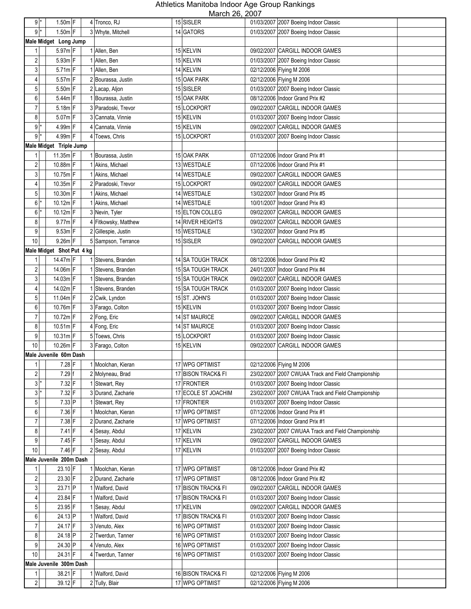| $9^*$                   |                                  | $1.50m$ F                 | 4 Tronco, RJ         | NUUUUI ZU, ZUUI<br>15 SISLER |                                 | 01/03/2007 2007 Boeing Indoor Classic                                    |
|-------------------------|----------------------------------|---------------------------|----------------------|------------------------------|---------------------------------|--------------------------------------------------------------------------|
| $9$ <sup>*</sup>        |                                  | $1.50m$ F                 | 3 Whyte, Mitchell    | 14 GATORS                    |                                 | 01/03/2007 2007 Boeing Indoor Classic                                    |
|                         |                                  | Male Midget Long Jump     |                      |                              |                                 |                                                                          |
|                         |                                  |                           |                      |                              |                                 |                                                                          |
| 1                       |                                  | $5.97m$ F                 | 1 Allen, Ben         | 15 KELVIN                    |                                 | 09/02/2007 CARGILL INDOOR GAMES                                          |
| $\overline{\mathbf{c}}$ |                                  | $5.93m$ F                 | 1 Allen, Ben         | 15 KELVIN                    |                                 | 01/03/2007 2007 Boeing Indoor Classic                                    |
| $\mathbf{3}$            |                                  | $5.71m$ F                 | 1 Allen, Ben         | 14 KELVIN                    |                                 | 02/12/2006 Flying M 2006                                                 |
| 4                       |                                  | $5.57m$ F                 | 2 Bourassa, Justin   | 15 OAK PARK                  |                                 | 02/12/2006 Flying M 2006                                                 |
| 5                       |                                  | $5.50m$ F                 | 2 Lacap, Aljon       | 15 SISLER                    |                                 | 01/03/2007 2007 Boeing Indoor Classic                                    |
| 6                       |                                  | 5.44m F                   | 1 Bourassa, Justin   | 15 OAK PARK                  |                                 | 08/12/2006 Indoor Grand Prix #2                                          |
| $\overline{7}$          | $5.18m$ F<br>3 Paradoski, Trevor |                           | 15 LOCKPORT          |                              | 09/02/2007 CARGILL INDOOR GAMES |                                                                          |
| 8                       |                                  | 5.07m F                   | 3 Cannata, Vinnie    | 15 KELVIN                    |                                 | 01/03/2007 2007 Boeing Indoor Classic                                    |
| $9$  *                  |                                  | $4.99m$ F                 | 4 Cannata, Vinnie    | 15 KELVIN                    |                                 | 09/02/2007 CARGILL INDOOR GAMES                                          |
| 9                       |                                  | $4.99m$ F                 | 4 Toews, Chris       | 15 LOCKPORT                  |                                 | 01/03/2007 2007 Boeing Indoor Classic                                    |
|                         |                                  | Male Midget Triple Jump   |                      |                              |                                 |                                                                          |
| 1                       |                                  | $11.35m$ F                | 1 Bourassa, Justin   | 15 OAK PARK                  |                                 | 07/12/2006 Indoor Grand Prix #1                                          |
| $\overline{\mathbf{c}}$ |                                  | 10.88m F                  | 1 Akins, Michael     | 13 WESTDALE                  |                                 | 07/12/2006 Indoor Grand Prix #1                                          |
| $\mathbf{3}$            |                                  | 10.75m F                  | 1 Akins, Michael     | 14 WESTDALE                  |                                 | 09/02/2007 CARGILL INDOOR GAMES                                          |
| $\overline{4}$          |                                  | 10.35m F                  | 2 Paradoski, Trevor  | 15 LOCKPORT                  |                                 | 09/02/2007 CARGILL INDOOR GAMES                                          |
| $5\phantom{.0}$         |                                  | 10.30m F                  | 1 Akins, Michael     | 14 WESTDALE                  |                                 | 13/02/2007 Indoor Grand Prix #5                                          |
| $6 \,$                  |                                  | $10.12m$ F                | 1 Akins, Michael     | 14 WESTDALE                  |                                 | 10/01/2007 Indoor Grand Prix #3                                          |
| 6                       |                                  | $10.12m$ F                | 3 Nevin, Tyler       | 15 ELTON COLLEG              |                                 | 09/02/2007 CARGILL INDOOR GAMES                                          |
| 8                       |                                  | $9.77m$ F                 | 4 Fitkowsky, Matthew | 14 RIVER HEIGHTS             |                                 | 09/02/2007 CARGILL INDOOR GAMES                                          |
| 9                       |                                  | $9.53m$ F                 | 2 Gillespie, Justin  | 15 WESTDALE                  |                                 | 13/02/2007 Indoor Grand Prix #5                                          |
| 10                      |                                  | 9.26m F                   | 5 Sampson, Terrance  | 15 SISLER                    | 09/02/2007                      | CARGILL INDOOR GAMES                                                     |
|                         |                                  | Male Midget Shot Put 4 kg |                      |                              |                                 |                                                                          |
| 1 <sup>1</sup>          |                                  | 14.47m F                  | 1 Stevens, Branden   | 14 SA TOUGH TRACK            |                                 | 08/12/2006 Indoor Grand Prix #2                                          |
| $\overline{2}$          |                                  | 14.06m F                  | 1 Stevens, Branden   | 15 SA TOUGH TRACK            |                                 | 24/01/2007 Indoor Grand Prix #4                                          |
| 3                       |                                  | 14.03m F                  | 1 Stevens, Branden   | 15 SA TOUGH TRACK            |                                 | 09/02/2007 CARGILL INDOOR GAMES                                          |
| 4                       |                                  | 14.02m F                  | 1 Stevens, Branden   | 15 SA TOUGH TRACK            |                                 | 01/03/2007 2007 Boeing Indoor Classic                                    |
| 5                       |                                  | 11.04m F                  | 2 Cwik, Lyndon       | 15 ST. JOHN'S                |                                 | 01/03/2007 2007 Boeing Indoor Classic                                    |
| 6                       |                                  | 10.76m F                  | 3 Farago, Colton     | 15 KELVIN                    |                                 |                                                                          |
| $\overline{7}$          |                                  | 10.72m F                  | 2 Fong, Eric         | 14 ST MAURICE                |                                 | 01/03/2007 2007 Boeing Indoor Classic<br>09/02/2007 CARGILL INDOOR GAMES |
|                         |                                  | $10.51m$ F                |                      |                              |                                 |                                                                          |
| 8                       |                                  |                           | 4 Fong, Eric         | 14 ST MAURICE                |                                 | 01/03/2007 2007 Boeing Indoor Classic                                    |
| 9                       |                                  | $10.31m$ F                | 5 Toews, Chris       | 15 LOCKPORT                  |                                 | 01/03/2007 2007 Boeing Indoor Classic                                    |
| 10                      |                                  | 10.26m F                  | 3 Farago, Colton     | 15 KELVIN                    |                                 | 09/02/2007 CARGILL INDOOR GAMES                                          |
|                         |                                  | Male Juvenile 60m Dash    |                      |                              |                                 |                                                                          |
| 1                       |                                  | $7.28$ F                  | 1 Moolchan, Kieran   | 17 WPG OPTIMIST              |                                 | 02/12/2006 Flying M 2006                                                 |
| $\sqrt{2}$              |                                  | $7.29$ f                  | 2 Molyneau, Brad     | 17 BISON TRACK& FI           |                                 | 23/02/2007 2007 CWUAA Track and Field Championship                       |
| $3*$                    |                                  | $7.32$ F                  | 1 Stewart, Rey       | 17 FRONTIER                  |                                 | 01/03/2007 2007 Boeing Indoor Classic                                    |
| $3*$                    |                                  | $7.32$ F                  | 3 Durand, Zacharie   | 17 ECOLE ST JOACHIM          |                                 | 23/02/2007 2007 CWUAA Track and Field Championship                       |
| $5\phantom{.0}$         |                                  | 7.33 P                    | 1 Stewart, Rey       | 17 FRONTIER                  |                                 | 01/03/2007 2007 Boeing Indoor Classic                                    |
| 6                       |                                  | 7.36 F                    | 1 Moolchan, Kieran   | 17 WPG OPTIMIST              |                                 | 07/12/2006 Indoor Grand Prix #1                                          |
| $\overline{7}$          |                                  | 7.38 F                    | 2 Durand, Zacharie   | 17 WPG OPTIMIST              |                                 | 07/12/2006 Indoor Grand Prix #1                                          |
| 8                       |                                  | $7.41$ F                  | 4 Sesay, Abdul       | 17 KELVIN                    |                                 | 23/02/2007 2007 CWUAA Track and Field Championship                       |
| 9                       |                                  | 7.45 F                    | 1 Sesay, Abdul       | 17 KELVIN                    |                                 | 09/02/2007 CARGILL INDOOR GAMES                                          |
| 10                      |                                  | $7.46$ F                  | 2 Sesay, Abdul       | 17 KELVIN                    |                                 | 01/03/2007 2007 Boeing Indoor Classic                                    |
|                         |                                  | Male Juvenile 200m Dash   |                      |                              |                                 |                                                                          |
|                         |                                  | 23.10 F                   | 1 Moolchan, Kieran   | 17 WPG OPTIMIST              |                                 | 08/12/2006 Indoor Grand Prix #2                                          |
| $\overline{c}$          |                                  | 23.30 F                   | 2 Durand, Zacharie   | 17 WPG OPTIMIST              |                                 | 08/12/2006 Indoor Grand Prix #2                                          |
| 3                       |                                  | 23.71 P                   | 1 Walford, David     | 17 BISON TRACK& FI           |                                 | 09/02/2007 CARGILL INDOOR GAMES                                          |
| 4                       |                                  | 23.84 F                   | 1 Walford, David     | 17 BISON TRACK& FI           |                                 | 01/03/2007 2007 Boeing Indoor Classic                                    |
| $\overline{5}$          |                                  | 23.95 F                   | 1 Sesay, Abdul       | 17 KELVIN                    |                                 | 09/02/2007 CARGILL INDOOR GAMES                                          |
| 6                       |                                  | 24.13 P                   | 1 Walford, David     | 17 BISON TRACK& FI           |                                 | 01/03/2007 2007 Boeing Indoor Classic                                    |
| 7                       |                                  | 24.17 F                   | 3 Venuto, Alex       | 16 WPG OPTIMIST              |                                 | 01/03/2007 2007 Boeing Indoor Classic                                    |
| 8                       |                                  | 24.18 P                   | 2 Twerdun, Tanner    | 16 WPG OPTIMIST              |                                 | 01/03/2007 2007 Boeing Indoor Classic                                    |
| 9                       |                                  | 24.30 P                   | 4 Venuto, Alex       | 16 WPG OPTIMIST              |                                 | 01/03/2007 2007 Boeing Indoor Classic                                    |
| 10                      |                                  | 24.31 F                   | 4 Twerdun, Tanner    | 16 WPG OPTIMIST              |                                 | 01/03/2007 2007 Boeing Indoor Classic                                    |
|                         |                                  | Male Juvenile 300m Dash   |                      |                              |                                 |                                                                          |
| 1 <sup>1</sup>          |                                  | 38.21 F                   | 1 Walford, David     | 16 BISON TRACK& FI           |                                 | 02/12/2006 Flying M 2006                                                 |
| 2                       |                                  | 39.12 F                   | 2 Tully, Blair       | 17 WPG OPTIMIST              |                                 | 02/12/2006 Flying M 2006                                                 |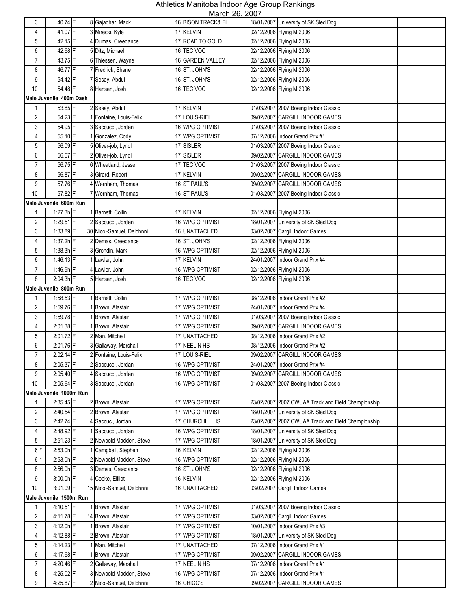| 3 <sup>1</sup>          | 40.74 F                              | 8 Gajadhar, Mack          | 16 BISON TRACK& FI | 18/01/2007 University of SK Sled Dog                 |
|-------------------------|--------------------------------------|---------------------------|--------------------|------------------------------------------------------|
| $\overline{4}$          | 41.07 F                              | 3 Mirecki, Kyle           | 17 KELVIN          | 02/12/2006 Flying M 2006                             |
| $\overline{5}$          | 42.15 F                              | 4 Dumas, Creedance        | 17 ROAD TO GOLD    | 02/12/2006 Flying M 2006                             |
| 6                       | 42.68 F                              | 5 Ditz, Michael           | 16 TEC VOC         | 02/12/2006 Flying M 2006                             |
| 7                       | 43.75 F                              | 6 Thiessen, Wayne         | 16 GARDEN VALLEY   | 02/12/2006 Flying M 2006                             |
| 8                       | 46.77 F                              | 7 Fredrick, Shane         | 16 ST. JOHN'S      | 02/12/2006 Flying M 2006                             |
| 9                       | 54.42 F                              | 7 Sesay, Abdul            | 16 ST. JOHN'S      | 02/12/2006 Flying M 2006                             |
| 10                      | 54.48 F                              |                           | 16 TEC VOC         |                                                      |
|                         |                                      | 8 Hansen, Josh            |                    | 02/12/2006 Flying M 2006                             |
|                         | Male Juvenile 400m Dash              |                           |                    |                                                      |
| 1                       | 53.85 F                              | 2 Sesay, Abdul            | 17 KELVIN          | 01/03/2007 2007 Boeing Indoor Classic                |
| 2                       | 54.23 F                              | 1 Fontaine, Louis-Félix   | 17 LOUIS-RIEL      | 09/02/2007 CARGILL INDOOR GAMES                      |
| $\mathbf{3}$            | 54.95 F                              | 3 Saccucci, Jordan        | 16 WPG OPTIMIST    | 01/03/2007 2007 Boeing Indoor Classic                |
| 4                       | 55.10 F                              | 1 Gonzalez, Cody          | 17 WPG OPTIMIST    | 07/12/2006 Indoor Grand Prix #1                      |
| 5                       | 56.09 F                              | 5 Oliver-job, Lyndl       | 17 SISLER          | 01/03/2007 2007 Boeing Indoor Classic                |
| 6                       | 56.67 F                              | 2 Oliver-job, Lyndl       | 17 SISLER          | 09/02/2007 CARGILL INDOOR GAMES                      |
| $\overline{7}$          | 56.75 F                              | 6 Wheatland, Jesse        | 17 TEC VOC         | 01/03/2007 2007 Boeing Indoor Classic                |
| 8                       | 56.87 F                              | 3 Girard, Robert          | 17 KELVIN          | 09/02/2007 CARGILL INDOOR GAMES                      |
| 9                       | 57.76 F                              | 4 Wernham, Thomas         | 16 ST PAUL'S       | 09/02/2007 CARGILL INDOOR GAMES                      |
| 10                      | 57.82 F                              | 7 Wernham, Thomas         | 16 ST PAUL'S       | 01/03/2007 2007 Boeing Indoor Classic                |
|                         | Male Juvenile 600m Run               |                           |                    |                                                      |
| 1                       | $1:27.3h$ F                          | 1 Barnett, Collin         | 17 KELVIN          | 02/12/2006 Flying M 2006                             |
| $\overline{\mathbf{c}}$ | 1:29.51 $F$                          | 2 Saccucci, Jordan        | 16 WPG OPTIMIST    | 18/01/2007 University of SK Sled Dog                 |
| $\mathbf{3}$            | 1:33.89 F                            | 30 Nicol-Samuel, Delohnni | 16 UNATTACHED      | 03/02/2007 Cargill Indoor Games                      |
| $\vert$                 | $1:37.2h$ F                          | 2 Demas, Creedance        | 16 ST. JOHN'S      | 02/12/2006 Flying M 2006                             |
| $5\phantom{.0}$         | $1:38.3h$ F                          | 3 Grondin, Mark           | 16 WPG OPTIMIST    | 02/12/2006 Flying M 2006                             |
| 6                       | $1:46.13$ F                          | 1 Lawler, John            | 17 KELVIN          | 24/01/2007 Indoor Grand Prix #4                      |
| $\overline{7}$          | 1:46.9h F                            | 4 Lawler, John            | 16 WPG OPTIMIST    | 02/12/2006 Flying M 2006                             |
| 8                       | $2:04.3h$ F                          | 5 Hansen, Josh            | 16 TEC VOC         | 02/12/2006 Flying M 2006                             |
|                         | Male Juvenile 800m Run               |                           |                    |                                                      |
| 1                       | $1:58.53$ F                          | 1 Barnett, Collin         | 17 WPG OPTIMIST    | 08/12/2006 Indoor Grand Prix #2                      |
| $\overline{\mathbf{c}}$ | 1:59.76 F                            | 1 Brown, Alastair         | 17 WPG OPTIMIST    | 24/01/2007 Indoor Grand Prix #4                      |
| $\mathbf{3}$            | 1:59.78 F                            | 1 Brown, Alastair         | 17 WPG OPTIMIST    | 01/03/2007 2007 Boeing Indoor Classic                |
| 4                       | $2:01.38$ F                          | 1 Brown, Alastair         | 17 WPG OPTIMIST    | 09/02/2007 CARGILL INDOOR GAMES                      |
| 5                       | 2:01.72 F                            | 2 Man, Mitchell           | 17 UNATTACHED      | 08/12/2006 Indoor Grand Prix #2                      |
| $\boldsymbol{6}$        | 2:01.76 F                            | 3 Gallaway, Marshall      | 17 NEELIN HS       | 08/12/2006 Indoor Grand Prix #2                      |
| $\overline{7}$          | 2:02.14 F                            | 2 Fontaine, Louis-Félix   | 17 LOUIS-RIEL      | 09/02/2007 CARGILL INDOOR GAMES                      |
| 8 <sup>1</sup>          | 2:05.37 F                            | 2 Saccucci, Jordan        | 16 WPG OPTIMIST    | 24/01/2007 Indoor Grand Prix #4                      |
| 9                       | $2:05.40$ F                          | 4 Saccucci, Jordan        | 16 WPG OPTIMIST    | 09/02/2007 CARGILL INDOOR GAMES                      |
| 10                      | $2:05.64$ F                          | 3 Saccucci, Jordan        | 16 WPG OPTIMIST    | 01/03/2007 2007 Boeing Indoor Classic                |
|                         | Male Juvenile 1000m Run              |                           |                    |                                                      |
| $\mathbf{1}$            | 2:35.45 F                            | 2 Brown, Alastair         | 17 WPG OPTIMIST    | 23/02/2007 2007 CWUAA Track and Field Championship   |
| $\overline{c}$          | $2:40.54$ F                          | 2 Brown, Alastair         | 17 WPG OPTIMIST    | 18/01/2007 University of SK Sled Dog                 |
| 3                       | 2:42.74 F                            | 4 Saccuci, Jordan         | 17 CHURCHILL HS    | 23/02/2007 2007 CWUAA Track and Field Championship   |
| $\vert 4 \vert$         | 2:48.92 F                            | 1 Saccucci, Jordan        | 16 WPG OPTIMIST    | 18/01/2007 University of SK Sled Dog                 |
| 5 <sup>1</sup>          | $2:51.23$ F                          | 2 Newbold Madden, Steve   | 17 WPG OPTIMIST    | 18/01/2007 University of SK Sled Dog                 |
| 6                       | $2:53.0h$ F                          | 1 Campbell, Stephen       | 16 KELVIN          | 02/12/2006 Flying M 2006                             |
| $6$ <sup>*</sup>        | $2:53.0h$ F                          | 2 Newbold Madden, Steve   | 16 WPG OPTIMIST    |                                                      |
| 8 <sup>1</sup>          | $2:56.0h$ F                          | 3 Demas, Creedance        | 16 ST. JOHN'S      | 02/12/2006 Flying M 2006<br>02/12/2006 Flying M 2006 |
| 9                       | $3:00.0h$ F                          | 4 Cooke, Ellliot          | 16 KELVIN          |                                                      |
|                         |                                      |                           |                    | 02/12/2006 Flying M 2006                             |
| 10                      | 3:01.09 F<br>Male Juvenile 1500m Run | 15 Nicol-Samuel, Delohnni | 16 UNATTACHED      | 03/02/2007 Cargill Indoor Games                      |
|                         |                                      |                           |                    |                                                      |
| 1                       | 4:10.51 F                            | 1 Brown, Alastair         | 17 WPG OPTIMIST    | 01/03/2007 2007 Boeing Indoor Classic                |
| $\boldsymbol{2}$        | 4:11.78 F                            | 14 Brown, Alastair        | 17 WPG OPTIMIST    | 03/02/2007 Cargill Indoor Games                      |
| 3 <sup>1</sup>          | $4:12.0h$ F                          | 1 Brown, Alastair         | 17 WPG OPTIMIST    | 10/01/2007   Indoor Grand Prix #3                    |
| $\overline{4}$          | 4:12.88 F                            | 2 Brown, Alastair         | 17 WPG OPTIMIST    | 18/01/2007 University of SK Sled Dog                 |
| 5 <sup>1</sup>          | 4:14.23 F                            | 1 Man, Mitchell           | 17 UNATTACHED      | 07/12/2006 Indoor Grand Prix #1                      |
| 6                       | 4:17.68 F                            | 1 Brown, Alastair         | 17 WPG OPTIMIST    | 09/02/2007 CARGILL INDOOR GAMES                      |
| $\overline{7}$          | $4:20.46$ F                          | 2 Gallaway, Marshall      | 17 NEELIN HS       | 07/12/2006 Indoor Grand Prix #1                      |
| 8 <sup>1</sup>          | 4:25.02 F                            | 3 Newbold Madden, Steve   | 16 WPG OPTIMIST    | 07/12/2006 Indoor Grand Prix #1                      |
| 9                       | 4:25.87 F                            | 2 Nicol-Samuel, Delohnni  | 16 CHICO'S         | 09/02/2007 CARGILL INDOOR GAMES                      |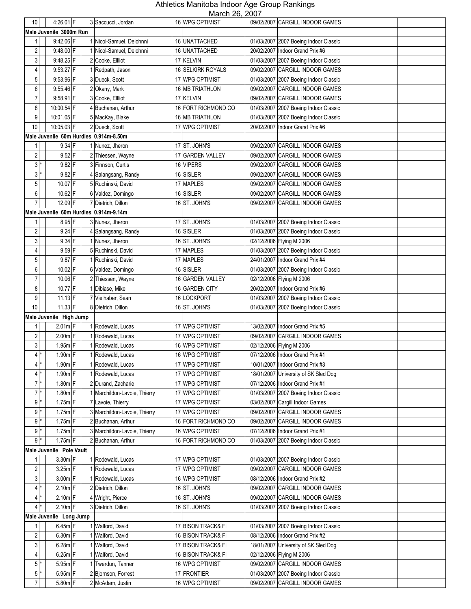| $10$                     | 4:26.01 $F$                            | 3 Saccucci, Jordan           | <b>16 WPG OPTIMIST</b> | 09/02/2007 CARGILL INDOOR GAMES          |
|--------------------------|----------------------------------------|------------------------------|------------------------|------------------------------------------|
|                          | Male Juvenile 3000m Run                |                              |                        |                                          |
| 1                        | 9:42.06 F                              | 1 Nicol-Samuel, Delohnni     | 16 UNATTACHED          | 01/03/2007 2007 Boeing Indoor Classic    |
| $\overline{\mathbf{c}}$  | 9:48.00 F                              | 1 Nicol-Samuel, Delohnni     | 16 UNATTACHED          | 20/02/2007 Indoor Grand Prix #6          |
| 3                        | 9:48.25 F                              | 2 Cooke, Ellliot             | 17 KELVIN              | 01/03/2007 2007 Boeing Indoor Classic    |
| 4                        | 9:53.27 F                              | 1 Redpath, Jason             | 16 SELKIRK ROYALS      | 09/02/2007 CARGILL INDOOR GAMES          |
| 5                        | 9:53.96 F                              | 3 Dueck, Scott               | 17 WPG OPTIMIST        | 01/03/2007 2007 Boeing Indoor Classic    |
| 6                        | 9:55.46 F                              | 2 Okany, Mark                | 16 MB TRIATHLON        | 09/02/2007 CARGILL INDOOR GAMES          |
| $\overline{7}$           | 9:58.91 F                              | 3 Cooke, Ellliot             | 17 KELVIN              | 09/02/2007 CARGILL INDOOR GAMES          |
| 8                        | 10:00.54 F                             | 4 Buchanan, Arthur           | 16 FORT RICHMOND CO    | 01/03/2007 2007 Boeing Indoor Classic    |
| 9                        | 10:01.05 F                             | 5 MacKay, Blake              | 16 MB TRIATHLON        | 01/03/2007 2007 Boeing Indoor Classic    |
| 10                       | 10:05.03 F                             | 2 Dueck, Scott               | 17 WPG OPTIMIST        | 20/02/2007<br>Indoor Grand Prix #6       |
|                          | Male Juvenile 60m Hurdles 0.914m-8.50m |                              |                        |                                          |
| 1                        | $9.34$ F                               | 1 Nunez, Jheron              | 17 ST. JOHN'S          | 09/02/2007 CARGILL INDOOR GAMES          |
| $\overline{\mathbf{c}}$  | $9.52$ F                               | 2 Thiessen, Wayne            | 17 GARDEN VALLEY       | 09/02/2007 CARGILL INDOOR GAMES          |
| $3*$                     | 9.82 F                                 | 3 Finnson, Curtis            | 16 VIPERS              | 09/02/2007 CARGILL INDOOR GAMES          |
| $3*$                     | $9.82$ F                               | Salangsang, Randy            | 16 SISLER              | 09/02/2007 CARGILL INDOOR GAMES          |
| 5                        | 10.07 F                                | 5 Ruchinski, David           | 17 MAPLES              | 09/02/2007 CARGILL INDOOR GAMES          |
| 6                        | 10.62 F                                | 6 Valdez, Domingo            | 16 SISLER              | 09/02/2007 CARGILL INDOOR GAMES          |
| $\overline{7}$           | 12.09 F                                | 7 Dietrich, Dillon           | 16 ST. JOHN'S          | 09/02/2007 CARGILL INDOOR GAMES          |
|                          | Male Juvenile 60m Hurdles 0.914m-9.14m |                              |                        |                                          |
| 1                        | 8.95 F                                 | 3 Nunez, Jheron              | 17 ST. JOHN'S          | 01/03/2007 2007 Boeing Indoor Classic    |
| $\overline{\mathbf{c}}$  | $9.24$ F                               | 4 Salangsang, Randy          | 16 SISLER              | 01/03/2007 2007 Boeing Indoor Classic    |
| 3                        | $9.34$ F                               | 1 Nunez, Jheron              | 16 ST. JOHN'S          | 02/12/2006 Flying M 2006                 |
| 4                        | $9.59$ F                               | 5 Ruchinski, David           | 17 MAPLES              | 01/03/2007 2007 Boeing Indoor Classic    |
| 5                        | 9.87 F                                 | 1 Ruchinski, David           | 17 MAPLES              | 24/01/2007 Indoor Grand Prix #4          |
| 6                        | 10.02 F                                | 6 Valdez, Domingo            | 16 SISLER              | 01/03/2007 2007 Boeing Indoor Classic    |
| $\overline{7}$           | 10.06 F                                | 2 Thiessen, Wayne            | 16 GARDEN VALLEY       | 02/12/2006 Flying M 2006                 |
| 8                        | 10.77 F                                | 1 Dibiase, Mike              | 16 GARDEN CITY         | 20/02/2007   Indoor Grand Prix #6        |
| 9                        | $11.13$ F                              | 7 Vielhaber, Sean            | 16 LOCKPORT            | 01/03/2007 2007 Boeing Indoor Classic    |
| 10                       | $11.33$ F                              | 8 Dietrich, Dillon           | 16 ST. JOHN'S          | 01/03/2007<br>2007 Boeing Indoor Classic |
|                          | Male Juvenile High Jump                |                              |                        |                                          |
| 1                        | $2.01m$ F                              | Rodewald, Lucas              | 17 WPG OPTIMIST        | 13/02/2007 Indoor Grand Prix #5          |
| $\overline{2}$           | $2.00m$ F                              | 1 Rodewald, Lucas            | 17 WPG OPTIMIST        | 09/02/2007 CARGILL INDOOR GAMES          |
| 3                        | $1.95m$ F                              | Rodewald, Lucas              | 16 WPG OPTIMIST        | 02/12/2006 Flying M 2006                 |
| 4                        | $1.90m$ F                              | 1 Rodewald, Lucas            | 16 WPG OPTIMIST        | 07/12/2006 Indoor Grand Prix #1          |
| $4*$                     | $1.90m$ F                              | 1 Rodewald, Lucas            | 17 WPG OPTIMIST        | 10/01/2007   Indoor Grand Prix #3        |
| $4*$                     | $1.90m$ F                              | Rodewald, Lucas              | 17 WPG OPTIMIST        | 18/01/2007 University of SK Sled Dog     |
| $7*$                     | 1.80m F                                | 2 Durand, Zacharie           | 17 WPG OPTIMIST        | 07/12/2006 Indoor Grand Prix #1          |
| $7$ *                    | 1.80m F                                | 1 Marchildon-Lavoie, Thierry | 17 WPG OPTIMIST        | 01/03/2007 2007 Boeing Indoor Classic    |
| $9*$                     | $1.75m$ F                              | 7 Lavoie, Thierry            | 17 WPG OPTIMIST        | 03/02/2007 Cargill Indoor Games          |
| $9*$                     | $1.75m$ F                              | 3 Marchildon-Lavoie, Thierry | 17 WPG OPTIMIST        | 09/02/2007 CARGILL INDOOR GAMES          |
| $9*$                     | $1.75m$ F                              | 2 Buchanan, Arthur           | 16 FORT RICHMOND CO    | 09/02/2007 CARGILL INDOOR GAMES          |
| $9$ <sup>*</sup>         | $1.75m$ F                              | 3 Marchildon-Lavoie, Thierry | 16 WPG OPTIMIST        | 07/12/2006 Indoor Grand Prix #1          |
| $9*$                     | $1.75m$ F                              | 2 Buchanan, Arthur           | 16 FORT RICHMOND CO    | 01/03/2007 2007 Boeing Indoor Classic    |
|                          | Male Juvenile Pole Vault               |                              |                        |                                          |
| 1                        | $3.30m$ F                              | 1 Rodewald, Lucas            | 17 WPG OPTIMIST        | 01/03/2007 2007 Boeing Indoor Classic    |
| 2                        | 3.25m F                                | Rodewald, Lucas              | 17 WPG OPTIMIST        | 09/02/2007 CARGILL INDOOR GAMES          |
| $\mathbf{3}$             | 3.00m F                                | Rodewald, Lucas              | 16 WPG OPTIMIST        | 08/12/2006 Indoor Grand Prix #2          |
| $4^*$                    | $2.10m$ F                              | 2 Dietrich, Dillon           | 16 ST. JOHN'S          | 09/02/2007 CARGILL INDOOR GAMES          |
| $4$ *<br>$\vert 4 \vert$ | $2.10m$ F                              | 4 Wright, Pierce             | 16 ST. JOHN'S          | 09/02/2007 CARGILL INDOOR GAMES          |
|                          | $2.10m$ F<br>Male Juvenile Long Jump   | 3 Dietrich, Dillon           | 16 ST. JOHN'S          | 01/03/2007 2007 Boeing Indoor Classic    |
| 1                        | $6.45m$ F                              | Walford, David               | 17 BISON TRACK& FI     | 01/03/2007 2007 Boeing Indoor Classic    |
| $\overline{\mathbf{c}}$  | $6.30m$ F                              | Walford, David               | 16 BISON TRACK& FI     | 08/12/2006 Indoor Grand Prix #2          |
| $\mathbf{3}$             | $6.28m$ F                              | Walford, David               | 17 BISON TRACK& FI     | 18/01/2007 University of SK Sled Dog     |
| 4                        | $6.25m$ F                              | Walford, David               | 16 BISON TRACK& FI     | 02/12/2006 Flying M 2006                 |
| $5*$                     | 5.95m F                                | Twerdun, Tanner              | 16 WPG OPTIMIST        | 09/02/2007 CARGILL INDOOR GAMES          |
| $5$ <sup>*</sup>         | 5.95m F                                | 2 Bjornson, Forrest          | 17 FRONTIER            | 01/03/2007 2007 Boeing Indoor Classic    |
| $\overline{7}$           | 5.80m F                                | 2 McAdam, Justin             | 16 WPG OPTIMIST        | 09/02/2007 CARGILL INDOOR GAMES          |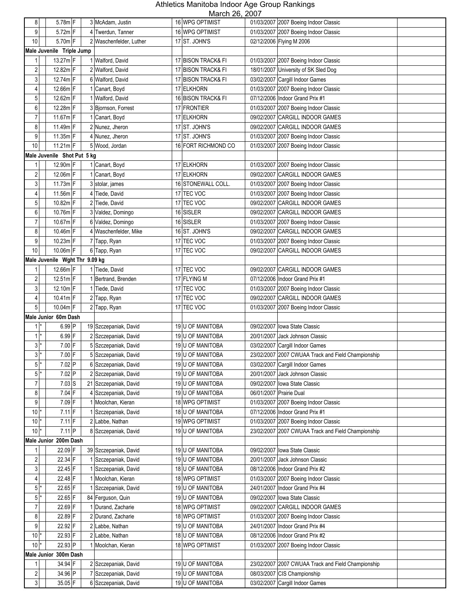| 8                       | 5.78m F                        |   | 3 McAdam, Justin        | <u>IVIAIUII ZU, ZUUT</u><br>16 WPG OPTIMIST | 01/03/2007 2007 Boeing Indoor Classic              |
|-------------------------|--------------------------------|---|-------------------------|---------------------------------------------|----------------------------------------------------|
|                         |                                |   |                         |                                             |                                                    |
| 9                       | $5.72m$ F                      |   | 4 Twerdun, Tanner       | 16 WPG OPTIMIST                             | 01/03/2007 2007 Boeing Indoor Classic              |
| 10                      | $5.70m$ F                      |   | 2 Waschenfelder, Luther | 17 ST. JOHN'S                               | 02/12/2006 Flying M 2006                           |
|                         | Male Juvenile Triple Jump      |   |                         |                                             |                                                    |
| 1                       | 13.27m F                       |   | 1 Walford, David        | 17 BISON TRACK& FI                          | 01/03/2007 2007 Boeing Indoor Classic              |
| 2                       | 12.82m F                       |   | 2 Walford, David        | 17 BISON TRACK& FI                          | 18/01/2007 University of SK Sled Dog               |
| 3                       | 12.74m F                       |   | 6 Walford, David        | 17 BISON TRACK& FI                          | 03/02/2007 Cargill Indoor Games                    |
| 4                       | 12.66m F                       |   | 1 Canart, Boyd          | 17 ELKHORN                                  | 01/03/2007 2007 Boeing Indoor Classic              |
| 5                       | 12.62m F                       |   | Walford, David          | 16 BISON TRACK& FI                          | 07/12/2006 Indoor Grand Prix #1                    |
|                         |                                |   |                         |                                             |                                                    |
| 6                       | 12.28m F                       |   | 3 Bjornson, Forrest     | 17 FRONTIER                                 | 01/03/2007 2007 Boeing Indoor Classic              |
| $\overline{7}$          | 11.67m F                       |   | Canart, Boyd            | 17 ELKHORN                                  | 09/02/2007 CARGILL INDOOR GAMES                    |
| 8                       | 11.49m F                       |   | 2 Nunez, Jheron         | 17 ST. JOHN'S                               | 09/02/2007 CARGILL INDOOR GAMES                    |
| 9                       | $11.35m$ F                     |   | 4 Nunez, Jheron         | 17 ST. JOHN'S                               | 01/03/2007 2007 Boeing Indoor Classic              |
| 10                      | $11.21m$ F                     |   | 5 Wood, Jordan          | 16 FORT RICHMOND CO                         | 01/03/2007 2007 Boeing Indoor Classic              |
|                         | Male Juvenile Shot Put 5 kg    |   |                         |                                             |                                                    |
| 1                       | 12.90m F                       |   | 1 Canart, Boyd          | 17 ELKHORN                                  | 01/03/2007 2007 Boeing Indoor Classic              |
| $\sqrt{2}$              | 12.06m F                       |   | 1 Canart, Boyd          | 17 ELKHORN                                  | 09/02/2007 CARGILL INDOOR GAMES                    |
| 3                       | 11.73m F                       |   | 3 stolar, james         | 16 STONEWALL COLL.                          | 01/03/2007 2007 Boeing Indoor Classic              |
| 4                       | 11.56m F                       |   | 4 Tiede, David          | 17 TEC VOC                                  | 01/03/2007 2007 Boeing Indoor Classic              |
|                         |                                |   |                         |                                             |                                                    |
| 5 <sup>1</sup>          | 10.82m F                       |   | 2 Tiede, David          | 17 TEC VOC                                  | 09/02/2007 CARGILL INDOOR GAMES                    |
| 6 <sup>1</sup>          | 10.76m F                       |   | 3 Valdez, Domingo       | 16 SISLER                                   | 09/02/2007 CARGILL INDOOR GAMES                    |
| $\overline{7}$          | 10.67mF                        |   | 6 Valdez, Domingo       | 16 SISLER                                   | 01/03/2007 2007 Boeing Indoor Classic              |
| 8                       | 10.46m F                       |   | 4 Waschenfelder, Mike   | 16 ST. JOHN'S                               | 09/02/2007 CARGILL INDOOR GAMES                    |
| 9                       | $10.23m$ F                     |   | 7 Tapp, Ryan            | 17 TEC VOC                                  | 01/03/2007 2007 Boeing Indoor Classic              |
| 10                      | 10.06m F                       |   | 6 Tapp, Ryan            | 17 TEC VOC                                  | 09/02/2007 CARGILL INDOOR GAMES                    |
|                         | Male Juvenile Wght Thr 9.09 kg |   |                         |                                             |                                                    |
| 1                       | 12.66m F                       |   | 1 Tiede, David          | 17 TEC VOC                                  | 09/02/2007 CARGILL INDOOR GAMES                    |
| $\sqrt{2}$              | 12.51m F                       |   | 1 Bertrand, Brenden     | 17 FLYING M                                 | 07/12/2006 Indoor Grand Prix #1                    |
| 3                       | 12.10m F                       |   | 1 Tiede, David          | 17 TEC VOC                                  | 01/03/2007 2007 Boeing Indoor Classic              |
| 4                       | 10.41m F                       |   | 2 Tapp, Ryan            | 17 TEC VOC                                  | 09/02/2007 CARGILL INDOOR GAMES                    |
|                         |                                |   |                         |                                             |                                                    |
| 5 <sup>1</sup>          | 10.04m F                       |   | 2 Tapp, Ryan            | 17 TEC VOC                                  | 01/03/2007 2007 Boeing Indoor Classic              |
|                         | Male Junior 60m Dash           |   |                         |                                             |                                                    |
| 1                       | 6.99 P                         |   | 19 Szczepaniak, David   | 19 U OF MANITOBA                            | 09/02/2007 lowa State Classic                      |
| $\mathbf{1}$            | 6.99 F                         |   | 2 Szczepaniak, David    | 19 U OF MANITOBA                            | 20/01/2007 Jack Johnson Classic                    |
| 3                       | $7.00$ F                       |   | 5 Szczepaniak, David    | 19 U OF MANITOBA                            | 03/02/2007 Cargill Indoor Games                    |
| $3*$                    | $7.00$ F                       |   | 5 Szczepaniak, David    | 19 U OF MANITOBA                            | 23/02/2007 2007 CWUAA Track and Field Championship |
| $5*$                    | 7.02 P                         |   | 6 Szczepaniak, David    | 19 U OF MANITOBA                            | 03/02/2007 Cargill Indoor Games                    |
| $5$ <sup>*</sup>        | $7.02$ P                       |   | 2 Szczepaniak, David    | 19 U OF MANITOBA                            | 20/01/2007 Jack Johnson Classic                    |
| $\overline{7}$          | $7.03$ S                       |   | 21 Szczepaniak, David   | 19 U OF MANITOBA                            | 09/02/2007 Iowa State Classic                      |
| 8 <sup>1</sup>          | $7.04$ F                       |   | 4 Szczepaniak, David    | 19 U OF MANITOBA                            | 06/01/2007 Prairie Dual                            |
| 9                       | 7.09 F                         |   | 1 Moolchan, Kieran      | 18 WPG OPTIMIST                             | 01/03/2007 2007 Boeing Indoor Classic              |
| 10 <sup>1</sup>         | $7.11$ F                       |   |                         |                                             | 07/12/2006 Indoor Grand Prix #1                    |
|                         |                                |   | Szczepaniak, David      | 18 U OF MANITOBA                            |                                                    |
| 10                      | $7.11$ F                       | 2 | Labbe, Nathan           | 19 WPG OPTIMIST                             | 01/03/2007 2007 Boeing Indoor Classic              |
| 10                      | $7.11$ P                       |   | 8 Szczepaniak, David    | 19 U OF MANITOBA                            | 23/02/2007 2007 CWUAA Track and Field Championship |
|                         | Male Junior 200m Dash          |   |                         |                                             |                                                    |
|                         | 22.09 F                        |   | 39 Szczepaniak, David   | 19 U OF MANITOBA                            | 09/02/2007 lowa State Classic                      |
| $\overline{\mathbf{c}}$ | 22.34 F                        |   | 1 Szczepaniak, David    | 19 U OF MANITOBA                            | 20/01/2007 Jack Johnson Classic                    |
| 3 <sup>1</sup>          | 22.45 F                        |   | 1 Szczepaniak, David    | 18 U OF MANITOBA                            | 08/12/2006 Indoor Grand Prix #2                    |
| $\vert 4 \vert$         | 22.48 F                        |   | 1 Moolchan, Kieran      | 18 WPG OPTIMIST                             | 01/03/2007 2007 Boeing Indoor Classic              |
| $5$ <sup>*</sup>        | 22.65 F                        |   | Szczepaniak, David      | 19 U OF MANITOBA                            | 24/01/2007 Indoor Grand Prix #4                    |
| 5 <sup>1</sup>          | 22.65 F                        |   | 84 Ferguson, Quin       | 19 U OF MANITOBA                            | 09/02/2007 lowa State Classic                      |
| $\overline{7}$          | 22.69 F                        |   | 1 Durand, Zacharie      | 18 WPG OPTIMIST                             | 09/02/2007 CARGILL INDOOR GAMES                    |
|                         | 22.89 F                        |   | 2 Durand, Zacharie      | 18 WPG OPTIMIST                             |                                                    |
| 8 <sup>1</sup>          |                                |   |                         |                                             | 01/03/2007 2007 Boeing Indoor Classic              |
| 9                       | 22.92 F                        |   | 2 Labbe, Nathan         | 19 U OF MANITOBA                            | 24/01/2007 Indoor Grand Prix #4                    |
| $10$ <sup>*</sup>       | 22.93 F                        |   | 2 Labbe, Nathan         | 18 U OF MANITOBA                            | 08/12/2006 Indoor Grand Prix #2                    |
| $10*$                   | 22.93 P                        |   | 1 Moolchan, Kieran      | 18 WPG OPTIMIST                             | 01/03/2007 2007 Boeing Indoor Classic              |
|                         | Male Junior 300m Dash          |   |                         |                                             |                                                    |
| 1                       | 34.94 F                        |   | 2 Szczepaniak, David    | 19 U OF MANITOBA                            | 23/02/2007 2007 CWUAA Track and Field Championship |
| $\boldsymbol{2}$        | 34.96 P                        |   | 7 Szczepaniak, David    | 19 U OF MANITOBA                            | 08/03/2007 CIS Championship                        |
| 3                       | $35.05$ F                      |   | 6 Szczepaniak, David    | 19 U OF MANITOBA                            | 03/02/2007 Cargill Indoor Games                    |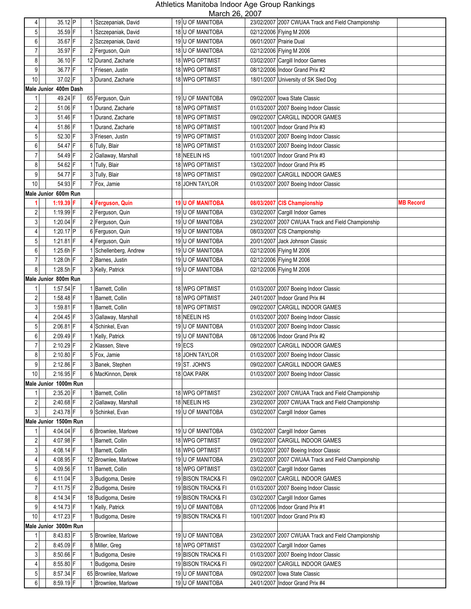| 4                       | 35.12 P               | 1 Szczepaniak, David   | 19 U OF MANITOBA        |                         | 23/02/2007 2007 CWUAA Track and Field Championship |                  |
|-------------------------|-----------------------|------------------------|-------------------------|-------------------------|----------------------------------------------------|------------------|
|                         |                       |                        |                         |                         |                                                    |                  |
| 5                       | 35.59 F               | 1 Szczepaniak, David   | 18 U OF MANITOBA        |                         | 02/12/2006 Flying M 2006                           |                  |
| 6                       | 35.67 F               | 2 Szczepaniak, David   | 19 U OF MANITOBA        | 06/01/2007 Prairie Dual |                                                    |                  |
| $\overline{7}$          | 35.97 F               | 2 Ferguson, Quin       | 18 U OF MANITOBA        |                         | 02/12/2006 Flying M 2006                           |                  |
| 8                       | 36.10 F               | 12 Durand, Zacharie    | 18 WPG OPTIMIST         |                         | 03/02/2007 Cargill Indoor Games                    |                  |
| 9                       | 36.77 F               | 1 Friesen, Justin      | 18 WPG OPTIMIST         |                         | 08/12/2006 Indoor Grand Prix #2                    |                  |
| 10                      | 37.02 F               | 3 Durand, Zacharie     | 18 WPG OPTIMIST         |                         | 18/01/2007 University of SK Sled Dog               |                  |
|                         | Male Junior 400m Dash |                        |                         |                         |                                                    |                  |
| 1                       | 49.24 F               | 65 Ferguson, Quin      | 19 U OF MANITOBA        |                         | 09/02/2007 Iowa State Classic                      |                  |
| 2                       | 51.06 F               | 1 Durand, Zacharie     | 18 WPG OPTIMIST         |                         |                                                    |                  |
|                         |                       |                        |                         |                         | 01/03/2007 2007 Boeing Indoor Classic              |                  |
| 3                       | 51.46 F               | 1 Durand, Zacharie     | 18 WPG OPTIMIST         |                         | 09/02/2007 CARGILL INDOOR GAMES                    |                  |
| 4                       | 51.86 F               | 1 Durand, Zacharie     | 18 WPG OPTIMIST         |                         | 10/01/2007 Indoor Grand Prix #3                    |                  |
| 5                       | 52.30 F               | 3 Friesen, Justin      | 19 WPG OPTIMIST         |                         | 01/03/2007 2007 Boeing Indoor Classic              |                  |
| 6                       | 54.47 F               | 6 Tully, Blair         | 18 WPG OPTIMIST         |                         | 01/03/2007 2007 Boeing Indoor Classic              |                  |
| $\overline{7}$          | 54.49 F               | 2 Gallaway, Marshall   | 18 NEELIN HS            |                         | 10/01/2007   Indoor Grand Prix #3                  |                  |
| 8                       | 54.62 F               | 1 Tully, Blair         | 18 WPG OPTIMIST         |                         | 13/02/2007   Indoor Grand Prix #5                  |                  |
| 9                       | 54.77 F               | 3 Tully, Blair         | 18 WPG OPTIMIST         |                         | 09/02/2007 CARGILL INDOOR GAMES                    |                  |
| $10$                    | 54.93 F               | 7 Fox, Jamie           | 18 JOHN TAYLOR          |                         | 01/03/2007 2007 Boeing Indoor Classic              |                  |
|                         | Male Junior 600m Run  |                        |                         |                         |                                                    |                  |
|                         |                       |                        |                         |                         |                                                    |                  |
| 1                       | 1:19.39 $F$           | 4 Ferguson, Quin       | <b>19 U OF MANITOBA</b> |                         | 08/03/2007 CIS Championship                        | <b>MB Record</b> |
| $\overline{2}$          | 1:19.99 F             | 2 Ferguson, Quin       | 19 U OF MANITOBA        |                         | 03/02/2007 Cargill Indoor Games                    |                  |
| 3                       | 1:20.04 F             | 2 Ferguson, Quin       | <b>19 U OF MANITOBA</b> |                         | 23/02/2007 2007 CWUAA Track and Field Championship |                  |
| 4                       | 1:20.17 $ P $         | 6 Ferguson, Quin       | 19 U OF MANITOBA        |                         | 08/03/2007 CIS Championship                        |                  |
| 5                       | $1:21.81$ F           | 4 Ferguson, Quin       | 19 U OF MANITOBA        |                         | 20/01/2007 Jack Johnson Classic                    |                  |
| 6                       | $1:25.6h$ F           | 1 Schellenberg, Andrew | 19 U OF MANITOBA        |                         | 02/12/2006 Flying M 2006                           |                  |
| 7                       | 1:28.0h F             | 2 Barnes, Justin       | 19 U OF MANITOBA        |                         | 02/12/2006 Flying M 2006                           |                  |
| 8                       | 1:28.5h $F$           | 3 Kelly, Patrick       | 19 U OF MANITOBA        |                         | 02/12/2006 Flying M 2006                           |                  |
|                         | Male Junior 800m Run  |                        |                         |                         |                                                    |                  |
|                         |                       |                        |                         |                         |                                                    |                  |
| 1                       | $1:57.54$ F           | 1 Barnett, Collin      | 18 WPG OPTIMIST         |                         | 01/03/2007 2007 Boeing Indoor Classic              |                  |
| $\overline{\mathbf{c}}$ | $1:58.48$ F           | 1 Barnett, Collin      | 18 WPG OPTIMIST         |                         | 24/01/2007 Indoor Grand Prix #4                    |                  |
| 3                       | 1:59.81 $F$           | 1 Barnett, Collin      | 18 WPG OPTIMIST         |                         | 09/02/2007 CARGILL INDOOR GAMES                    |                  |
| $\overline{4}$          | $2:04.45$ F           | 3 Gallaway, Marshall   | 18 NEELIN HS            |                         | 01/03/2007 2007 Boeing Indoor Classic              |                  |
| 5                       | $2:06.81$ F           | 4 Schinkel, Evan       | 19 U OF MANITOBA        |                         | 01/03/2007 2007 Boeing Indoor Classic              |                  |
| 6                       | 2:09.49 F             | 1 Kelly, Patrick       | 19 U OF MANITOBA        |                         | 08/12/2006 Indoor Grand Prix #2                    |                  |
| $\overline{7}$          | 2:10.29 F             | 2 Klassen, Steve       | $19$ ECS                |                         | 09/02/2007 CARGILL INDOOR GAMES                    |                  |
| 8                       | $2:10.80$ F           | 5 Fox, Jamie           | 18 JOHN TAYLOR          |                         | 01/03/2007 2007 Boeing Indoor Classic              |                  |
| 9                       | 2:12.86 F             | 3 Banek, Stephen       | 19 ST. JOHN'S           |                         | 09/02/2007 CARGILL INDOOR GAMES                    |                  |
| $10$                    | 2:16.95 F             | 6 MacKinnon, Derek     | 18 OAK PARK             |                         | 01/03/2007 2007 Boeing Indoor Classic              |                  |
|                         |                       |                        |                         |                         |                                                    |                  |
|                         | Male Junior 1000m Run |                        |                         |                         |                                                    |                  |
| 1                       | 2:35.20 F             | 1 Barnett, Collin      | 18 WPG OPTIMIST         |                         | 23/02/2007 2007 CWUAA Track and Field Championship |                  |
| $\overline{c}$          | 2:40.68 F             | 2 Gallaway, Marshall   | 18 NEELIN HS            |                         | 23/02/2007 2007 CWUAA Track and Field Championship |                  |
| $\mathbf{3}$            | 2:43.78 F             | 9 Schinkel, Evan       | 19 U OF MANITOBA        |                         | 03/02/2007 Cargill Indoor Games                    |                  |
|                         | Male Junior 1500m Run |                        |                         |                         |                                                    |                  |
|                         | 4:04.04 F             | 6 Brownlee, Marlowe    | 19 U OF MANITOBA        |                         | 03/02/2007 Cargill Indoor Games                    |                  |
| $\overline{2}$          | 4:07.98 F             | 1 Barnett, Collin      | 18 WPG OPTIMIST         |                         | 09/02/2007 CARGILL INDOOR GAMES                    |                  |
| 3                       | 4:08.14 F             | 1 Barnett, Collin      | 18 WPG OPTIMIST         |                         | 01/03/2007 2007 Boeing Indoor Classic              |                  |
| 4                       | 4:08.95 F             | 12 Brownlee, Marlowe   | 19 U OF MANITOBA        |                         | 23/02/2007 2007 CWUAA Track and Field Championship |                  |
| 5                       | 4:09.56 F             | 11 Barnett, Collin     | 18 WPG OPTIMIST         |                         | 03/02/2007 Cargill Indoor Games                    |                  |
|                         |                       |                        |                         |                         |                                                    |                  |
| 6                       | 4:11.04 F             | 3 Budigoma, Desire     | 19 BISON TRACK& FI      |                         | 09/02/2007 CARGILL INDOOR GAMES                    |                  |
| $\overline{7}$          | $4:11.75$ F           | 2 Budigoma, Desire     | 19 BISON TRACK& FI      |                         | 01/03/2007 2007 Boeing Indoor Classic              |                  |
| 8                       | $4:14.34$ F           | 18 Budigoma, Desire    | 19 BISON TRACK& FI      |                         | 03/02/2007 Cargill Indoor Games                    |                  |
| 9                       | 4:14.73 F             | 1 Kelly, Patrick       | 19 U OF MANITOBA        |                         | 07/12/2006 Indoor Grand Prix #1                    |                  |
| 10                      | 4:17.23 F             | 1 Budigoma, Desire     | 19 BISON TRACK& FI      |                         | 10/01/2007 Indoor Grand Prix #3                    |                  |
|                         | Male Junior 3000m Run |                        |                         |                         |                                                    |                  |
| 1                       | 8:43.83 F             | 5 Brownlee, Marlowe    | 19 U OF MANITOBA        |                         | 23/02/2007 2007 CWUAA Track and Field Championship |                  |
| $\sqrt{2}$              | 8:45.09 F             | 8 Miller, Greg         | 18 WPG OPTIMIST         |                         | 03/02/2007 Cargill Indoor Games                    |                  |
|                         | 8:50.66 F             |                        |                         |                         |                                                    |                  |
| $\mathbf{3}$            |                       | 1 Budigoma, Desire     | 19 BISON TRACK& FI      |                         | 01/03/2007 2007 Boeing Indoor Classic              |                  |
| 4                       | 8:55.80 F             | 1 Budigoma, Desire     | 19 BISON TRACK& FI      |                         | 09/02/2007 CARGILL INDOOR GAMES                    |                  |
| 5                       | 8:57.34 F             | 65 Brownlee, Marlowe   | 19 U OF MANITOBA        |                         | 09/02/2007 Iowa State Classic                      |                  |
| 6                       | $8:59.19$ F           | 1 Brownlee, Marlowe    | 19 U OF MANITOBA        |                         | 24/01/2007   Indoor Grand Prix #4                  |                  |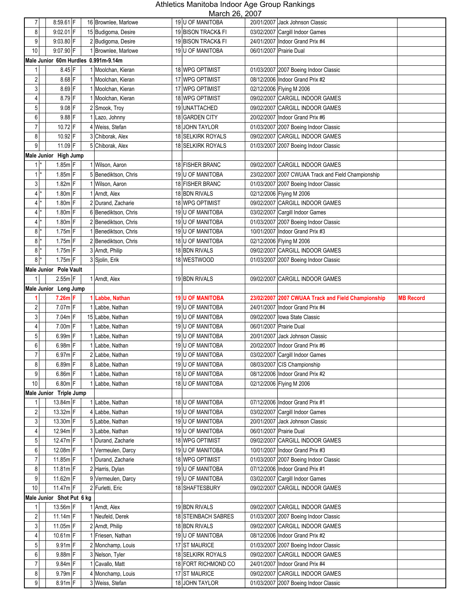| 7                   | $8:59.61$ F                          | 16 Brownlee, Marlowe               | 19 U OF MANITOBA                         | $11101011$ $-0,$ $-001$ | 20/01/2007 Jack Johnson Classic                                          |                  |
|---------------------|--------------------------------------|------------------------------------|------------------------------------------|-------------------------|--------------------------------------------------------------------------|------------------|
| 8                   | $9:02.01$ F                          | 15 Budigoma, Desire                | 19 BISON TRACK& FI                       |                         | 03/02/2007 Cargill Indoor Games                                          |                  |
| 9                   | $9:03.80$ F                          | 2 Budigoma, Desire                 | 19 BISON TRACK& FI                       |                         | 24/01/2007 Indoor Grand Prix #4                                          |                  |
| 10                  | 9:07.90 F                            | 1 Brownlee, Marlowe                | 19 U OF MANITOBA                         |                         | 06/01/2007 Prairie Dual                                                  |                  |
|                     | Male Junior 60m Hurdles 0.991m-9.14m |                                    |                                          |                         |                                                                          |                  |
| 1                   | 8.45 F                               | 1 Moolchan, Kieran                 | 18 WPG OPTIMIST                          |                         | 01/03/2007 2007 Boeing Indoor Classic                                    |                  |
| $\overline{2}$      | 8.68 F                               | 1 Moolchan, Kieran                 | 17 WPG OPTIMIST                          |                         | 08/12/2006 Indoor Grand Prix #2                                          |                  |
| 3                   | 8.69 F                               | 1 Moolchan, Kieran                 | 17 WPG OPTIMIST                          |                         | 02/12/2006 Flying M 2006                                                 |                  |
| 4                   | 8.79 F                               | 1 Moolchan, Kieran                 | 18 WPG OPTIMIST                          |                         | 09/02/2007 CARGILL INDOOR GAMES                                          |                  |
| 5                   | $9.08$ F                             | 2 Smook, Troy                      | 19 UNATTACHED                            |                         | 09/02/2007 CARGILL INDOOR GAMES                                          |                  |
| 6                   | 9.88 F                               | 1 Lazo, Johnny                     | 18 GARDEN CITY                           |                         | 20/02/2007 Indoor Grand Prix #6                                          |                  |
| $\overline{7}$      | 10.72 F                              | 4 Weiss, Stefan                    | 18 JOHN TAYLOR                           |                         | 01/03/2007 2007 Boeing Indoor Classic                                    |                  |
| 8                   | 10.92 F                              | 3 Chiborak, Alex                   | 18 SELKIRK ROYALS                        |                         | 09/02/2007 CARGILL INDOOR GAMES                                          |                  |
| 9                   | $11.09$ F                            | 5 Chiborak, Alex                   | 18 SELKIRK ROYALS                        |                         | 01/03/2007 2007 Boeing Indoor Classic                                    |                  |
|                     | Male Junior High Jump                |                                    |                                          |                         |                                                                          |                  |
| $1$ <sup>*</sup>    | $1.85m$ F                            | 1 Wilson, Aaron                    | 18 FISHER BRANC                          |                         | 09/02/2007 CARGILL INDOOR GAMES                                          |                  |
| $1$ <sup>*</sup>    | $1.85m$ F                            | 5 Benediktson, Chris               | 19 U OF MANITOBA                         |                         | 23/02/2007 2007 CWUAA Track and Field Championship                       |                  |
| 3 <sup>1</sup>      | $1.82m$ F                            | 1 Wilson, Aaron                    | 18 FISHER BRANC                          |                         | 01/03/2007 2007 Boeing Indoor Classic                                    |                  |
| $4*$                | $1.80m$ F                            | 1 Arndt. Alex                      | 18 BDN RIVALS                            |                         | 02/12/2006 Flying M 2006                                                 |                  |
| $4$ $*$             | $1.80m$ F                            | 2 Durand, Zacharie                 | 18 WPG OPTIMIST                          |                         | 09/02/2007 CARGILL INDOOR GAMES                                          |                  |
| $4^*$               | $1.80m$ F                            | 6 Benediktson, Chris               | 19 U OF MANITOBA                         |                         | 03/02/2007 Cargill Indoor Games                                          |                  |
| $4$ $^*$            | $1.80m$ F                            | 2 Benediktson, Chris               | <b>19 U OF MANITOBA</b>                  |                         | 01/03/2007 2007 Boeing Indoor Classic                                    |                  |
| $8*$                | $1.75m$ F                            | 1 Benediktson, Chris               | 19 U OF MANITOBA                         |                         | 10/01/2007   Indoor Grand Prix #3                                        |                  |
| $8$  *              | $1.75m$ F                            | 2 Benediktson, Chris               | 18 U OF MANITOBA                         |                         | 02/12/2006 Flying M 2006                                                 |                  |
| $8*$                | $1.75m$ F                            | 3 Arndt, Philip                    | 18 BDN RIVALS                            |                         | 09/02/2007 CARGILL INDOOR GAMES                                          |                  |
| $8$ $*$             | $1.75m$ F                            | 3 Sjolin, Erik                     | 18 WESTWOOD                              |                         | 01/03/2007 2007 Boeing Indoor Classic                                    |                  |
|                     | Male Junior Pole Vault               |                                    |                                          |                         |                                                                          |                  |
| $\mathbf{1}$        | $2.55m$ F                            | 1 Arndt, Alex                      | 19 BDN RIVALS                            |                         | 09/02/2007 CARGILL INDOOR GAMES                                          |                  |
|                     | Male Junior Long Jump                |                                    |                                          |                         |                                                                          |                  |
|                     | $7.26m$ F                            | 1 Labbe, Nathan                    | <b>19 U OF MANITOBA</b>                  |                         | 23/02/2007 2007 CWUAA Track and Field Championship                       | <b>MB Record</b> |
| $\overline{c}$      | $7.07m$ F                            | 1 Labbe, Nathan                    | 19 U OF MANITOBA                         |                         |                                                                          |                  |
|                     |                                      |                                    |                                          |                         | 24/01/2007 Indoor Grand Prix #4                                          |                  |
| $\mathbf{3}$        | 7.04m F                              | 15 Labbe, Nathan                   | 19 U OF MANITOBA                         |                         | 09/02/2007 Iowa State Classic                                            |                  |
| 4                   | 7.00m F                              | 1 Labbe, Nathan                    | 19 U OF MANITOBA                         |                         | 06/01/2007 Prairie Dual                                                  |                  |
| 5                   | 6.99m F                              | 1 Labbe, Nathan                    | 19 U OF MANITOBA                         |                         | 20/01/2007 Jack Johnson Classic                                          |                  |
| 6                   | 6.98m F                              | 1 Labbe, Nathan                    | 19 U OF MANITOBA                         |                         | 20/02/2007   Indoor Grand Prix #6                                        |                  |
| $\overline{7}$      | 6.97m F                              | 2 Labbe, Nathan                    | <b>19 U OF MANITOBA</b>                  |                         | 03/02/2007 Cargill Indoor Games                                          |                  |
| 8                   | $6.89m$ F                            | 8 Labbe, Nathan                    | 19 U OF MANITOBA                         |                         | 08/03/2007 CIS Championship                                              |                  |
| 9                   | $6.86m$ F                            | 1 Labbe, Nathan                    | 18 U OF MANITOBA                         |                         | 08/12/2006 Indoor Grand Prix #2                                          |                  |
| 10                  | $6.80m$ F                            | 1 Labbe, Nathan                    | 18 U OF MANITOBA                         |                         | 02/12/2006 Flying M 2006                                                 |                  |
|                     | Male Junior Triple Jump              |                                    |                                          |                         |                                                                          |                  |
| 1                   | 13.84m F                             | 1 Labbe, Nathan                    | 18 U OF MANITOBA                         |                         | 07/12/2006 Indoor Grand Prix #1                                          |                  |
| $\sqrt{2}$          | 13.32m F                             | 4 Labbe, Nathan                    | 19 U OF MANITOBA                         |                         | 03/02/2007 Cargill Indoor Games                                          |                  |
| 3 <sup>1</sup>      | 13.30m F                             | 5 Labbe, Nathan                    | 19 U OF MANITOBA                         |                         | 20/01/2007 Jack Johnson Classic                                          |                  |
| $\overline{4}$      | 12.94m F                             | 3 Labbe, Nathan                    | 19 U OF MANITOBA                         |                         | 06/01/2007 Prairie Dual                                                  |                  |
| $\overline{5}$      | 12.47m F                             | 1 Durand, Zacharie                 | 18 WPG OPTIMIST                          |                         | 09/02/2007 CARGILL INDOOR GAMES                                          |                  |
| 6                   | 12.08m F                             | 1 Vermeulen, Darcy                 | 19 U OF MANITOBA                         |                         | 10/01/2007 Indoor Grand Prix #3                                          |                  |
| $\overline{7}$      | 11.85m F                             | 1 Durand, Zacharie                 | 18 WPG OPTIMIST                          |                         | 01/03/2007 2007 Boeing Indoor Classic                                    |                  |
| $\bf 8$             | $11.81m$ F                           | 2 Harris, Dylan                    | 19 U OF MANITOBA                         |                         | 07/12/2006 Indoor Grand Prix #1                                          |                  |
| 9                   | $11.62m$ F                           | 9 Vermeulen, Darcy                 | 19 U OF MANITOBA                         |                         | 03/02/2007 Cargill Indoor Games                                          |                  |
| 10                  | $11.47m$ F                           | 2 Furletti, Eric                   | 18 SHAFTESBURY                           |                         | 09/02/2007 CARGILL INDOOR GAMES                                          |                  |
|                     | Male Junior Shot Put 6 kg            |                                    |                                          |                         |                                                                          |                  |
| 1                   | $13.56m$ F                           | 1 Arndt, Alex                      | 19 BDN RIVALS                            |                         | 09/02/2007 CARGILL INDOOR GAMES                                          |                  |
| $\overline{c}$      | $11.14m$ F                           | 1 Neufeld, Derek                   | 18 STEINBACH SABRES                      |                         | 01/03/2007 2007 Boeing Indoor Classic                                    |                  |
| $\mathbf{3}$        | $11.05m$ F                           | 2 Arndt, Philip                    | 18 BDN RIVALS                            |                         | 09/02/2007 CARGILL INDOOR GAMES                                          |                  |
| 4                   | $10.61m$ F                           | 1 Friesen, Nathan                  | 19 U OF MANITOBA                         |                         | 08/12/2006 Indoor Grand Prix #2                                          |                  |
| $\overline{5}$<br>6 | $9.91m$ F                            | 2 Monchamp, Louis                  | 17 ST MAURICE                            |                         | 01/03/2007 2007 Boeing Indoor Classic<br>09/02/2007 CARGILL INDOOR GAMES |                  |
| 7                   | 9.88m F<br>9.84m F                   | 3 Nelson, Tyler<br>1 Cavallo, Matt | 18 SELKIRK ROYALS<br>18 FORT RICHMOND CO |                         | 24/01/2007 Indoor Grand Prix #4                                          |                  |
| 8                   | $9.79m$ F                            | 4 Monchamp, Louis                  | 17 ST MAURICE                            |                         | 09/02/2007 CARGILL INDOOR GAMES                                          |                  |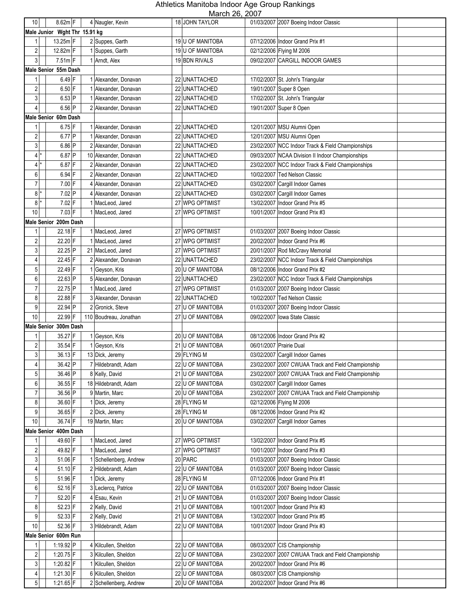| 10 <sup>1</sup>  |       | $8.62m$ F                     |   | 4 Naugler, Kevin       | 11101011 20, 2001<br>18 JOHN TAYLOR |                         | 01/03/2007 2007 Boeing Indoor Classic              |
|------------------|-------|-------------------------------|---|------------------------|-------------------------------------|-------------------------|----------------------------------------------------|
|                  |       | Male Junior Wght Thr 15.91 kg |   |                        |                                     |                         |                                                    |
| 1                |       | 13.25m F                      |   | 2 Suppes, Garth        | 19 U OF MANITOBA                    |                         | 07/12/2006 Indoor Grand Prix #1                    |
|                  |       |                               |   |                        |                                     |                         |                                                    |
| $\sqrt{2}$       |       | 12.82m F                      |   | 1 Suppes, Garth        | 19 U OF MANITOBA                    |                         | 02/12/2006 Flying M 2006                           |
| 3                |       | $7.51m$ F                     |   | 1 Arndt, Alex          | 19 BDN RIVALS                       |                         | 09/02/2007 CARGILL INDOOR GAMES                    |
|                  |       | Male Senior 55m Dash          |   |                        |                                     |                         |                                                    |
| 1                |       | $6.49$ F                      |   | 1 Alexander, Donavan   | 22 UNATTACHED                       |                         | 17/02/2007 St. John's Triangular                   |
| $\overline{2}$   |       | $6.50$ F                      |   | 1 Alexander, Donavan   | 22 UNATTACHED                       |                         | 19/01/2007 Super 8 Open                            |
| 3                |       | $6.53$ P                      |   | 1 Alexander, Donavan   | 22 UNATTACHED                       |                         | 17/02/2007 St. John's Triangular                   |
| 4                |       | 6.56 P                        |   | 2 Alexander, Donavan   | 22 UNATTACHED                       |                         | 19/01/2007 Super 8 Open                            |
|                  |       | <b>Male Senior 60m Dash</b>   |   |                        |                                     |                         |                                                    |
| 1                |       | $6.75$ F                      |   | Alexander, Donavan     | 22 UNATTACHED                       |                         | 12/01/2007 MSU Alumni Open                         |
| $\sqrt{2}$       |       | $6.77$ P                      |   | Alexander, Donavan     | 22 UNATTACHED                       |                         | 12/01/2007 MSU Alumni Open                         |
| $\mathbf{3}$     |       | 6.86 P                        |   | Alexander, Donavan     | 22 UNATTACHED                       |                         | 23/02/2007 NCC Indoor Track & Field Championships  |
|                  |       |                               |   |                        |                                     |                         |                                                    |
|                  | 4 *   | 6.87 P                        |   | 10 Alexander, Donavan  | 22 UNATTACHED                       |                         | 09/03/2007 NCAA Division II Indoor Championships   |
|                  | $4^*$ | $6.87$ F                      | 2 | Alexander, Donavan     | 22 UNATTACHED                       |                         | 23/02/2007 NCC Indoor Track & Field Championships  |
| $6 \mid$         |       | $6.94$ F                      |   | Alexander, Donavan     | 22 UNATTACHED                       |                         | 10/02/2007 Ted Nelson Classic                      |
| $\overline{7}$   |       | $7.00$ F                      | 4 | Alexander, Donavan     | 22 UNATTACHED                       |                         | 03/02/2007 Cargill Indoor Games                    |
| 8 <sup>1</sup>   |       | 7.02 P                        | 4 | Alexander, Donavan     | 22 UNATTACHED                       |                         | 03/02/2007 Cargill Indoor Games                    |
| 8 <sup>1</sup>   |       | 7.02 F                        |   | 1 MacLeod, Jared       | 27 WPG OPTIMIST                     |                         | 13/02/2007 Indoor Grand Prix #5                    |
| 10               |       | $7.03$ F                      |   | 1 MacLeod, Jared       | 27 WPG OPTIMIST                     |                         | 10/01/2007   Indoor Grand Prix #3                  |
|                  |       | Male Senior 200m Dash         |   |                        |                                     |                         |                                                    |
| 1                |       | 22.18 F                       |   | 1 MacLeod, Jared       | 27 WPG OPTIMIST                     |                         | 01/03/2007 2007 Boeing Indoor Classic              |
| 2                |       | 22.20 F                       |   | 1 MacLeod, Jared       | 27 WPG OPTIMIST                     |                         | 20/02/2007 Indoor Grand Prix #6                    |
| 3                |       | 22.25 P                       |   | 21 MacLeod, Jared      | 27 WPG OPTIMIST                     |                         | 20/01/2007 Rod McCravy Memorial                    |
|                  |       | 22.45 F                       |   |                        |                                     |                         |                                                    |
| 4                |       |                               |   | 2 Alexander, Donavan   | 22 UNATTACHED                       |                         | 23/02/2007 NCC Indoor Track & Field Championships  |
| 5                |       | 22.49 F                       |   | 1 Geyson, Kris         | 20 U OF MANITOBA                    |                         | 08/12/2006 Indoor Grand Prix #2                    |
| 6                |       | 22.63 P                       |   | 5 Alexander, Donavan   | 22 UNATTACHED                       |                         | 23/02/2007 NCC Indoor Track & Field Championships  |
| $\overline{7}$   |       | 22.75 P                       |   | MacLeod, Jared         | 27 WPG OPTIMIST                     |                         | 01/03/2007 2007 Boeing Indoor Classic              |
| 8                |       | 22.88 F                       |   | 3 Alexander, Donavan   | 22 UNATTACHED                       |                         | 10/02/2007 Ted Nelson Classic                      |
| 9                |       | 22.94 P                       |   | 2 Gronick, Steve       | 27 U OF MANITOBA                    |                         | 01/03/2007 2007 Boeing Indoor Classic              |
| 10               |       | 22.99 F                       |   | 110 Boudreau, Jonathan | 27 U OF MANITOBA                    |                         | 09/02/2007 Iowa State Classic                      |
|                  |       | Male Senior 300m Dash         |   |                        |                                     |                         |                                                    |
|                  |       | 35.27 F                       |   | 1 Geyson, Kris         | 20 U OF MANITOBA                    |                         | 08/12/2006 Indoor Grand Prix #2                    |
| 2                |       | 35.54 F                       |   | 1 Geyson, Kris         | 21 U OF MANITOBA                    | 06/01/2007 Prairie Dual |                                                    |
| 3                |       | 36.13 F                       |   | 13 Dick, Jeremy        | 29 FLYING M                         |                         | 03/02/2007 Cargill Indoor Games                    |
| 4                |       | 36.42 P                       |   | 7 Hildebrandt, Adam    | 22 U OF MANITOBA                    |                         | 23/02/2007 2007 CWUAA Track and Field Championship |
| 5 <sup>1</sup>   |       | 36.46 P                       |   | 8 Kelly, David         | 21 U OF MANITOBA                    |                         | 23/02/2007 2007 CWUAA Track and Field Championship |
| 6                |       | 36.55 F                       |   | 18 Hildebrandt, Adam   | 22 U OF MANITOBA                    |                         | 03/02/2007 Cargill Indoor Games                    |
|                  |       |                               |   |                        |                                     |                         |                                                    |
| 7                |       | 36.56 P                       |   | 9 Martin, Marc         | 20 U OF MANITOBA                    |                         | 23/02/2007 2007 CWUAA Track and Field Championship |
| 8                |       | 36.60 F                       |   | 1 Dick, Jeremy         | 28 FLYING M                         |                         | 02/12/2006 Flying M 2006                           |
| 9                |       | 36.65 F                       |   | 2 Dick, Jeremy         | 28 FLYING M                         |                         | 08/12/2006 Indoor Grand Prix #2                    |
| 10               |       | 36.74 F                       |   | 19 Martin, Marc        | 20 U OF MANITOBA                    |                         | 03/02/2007 Cargill Indoor Games                    |
|                  |       | Male Senior 400m Dash         |   |                        |                                     |                         |                                                    |
| 1                |       | 49.60 F                       |   | 1 MacLeod, Jared       | 27 WPG OPTIMIST                     |                         | 13/02/2007 Indoor Grand Prix #5                    |
| $\sqrt{2}$       |       | 49.82 F                       |   | 1 MacLeod, Jared       | 27 WPG OPTIMIST                     |                         | 10/01/2007 Indoor Grand Prix #3                    |
| $\mathbf{3}$     |       | 51.06 F                       |   | 1 Schellenberg, Andrew | 20 PARC                             |                         | 01/03/2007 2007 Boeing Indoor Classic              |
| 4                |       | $51.10$ F                     |   | 2 Hildebrandt, Adam    | 22 U OF MANITOBA                    |                         | 01/03/2007 2007 Boeing Indoor Classic              |
| $5\overline{)}$  |       | 51.96 F                       |   | 1 Dick, Jeremy         | 28 FLYING M                         |                         | 07/12/2006 Indoor Grand Prix #1                    |
| $\boldsymbol{6}$ |       | $52.16$ F                     |   | 3 Leclercq, Patrice    | 22 U OF MANITOBA                    |                         | 01/03/2007 2007 Boeing Indoor Classic              |
| 7                |       | 52.20 F                       |   | 4 Esau, Kevin          | 21 U OF MANITOBA                    |                         | 01/03/2007 2007 Boeing Indoor Classic              |
| $\bf 8$          |       | 52.23 F                       |   | 2 Kelly, David         | 21 U OF MANITOBA                    |                         | 10/01/2007   Indoor Grand Prix #3                  |
| 9                |       | 52.33 F                       |   | 2 Kelly, David         | 21 U OF MANITOBA                    |                         | 13/02/2007 Indoor Grand Prix #5                    |
|                  |       |                               |   |                        |                                     |                         |                                                    |
| 10               |       | 52.36 F                       |   | 3 Hildebrandt, Adam    | 22 U OF MANITOBA                    |                         | 10/01/2007 Indoor Grand Prix #3                    |
|                  |       | Male Senior 600m Run          |   |                        |                                     |                         |                                                    |
| 1                |       | 1:19.92 P                     |   | 4 Kilcullen, Sheldon   | 22 U OF MANITOBA                    |                         | 08/03/2007 CIS Championship                        |
| $\overline{2}$   |       | 1:20.75 $F$                   |   | 3 Kilcullen, Sheldon   | 22 U OF MANITOBA                    |                         | 23/02/2007 2007 CWUAA Track and Field Championship |
| $\mathbf{3}$     |       | 1:20.82 F                     |   | 1 Kilcullen, Sheldon   | 22 U OF MANITOBA                    |                         | 20/02/2007 Indoor Grand Prix #6                    |
| 4                |       | $1:21.30$ F                   |   | 6 Kilcullen, Sheldon   | 22 U OF MANITOBA                    |                         | 08/03/2007 CIS Championship                        |
| 5 <sup>1</sup>   |       | 1:21.65 F                     |   | 2 Schellenberg, Andrew | 20 U OF MANITOBA                    |                         | 20/02/2007 Indoor Grand Prix #6                    |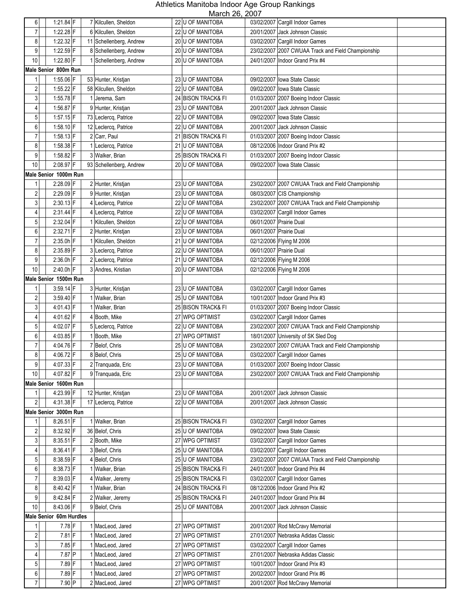| 6                       | 1:21.84 F               | 7 Kilcullen, Sheldon             | 22 U OF MANITOBA                       | 03/02/2007 Cargill Indoor Games                                  |
|-------------------------|-------------------------|----------------------------------|----------------------------------------|------------------------------------------------------------------|
| $\overline{7}$          | $1:22.28$ F             | 6 Kilcullen, Sheldon             | 22 U OF MANITOBA                       | 20/01/2007 Jack Johnson Classic                                  |
| 8                       | 1:22.32 F               | 11 Schellenberg, Andrew          | 20 U OF MANITOBA                       | 03/02/2007 Cargill Indoor Games                                  |
| 9                       | 1:22.59 F               | 8 Schellenberg, Andrew           | 20 U OF MANITOBA                       | 23/02/2007 2007 CWUAA Track and Field Championship               |
| 10                      | 1:22.80 F               | 1 Schellenberg, Andrew           | 20 U OF MANITOBA                       | 24/01/2007 Indoor Grand Prix #4                                  |
|                         | Male Senior 800m Run    |                                  |                                        |                                                                  |
| 1                       | 1:55.06 F               | 53 Hunter, Kristjan              | 23 U OF MANITOBA                       | 09/02/2007 lowa State Classic                                    |
| $\overline{c}$          | 1:55.22 F               | 58 Kilcullen, Sheldon            | 22 U OF MANITOBA                       | 09/02/2007 Iowa State Classic                                    |
| 3                       | $1:55.78$ F             | 1 Jerema, Sam                    | 24 BISON TRACK& FI                     | 01/03/2007 2007 Boeing Indoor Classic                            |
| 4                       | 1:56.87 F               | 9 Hunter, Kristjan               | 23 U OF MANITOBA                       | 20/01/2007 Jack Johnson Classic                                  |
| 5                       | $1:57.15$ F             | 73 Leclercq, Patrice             | 22 U OF MANITOBA                       | 09/02/2007 Iowa State Classic                                    |
| 6                       | $1:58.10$ F             | 12 Leclercq, Patrice             | 22 U OF MANITOBA                       | 20/01/2007 Jack Johnson Classic                                  |
| $\overline{7}$          | 1:58.13 F               | 2 Carr, Paul                     | 21 BISON TRACK& FI                     | 01/03/2007 2007 Boeing Indoor Classic                            |
| 8                       | 1:58.38 F               | 1 Leclercq, Patrice              | 21 U OF MANITOBA                       | 08/12/2006 Indoor Grand Prix #2                                  |
| 9                       | 1:58.82 F               | 3 Walker, Brian                  | 25 BISON TRACK& FI                     | 01/03/2007 2007 Boeing Indoor Classic                            |
| 10                      | $2:08.97$ F             | 93 Schellenberg, Andrew          | 20 U OF MANITOBA                       | Iowa State Classic<br>09/02/2007                                 |
|                         | Male Senior 1000m Run   |                                  |                                        |                                                                  |
|                         | 2:28.09 F               | 2 Hunter, Kristjan               | 23 U OF MANITOBA                       | 23/02/2007 2007 CWUAA Track and Field Championship               |
| $\overline{\mathbf{c}}$ | 2:29.09 F               | 9 Hunter, Kristjan               | 23 U OF MANITOBA                       | 08/03/2007 CIS Championship                                      |
| $\mathsf 3$             | $2:30.13$ F             | 4 Leclercq, Patrice              | 22 U OF MANITOBA                       | 23/02/2007 2007 CWUAA Track and Field Championship               |
| 4                       | 2:31.44 F               | 4 Leclercq, Patrice              | 22 U OF MANITOBA                       | 03/02/2007 Cargill Indoor Games                                  |
| 5                       | 2:32.04 F               | 1 Kilcullen, Sheldon             | 22 U OF MANITOBA                       | 06/01/2007 Prairie Dual                                          |
| 6                       | 2:32.71 F               | 2 Hunter, Kristjan               | 23 U OF MANITOBA                       | 06/01/2007 Prairie Dual                                          |
| $\overline{7}$          | $2:35.0h$ F             | 1 Kilcullen, Sheldon             | 21 U OF MANITOBA                       | 02/12/2006 Flying M 2006                                         |
| 8                       | 2:35.89 F               | 3 Leclercq, Patrice              | 22 U OF MANITOBA                       | 06/01/2007 Prairie Dual                                          |
| 9                       | 2:36.0h F               | 2 Leclercq, Patrice              | 21 U OF MANITOBA                       | 02/12/2006 Flying M 2006                                         |
| 10                      | 2:40.0h F               | 3 Andres, Kristian               | 20 U OF MANITOBA                       | 02/12/2006 Flying M 2006                                         |
|                         | Male Senior 1500m Run   |                                  |                                        |                                                                  |
| 1                       | 3:59.14 F               | 3 Hunter, Kristjan               | 23 U OF MANITOBA                       | 03/02/2007 Cargill Indoor Games                                  |
| $\overline{2}$          | $3:59.40$ F             | 1 Walker, Brian                  | 25 U OF MANITOBA                       | 10/01/2007 Indoor Grand Prix #3                                  |
| 3                       | 4:01.43 F               | 1 Walker, Brian                  | 25 BISON TRACK& FI                     | 01/03/2007 2007 Boeing Indoor Classic                            |
| 4                       | 4:01.62 F               | 4 Booth, Mike                    | 27 WPG OPTIMIST                        | 03/02/2007 Cargill Indoor Games                                  |
| 5                       | 4:02.07 F               | 5 Leclercq, Patrice              | 22 U OF MANITOBA                       | 23/02/2007 2007 CWUAA Track and Field Championship               |
| 6                       | 4:03.85 F               | 1 Booth, Mike                    | 27 WPG OPTIMIST                        | 18/01/2007 University of SK Sled Dog                             |
| 7                       | 4:04.76 F               | 7 Belof, Chris                   | 25 U OF MANITOBA                       | 23/02/2007 2007 CWUAA Track and Field Championship               |
| 8                       | 4:06.72 F               | 8 Belof, Chris                   | 25 U OF MANITOBA                       | 03/02/2007 Cargill Indoor Games                                  |
| 9                       | 4:07.33 F               | 2 Tranguada, Eric                | 23 U OF MANITOBA                       | 01/03/2007 2007 Boeing Indoor Classic                            |
| $10$                    | 4:07.82 F               | 9 Tranquada, Eric                | 23 U OF MANITOBA                       | 23/02/2007 2007 CWUAA Track and Field Championship               |
|                         | Male Senior 1600m Run   |                                  |                                        |                                                                  |
|                         | 4:23.99 F               | 12 Hunter, Kristian              | 23 U OF MANITOBA                       | 20/01/2007 Jack Johnson Classic                                  |
| $\overline{2}$          | 4:31.38 F               | 17 Leclercq, Patrice             | 22 U OF MANITOBA                       | 20/01/2007 Jack Johnson Classic                                  |
|                         | Male Senior 3000m Run   |                                  |                                        |                                                                  |
|                         | 8:26.51 F<br>8:32.92 F  | 1 Walker, Brian                  | 25 BISON TRACK& FI<br>25 U OF MANITOBA | 03/02/2007 Cargill Indoor Games<br>09/02/2007 Iowa State Classic |
| 2<br>$\mathbf{3}$       | $8:35.51$ F             | 36 Belof, Chris<br>2 Booth, Mike | 27 WPG OPTIMIST                        | 03/02/2007 Cargill Indoor Games                                  |
| 4                       | 8:36.41 F               | 3 Belof, Chris                   | 25 U OF MANITOBA                       | 03/02/2007 Cargill Indoor Games                                  |
| 5                       | 8:38.59 F               | 4 Belof, Chris                   | 25 U OF MANITOBA                       | 23/02/2007<br>2007 CWUAA Track and Field Championship            |
| 6                       | 8:38.73 F               | 1 Walker, Brian                  | 25 BISON TRACK& FI                     | 24/01/2007   Indoor Grand Prix #4                                |
| $\overline{7}$          | 8:39.03 F               | 4 Walker, Jeremy                 | 25 BISON TRACK& FI                     | 03/02/2007 Cargill Indoor Games                                  |
| 8                       | 8:40.42 F               | 1 Walker, Brian                  | 24 BISON TRACK& FI                     | 08/12/2006 Indoor Grand Prix #2                                  |
| 9                       | 8:42.84 F               | 2 Walker, Jeremy                 | 25 BISON TRACK& FI                     | 24/01/2007 Indoor Grand Prix #4                                  |
| $10$                    | 8:43.06 F               | 9 Belof, Chris                   | 25 U OF MANITOBA                       | 20/01/2007 Jack Johnson Classic                                  |
|                         | Male Senior 60m Hurdles |                                  |                                        |                                                                  |
| 1                       | 7.78 F                  | 1 MacLeod, Jared                 | 27 WPG OPTIMIST                        | 20/01/2007 Rod McCravy Memorial                                  |
| $\overline{c}$          | $7.81$ F                | 1 MacLeod, Jared                 | 27 WPG OPTIMIST                        | 27/01/2007 Nebraska Adidas Classic                               |
| 3                       | 7.85 F                  | 1 MacLeod, Jared                 | 27 WPG OPTIMIST                        | 03/02/2007 Cargill Indoor Games                                  |
| 4                       | 7.87 P                  | 1 MacLeod, Jared                 | 27 WPG OPTIMIST                        | 27/01/2007 Nebraska Adidas Classic                               |
| $\overline{5}$          | 7.89 F                  | 1 MacLeod, Jared                 | 27 WPG OPTIMIST                        | 10/01/2007 Indoor Grand Prix #3                                  |
| 6                       | 7.89 F                  | 1 MacLeod, Jared                 | 27 WPG OPTIMIST                        | 20/02/2007 Indoor Grand Prix #6                                  |
| 7                       | $7.90$ P                | 2 MacLeod, Jared                 | 27 WPG OPTIMIST                        | 20/01/2007 Rod McCravy Memorial                                  |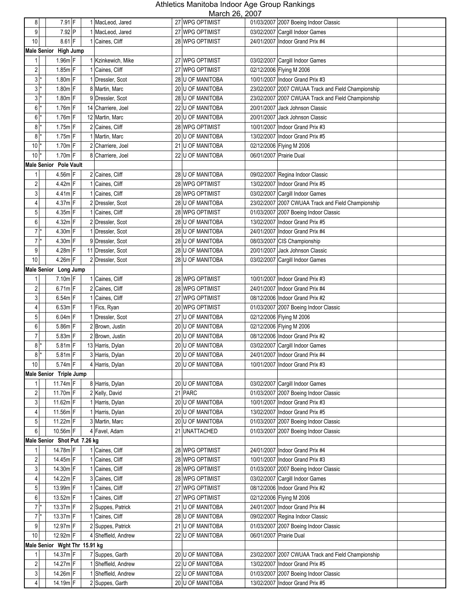| 8 <sup>1</sup>          | 7.91 F                        |   | 1 MacLeod, Jared    | NUUUUI ZU, ZUUI<br>27 WPG OPTIMIST |                         | 01/03/2007 2007 Boeing Indoor Classic              |
|-------------------------|-------------------------------|---|---------------------|------------------------------------|-------------------------|----------------------------------------------------|
| 9                       | 7.92 P                        |   | 1 MacLeod, Jared    | 27 WPG OPTIMIST                    |                         | 03/02/2007 Cargill Indoor Games                    |
| $10$                    | 8.61 F                        |   | 1 Caines, Cliff     | 28 WPG OPTIMIST                    |                         | 24/01/2007 Indoor Grand Prix #4                    |
|                         | Male Senior High Jump         |   |                     |                                    |                         |                                                    |
| 1                       | $1.96m$ F                     |   | 1 Kzinkewich, Mike  | 27 WPG OPTIMIST                    |                         | 03/02/2007 Cargill Indoor Games                    |
| $\overline{2}$          | $1.85m$ F                     |   | 1 Caines, Cliff     | 27 WPG OPTIMIST                    |                         | 02/12/2006 Flying M 2006                           |
| $3*$                    | $1.80m$ F                     |   | 1 Dressler, Scot    | 28 U OF MANITOBA                   |                         | 10/01/2007 Indoor Grand Prix #3                    |
| $3*$                    | 1.80m F                       |   |                     |                                    |                         |                                                    |
|                         |                               |   | 8 Martin, Marc      | 20 U OF MANITOBA                   |                         | 23/02/2007 2007 CWUAA Track and Field Championship |
| $3*$                    | $1.80m$ F                     |   | 9 Dressler, Scot    | 28 U OF MANITOBA                   |                         | 23/02/2007 2007 CWUAA Track and Field Championship |
| 6 <sup>1</sup>          | $1.76m$ F                     |   | 14 Charriere, Joel  | 22 U OF MANITOBA                   |                         | 20/01/2007 Jack Johnson Classic                    |
| 6 <sup>1</sup>          | $1.76m$ F                     |   | 12 Martin, Marc     | 20 U OF MANITOBA                   |                         | 20/01/2007 Jack Johnson Classic                    |
| 8 <sup>1</sup>          | $1.75m$ F                     | 2 | Caines, Cliff       | 28 WPG OPTIMIST                    |                         | 10/01/2007 Indoor Grand Prix #3                    |
| 8 <sup>1</sup>          | $1.75m$ F                     |   | Martin, Marc        | 20 U OF MANITOBA                   |                         | 13/02/2007   Indoor Grand Prix #5                  |
| $10*$                   | $1.70m$ F                     |   | 2 Charriere, Joel   | 21 U OF MANITOBA                   |                         | 02/12/2006 Flying M 2006                           |
| $10$ <sup>*</sup>       | $1.70m$ F                     |   | 8 Charriere, Joel   | 22 U OF MANITOBA                   | 06/01/2007 Prairie Dual |                                                    |
|                         | Male Senior Pole Vault        |   |                     |                                    |                         |                                                    |
| 1                       | 4.56m F                       |   | 2 Caines, Cliff     | 28 U OF MANITOBA                   |                         | 09/02/2007 Regina Indoor Classic                   |
| $\boldsymbol{2}$        | 4.42m F                       |   | 1 Caines, Cliff     | 28 WPG OPTIMIST                    |                         | 13/02/2007 Indoor Grand Prix #5                    |
| 3 <sup>1</sup>          | $4.41m$ F                     |   | 1 Caines, Cliff     | 28 WPG OPTIMIST                    |                         | 03/02/2007 Cargill Indoor Games                    |
| 4                       | 4.37m F                       |   | 2 Dressler, Scot    | 28 U OF MANITOBA                   |                         | 23/02/2007 2007 CWUAA Track and Field Championship |
| 5                       | $4.35m$ F                     |   | 1 Caines, Cliff     | 28 WPG OPTIMIST                    |                         | 01/03/2007 2007 Boeing Indoor Classic              |
| $6 \mid$                | 4.32m F                       |   | 2 Dressler, Scot    | 28 U OF MANITOBA                   |                         | 13/02/2007 Indoor Grand Prix #5                    |
| $7^*$                   | 4.30m F                       |   | 1 Dressler, Scot    | 28 U OF MANITOBA                   |                         | 24/01/2007 Indoor Grand Prix #4                    |
| $7^*$                   | $4.30m$ F                     |   | 9 Dressler, Scot    | 28 U OF MANITOBA                   |                         | 08/03/2007 CIS Championship                        |
| 9 <sub>l</sub>          | $4.28m$ F                     |   | 11 Dressler, Scot   | 28 U OF MANITOBA                   |                         | 20/01/2007 Jack Johnson Classic                    |
| 10                      | 4.26m F                       |   | 2 Dressler, Scot    | 28 U OF MANITOBA                   |                         | 03/02/2007 Cargill Indoor Games                    |
|                         | Male Senior Long Jump         |   |                     |                                    |                         |                                                    |
| 1                       | $7.10m$ F                     |   | 1 Caines, Cliff     | 28 WPG OPTIMIST                    |                         | 10/01/2007 Indoor Grand Prix #3                    |
| $\sqrt{2}$              | $6.71m$ F                     | 2 | Caines, Cliff       | 28 WPG OPTIMIST                    |                         | 24/01/2007 Indoor Grand Prix #4                    |
| 3                       | $6.54m$ F                     |   | 1 Caines, Cliff     | 27 WPG OPTIMIST                    |                         | 08/12/2006 Indoor Grand Prix #2                    |
| 4                       | $6.53m$ F                     |   | 1 Fics, Ryan        | 20 WPG OPTIMIST                    |                         | 01/03/2007 2007 Boeing Indoor Classic              |
| 5                       | $6.04m$ F                     |   | 1 Dressler, Scot    | 27 U OF MANITOBA                   |                         | 02/12/2006 Flying M 2006                           |
| 6 <sup>1</sup>          | 5.86m F                       |   | 2 Brown, Justin     | 20 U OF MANITOBA                   |                         | 02/12/2006 Flying M 2006                           |
| 7                       | 5.83m F                       |   | 2 Brown, Justin     | 20 U OF MANITOBA                   |                         | 08/12/2006 Indoor Grand Prix #2                    |
| 8                       |                               |   |                     | 20 U OF MANITOBA                   |                         |                                                    |
|                         | $5.81m$ F<br>$5.81m$ F        |   | 13 Harris, Dylan    |                                    |                         | 03/02/2007 Cargill Indoor Games                    |
| 8 <sup>1</sup>          |                               |   | 3 Harris, Dylan     | 20 U OF MANITOBA                   |                         | 24/01/2007 Indoor Grand Prix #4                    |
| 10                      | $5.74m$ F                     |   | 4 Harris, Dylan     | 20 U OF MANITOBA                   |                         | 10/01/2007 Indoor Grand Prix #3                    |
|                         | Male Senior Triple Jump       |   |                     |                                    |                         |                                                    |
| 1                       | 11.74 $m$ F                   |   | 8 Harris, Dylan     | 20 U OF MANITOBA                   |                         | 03/02/2007 Cargill Indoor Games                    |
| $\overline{\mathbf{c}}$ | $11.70m$ F                    |   | 2 Kelly, David      | 21 PARC                            |                         | 01/03/2007 2007 Boeing Indoor Classic              |
| 3 <sup>1</sup>          | 11.62m F                      |   | 1 Harris, Dylan     | 20 U OF MANITOBA                   |                         | 10/01/2007 Indoor Grand Prix #3                    |
| 4                       | 11.56m F                      |   | 1 Harris, Dylan     | 20 U OF MANITOBA                   |                         | 13/02/2007   Indoor Grand Prix #5                  |
| 5 <sup>1</sup>          | 11.22m F                      |   | 3 Martin, Marc      | 20 U OF MANITOBA                   |                         | 01/03/2007 2007 Boeing Indoor Classic              |
| $6 \mid$                | 10.56m F                      |   | 4 Favel, Adam       | 21 UNATTACHED                      |                         | 01/03/2007 2007 Boeing Indoor Classic              |
|                         | Male Senior Shot Put 7.26 kg  |   |                     |                                    |                         |                                                    |
| 1                       | 14.78m F                      |   | 1 Caines, Cliff     | 28 WPG OPTIMIST                    |                         | 24/01/2007 Indoor Grand Prix #4                    |
| $\sqrt{2}$              | 14.45m F                      |   | Caines, Cliff       | 28 WPG OPTIMIST                    |                         | 10/01/2007   Indoor Grand Prix #3                  |
| 3 <sup>1</sup>          | 14.30m F                      |   | 1 Caines, Cliff     | 28 WPG OPTIMIST                    |                         | 01/03/2007 2007 Boeing Indoor Classic              |
| 4                       | 14.22m F                      |   | 3 Caines, Cliff     | 28 WPG OPTIMIST                    |                         | 03/02/2007 Cargill Indoor Games                    |
| 5 <sup>1</sup>          | 13.99m F                      |   | 1 Caines, Cliff     | 27 WPG OPTIMIST                    |                         | 08/12/2006 Indoor Grand Prix #2                    |
| 6                       | 13.52m F                      |   | Caines, Cliff       | 27 WPG OPTIMIST                    |                         | 02/12/2006 Flying M 2006                           |
| $7^*$                   | 13.37m F                      |   | 2 Suppes, Patrick   | 21 U OF MANITOBA                   |                         | 24/01/2007 Indoor Grand Prix #4                    |
| $7^*$                   | 13.37m F                      |   | 1 Caines, Cliff     | 28 U OF MANITOBA                   |                         | 09/02/2007 Regina Indoor Classic                   |
| 9 <sub>l</sub>          | 12.97m F                      |   | 2 Suppes, Patrick   | 21 U OF MANITOBA                   |                         | 01/03/2007 2007 Boeing Indoor Classic              |
| 10                      | 12.92m F                      |   | 4 Sheffield, Andrew | 22 U OF MANITOBA                   |                         | 06/01/2007 Prairie Dual                            |
|                         | Male Senior Wght Thr 15.91 kg |   |                     |                                    |                         |                                                    |
| 1                       | 14.37m F                      |   | 7 Suppes, Garth     | 20 U OF MANITOBA                   |                         | 23/02/2007 2007 CWUAA Track and Field Championship |
| $\overline{c}$          | 14.27m F                      |   | 1 Sheffield, Andrew | 22 U OF MANITOBA                   |                         | 13/02/2007 Indoor Grand Prix #5                    |
| 3                       | 14.26m F                      |   | 1 Sheffield, Andrew | 22 U OF MANITOBA                   |                         | 01/03/2007 2007 Boeing Indoor Classic              |
| 4                       | 14.19m F                      |   | 2 Suppes, Garth     | 20 U OF MANITOBA                   |                         | 13/02/2007   Indoor Grand Prix #5                  |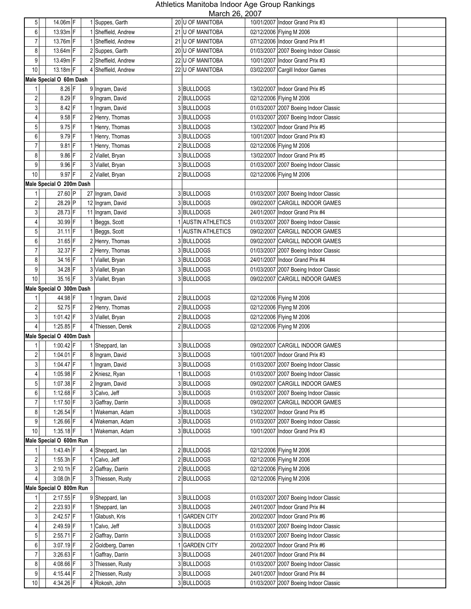| 5                       | 14.06m F                 | 1 Suppes, Garth      | $N = L, 20, 10$<br>20 U OF MANITOBA | 10/01/2007   Indoor Grand Prix #3     |
|-------------------------|--------------------------|----------------------|-------------------------------------|---------------------------------------|
| 6                       | 13.93m F                 | 1 Sheffield, Andrew  | 21 U OF MANITOBA                    | 02/12/2006 Flying M 2006              |
| $\overline{7}$          | 13.76m F                 | 1 Sheffield, Andrew  | 21 U OF MANITOBA                    | 07/12/2006 Indoor Grand Prix #1       |
| 8                       | 13.64m F                 | 2 Suppes, Garth      | 20 U OF MANITOBA                    | 01/03/2007 2007 Boeing Indoor Classic |
| 9                       | 13.49m F                 | 2 Sheffield, Andrew  | 22 U OF MANITOBA                    | 10/01/2007 Indoor Grand Prix #3       |
|                         | 13.18m F                 |                      |                                     |                                       |
| 10                      |                          | 4 Sheffield, Andrew  | 22 U OF MANITOBA                    | 03/02/2007 Cargill Indoor Games       |
|                         | Male Special O 60m Dash  |                      |                                     |                                       |
| 1                       | 8.26 F                   | 9 Ingram, David      | 3 BULLDOGS                          | 13/02/2007   Indoor Grand Prix #5     |
| $\sqrt{2}$              | $8.29$ F                 | 9<br>Ingram, David   | 2 BULLDOGS                          | 02/12/2006 Flying M 2006              |
| 3                       | $8.42$ F                 | Ingram, David        | 3BULLDOGS                           | 01/03/2007 2007 Boeing Indoor Classic |
| $\overline{4}$          | $9.58$ F                 | 2 Henry, Thomas      | 3 BULLDOGS                          | 01/03/2007 2007 Boeing Indoor Classic |
| 5                       | $9.75$ F                 | 1 Henry, Thomas      | 3 BULLDOGS                          | 13/02/2007 Indoor Grand Prix #5       |
| 6                       | $9.79$ F                 | 1 Henry, Thomas      | 3 BULLDOGS                          | 10/01/2007 Indoor Grand Prix #3       |
| $\overline{7}$          | $9.81$ F                 | 1 Henry, Thomas      | 2BULLDOGS                           | 02/12/2006 Flying M 2006              |
| 8                       | $9.86$ F                 | 2 Viallet, Bryan     | 3 BULLDOGS                          | 13/02/2007 Indoor Grand Prix #5       |
| 9                       | $9.96$ F                 | 3 Viallet, Bryan     | 3 BULLDOGS                          | 01/03/2007 2007 Boeing Indoor Classic |
| $10$                    | 9.97 F                   | 2 Viallet, Bryan     | 2 BULLDOGS                          | 02/12/2006 Flying M 2006              |
|                         | Male Special O 200m Dash |                      |                                     |                                       |
| 1                       | 27.60 P                  | 27 Ingram, David     | 3 BULLDOGS                          | 01/03/2007 2007 Boeing Indoor Classic |
| $\overline{\mathbf{c}}$ | 28.29 P                  | 12 Ingram, David     | 3 BULLDOGS                          | 09/02/2007 CARGILL INDOOR GAMES       |
| 3                       | 28.73 F                  | 11 Ingram, David     | 3 BULLDOGS                          | 24/01/2007 Indoor Grand Prix #4       |
| 4                       | 30.99 F                  | 1 Beggs, Scott       | 1 AUSTIN ATHLETICS                  | 01/03/2007 2007 Boeing Indoor Classic |
| 5                       | $31.11$ F                | 1 Beggs, Scott       | 1 AUSTIN ATHLETICS                  | 09/02/2007 CARGILL INDOOR GAMES       |
| 6                       | 31.65 F                  | 2 Henry, Thomas      | 3 BULLDOGS                          | 09/02/2007 CARGILL INDOOR GAMES       |
| $\overline{7}$          | 32.37 F                  | 2 Henry, Thomas      | 3 BULLDOGS                          | 01/03/2007 2007 Boeing Indoor Classic |
| 8                       | 34.16 F                  | 1 Viallet, Bryan     | 3 BULLDOGS                          | 24/01/2007 Indoor Grand Prix #4       |
| 9                       | 34.28 F                  | 3 Viallet, Bryan     | 3 BULLDOGS                          | 01/03/2007 2007 Boeing Indoor Classic |
| 10                      | 35.16 F                  | 3 Viallet, Bryan     | 3 BULLDOGS                          | 09/02/2007 CARGILL INDOOR GAMES       |
|                         | Male Special O 300m Dash |                      |                                     |                                       |
|                         | 44.98 F                  | 1 Ingram, David      | 2BULLDOGS                           | 02/12/2006 Flying M 2006              |
| $\boldsymbol{2}$        | 52.75 F                  | 2 Henry, Thomas      | 2BULLDOGS                           | 02/12/2006 Flying M 2006              |
| 3                       | $1:01.42$ F              | 3 Viallet, Bryan     | 2 BULLDOGS                          | 02/12/2006 Flying M 2006              |
| $\overline{4}$          | 1:25.85 F                | 4 Thiessen, Derek    | 2 BULLDOGS                          | 02/12/2006 Flying M 2006              |
|                         | Male Special O 400m Dash |                      |                                     |                                       |
| 1                       | $1:00.42$ F              | 1 Sheppard, lan      | 3 BULLDOGS                          | 09/02/2007 CARGILL INDOOR GAMES       |
| $\overline{\mathbf{c}}$ | 1:04.01 F                | 8 Ingram, David      | 3 BULLDOGS                          | 10/01/2007 Indoor Grand Prix #3       |
| 3 <sup>1</sup>          | $1.04.47$ F              | 1 Ingram, David      | 3 BULLDOGS                          | 01/03/2007 2007 Boeing Indoor Classic |
| 4                       | $1:05.98$ F              | 2 Kniesz, Ryan       | 1 BULLDOGS                          | 01/03/2007 2007 Boeing Indoor Classic |
| 5 <sup>1</sup>          | 1:07.38 F                | 2 Ingram, David      | 3 BULLDOGS                          | 09/02/2007 CARGILL INDOOR GAMES       |
| $6 \mid$                | 1:12.68 F                | 3 Calvo, Jeff        | 3 BULLDOGS                          | 01/03/2007 2007 Boeing Indoor Classic |
| $\boldsymbol{7}$        | 1:17.50 $F$              | 3 Gaffray, Darrin    | 3BULLDOGS                           | 09/02/2007 CARGILL INDOOR GAMES       |
| 8 <sup>1</sup>          | 1:26.54 $F$              | Wakeman, Adam        | 3BULLDOGS                           | 13/02/2007   Indoor Grand Prix #5     |
| $9\,$                   | $1:26.66$ F              | Wakeman, Adam        | 3 BULLDOGS                          | 01/03/2007 2007 Boeing Indoor Classic |
| 10                      | $1:35.18$ F              | Wakeman, Adam        | 3 BULLDOGS                          | 10/01/2007 Indoor Grand Prix #3       |
|                         | Male Special O 600m Run  |                      |                                     |                                       |
|                         | 1:43.4h F                | 4 Sheppard, lan      | 2BULLDOGS                           | 02/12/2006 Flying M 2006              |
| $\boldsymbol{2}$        | $1:55.3h$ F              | 1 Calvo, Jeff        | 2BULLDOGS                           | 02/12/2006 Flying M 2006              |
| 3 <sup>1</sup>          | $2:10.1h$ F              | 2 Gaffray, Darrin    | 2BULLDOGS                           | 02/12/2006 Flying M 2006              |
| $\overline{4}$          | $3:08.0h$ F              | 3 Thiessen, Rusty    | 2 BULLDOGS                          | 02/12/2006 Flying M 2006              |
|                         | Male Special O 800m Run  |                      |                                     |                                       |
|                         | 2:17.55 F                | 9 Sheppard, lan      | 3 BULLDOGS                          | 01/03/2007 2007 Boeing Indoor Classic |
| $\overline{2}$          | 2:23.93 F                | 1 Sheppard, lan      | 3BULLDOGS                           | 24/01/2007   Indoor Grand Prix #4     |
| 3 <sup>1</sup>          | 2:42.57 F                | 1 Glabush, Kris      | 1 GARDEN CITY                       | 20/02/2007   Indoor Grand Prix #6     |
| 4                       | 2:49.59 F                | 1 Calvo, Jeff        | 3 BULLDOGS                          | 01/03/2007 2007 Boeing Indoor Classic |
| 5 <sup>1</sup>          | $2:55.71$ F              | 2 Gaffray, Darrin    | 3 BULLDOGS                          | 01/03/2007 2007 Boeing Indoor Classic |
| $6 \mid$                | $3:07.19$ F              | 2 Goldberg, Darren   | 1 GARDEN CITY                       | 20/02/2007   Indoor Grand Prix #6     |
| $\overline{7}$          | $3:26.63$ F              | 1 Gaffray, Darrin    | 3 BULLDOGS                          | 24/01/2007   Indoor Grand Prix #4     |
| 8 <sup>1</sup>          | 4:08.66 F                | Thiessen, Rusty      | 3BULLDOGS                           | 01/03/2007 2007 Boeing Indoor Classic |
| 9                       | 4:15.44 F                | Thiessen, Rusty<br>2 | 3BULLDOGS                           | 24/01/2007   Indoor Grand Prix #4     |
| $10\,$                  | 4:34.26 F                | 4 Rokosh, John       | 3BULLDOGS                           | 01/03/2007 2007 Boeing Indoor Classic |